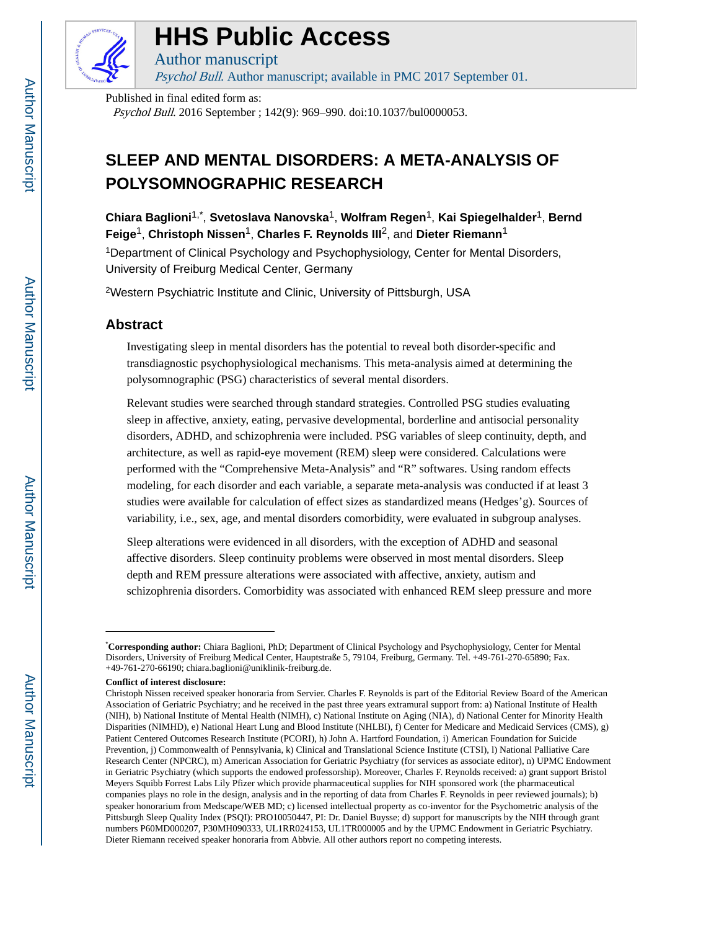

# **HHS Public Access**

Psychol Bull. Author manuscript; available in PMC 2017 September 01.

Published in final edited form as:

Author manuscript

Psychol Bull. 2016 September ; 142(9): 969–990. doi:10.1037/bul0000053.

## **SLEEP AND MENTAL DISORDERS: A META-ANALYSIS OF POLYSOMNOGRAPHIC RESEARCH**

**Chiara Baglioni**1,\* , **Svetoslava Nanovska**1, **Wolfram Regen**1, **Kai Spiegelhalder**1, **Bernd Feige**1, **Christoph Nissen**1, **Charles F. Reynolds III**2, and **Dieter Riemann**<sup>1</sup>

<sup>1</sup>Department of Clinical Psychology and Psychophysiology, Center for Mental Disorders, University of Freiburg Medical Center, Germany

<sup>2</sup>Western Psychiatric Institute and Clinic, University of Pittsburgh, USA

## **Abstract**

Investigating sleep in mental disorders has the potential to reveal both disorder-specific and transdiagnostic psychophysiological mechanisms. This meta-analysis aimed at determining the polysomnographic (PSG) characteristics of several mental disorders.

Relevant studies were searched through standard strategies. Controlled PSG studies evaluating sleep in affective, anxiety, eating, pervasive developmental, borderline and antisocial personality disorders, ADHD, and schizophrenia were included. PSG variables of sleep continuity, depth, and architecture, as well as rapid-eye movement (REM) sleep were considered. Calculations were performed with the "Comprehensive Meta-Analysis" and "R" softwares. Using random effects modeling, for each disorder and each variable, a separate meta-analysis was conducted if at least 3 studies were available for calculation of effect sizes as standardized means (Hedges'g). Sources of variability, i.e., sex, age, and mental disorders comorbidity, were evaluated in subgroup analyses.

Sleep alterations were evidenced in all disorders, with the exception of ADHD and seasonal affective disorders. Sleep continuity problems were observed in most mental disorders. Sleep depth and REM pressure alterations were associated with affective, anxiety, autism and schizophrenia disorders. Comorbidity was associated with enhanced REM sleep pressure and more

<sup>\*</sup>**Corresponding author:** Chiara Baglioni, PhD; Department of Clinical Psychology and Psychophysiology, Center for Mental Disorders, University of Freiburg Medical Center, Hauptstraße 5, 79104, Freiburg, Germany. Tel. +49-761-270-65890; Fax. +49-761-270-66190; chiara.baglioni@uniklinik-freiburg.de.

**Conflict of interest disclosure:**

Christoph Nissen received speaker honoraria from Servier. Charles F. Reynolds is part of the Editorial Review Board of the American Association of Geriatric Psychiatry; and he received in the past three years extramural support from: a) National Institute of Health (NIH), b) National Institute of Mental Health (NIMH), c) National Institute on Aging (NIA), d) National Center for Minority Health Disparities (NIMHD), e) National Heart Lung and Blood Institute (NHLBI), f) Center for Medicare and Medicaid Services (CMS), g) Patient Centered Outcomes Research Institute (PCORI), h) John A. Hartford Foundation, i) American Foundation for Suicide Prevention, j) Commonwealth of Pennsylvania, k) Clinical and Translational Science Institute (CTSI), l) National Palliative Care Research Center (NPCRC), m) American Association for Geriatric Psychiatry (for services as associate editor), n) UPMC Endowment in Geriatric Psychiatry (which supports the endowed professorship). Moreover, Charles F. Reynolds received: a) grant support Bristol Meyers Squibb Forrest Labs Lily Pfizer which provide pharmaceutical supplies for NIH sponsored work (the pharmaceutical companies plays no role in the design, analysis and in the reporting of data from Charles F. Reynolds in peer reviewed journals); b) speaker honorarium from Medscape/WEB MD; c) licensed intellectual property as co-inventor for the Psychometric analysis of the Pittsburgh Sleep Quality Index (PSQI): PRO10050447, PI: Dr. Daniel Buysse; d) support for manuscripts by the NIH through grant numbers P60MD000207, P30MH090333, UL1RR024153, UL1TR000005 and by the UPMC Endowment in Geriatric Psychiatry. Dieter Riemann received speaker honoraria from Abbvie. All other authors report no competing interests.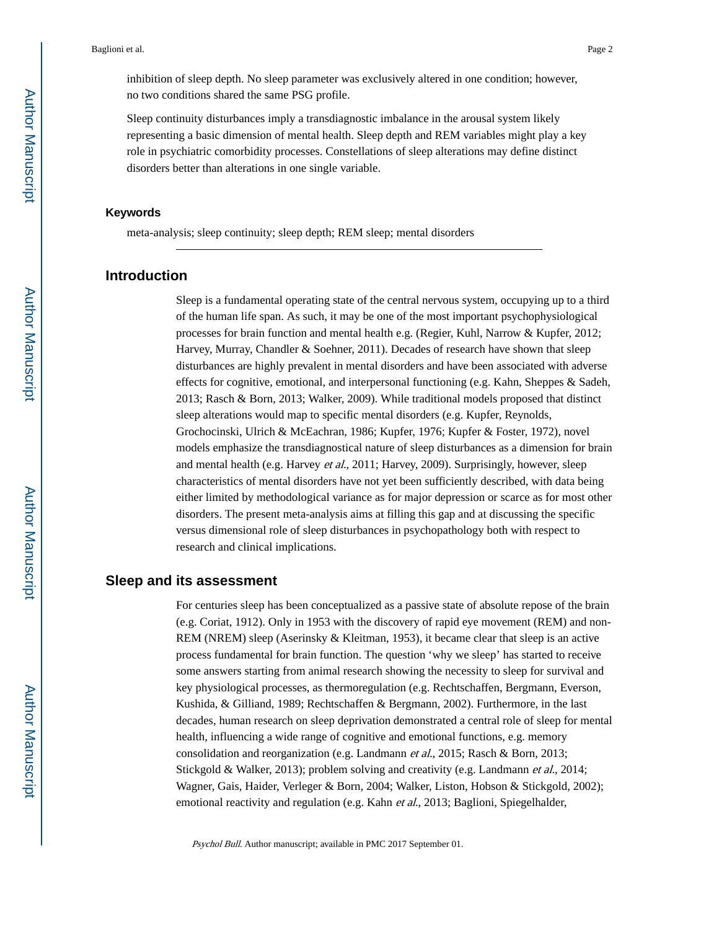inhibition of sleep depth. No sleep parameter was exclusively altered in one condition; however, no two conditions shared the same PSG profile.

Sleep continuity disturbances imply a transdiagnostic imbalance in the arousal system likely representing a basic dimension of mental health. Sleep depth and REM variables might play a key role in psychiatric comorbidity processes. Constellations of sleep alterations may define distinct disorders better than alterations in one single variable.

#### **Keywords**

meta-analysis; sleep continuity; sleep depth; REM sleep; mental disorders

## **Introduction**

Sleep is a fundamental operating state of the central nervous system, occupying up to a third of the human life span. As such, it may be one of the most important psychophysiological processes for brain function and mental health e.g. (Regier, Kuhl, Narrow & Kupfer, 2012; Harvey, Murray, Chandler & Soehner, 2011). Decades of research have shown that sleep disturbances are highly prevalent in mental disorders and have been associated with adverse effects for cognitive, emotional, and interpersonal functioning (e.g. Kahn, Sheppes & Sadeh, 2013; Rasch & Born, 2013; Walker, 2009). While traditional models proposed that distinct sleep alterations would map to specific mental disorders (e.g. Kupfer, Reynolds, Grochocinski, Ulrich & McEachran, 1986; Kupfer, 1976; Kupfer & Foster, 1972), novel models emphasize the transdiagnostical nature of sleep disturbances as a dimension for brain and mental health (e.g. Harvey et al., 2011; Harvey, 2009). Surprisingly, however, sleep characteristics of mental disorders have not yet been sufficiently described, with data being either limited by methodological variance as for major depression or scarce as for most other disorders. The present meta-analysis aims at filling this gap and at discussing the specific versus dimensional role of sleep disturbances in psychopathology both with respect to research and clinical implications.

## **Sleep and its assessment**

For centuries sleep has been conceptualized as a passive state of absolute repose of the brain (e.g. Coriat, 1912). Only in 1953 with the discovery of rapid eye movement (REM) and non-REM (NREM) sleep (Aserinsky & Kleitman, 1953), it became clear that sleep is an active process fundamental for brain function. The question 'why we sleep' has started to receive some answers starting from animal research showing the necessity to sleep for survival and key physiological processes, as thermoregulation (e.g. Rechtschaffen, Bergmann, Everson, Kushida, & Gilliand, 1989; Rechtschaffen & Bergmann, 2002). Furthermore, in the last decades, human research on sleep deprivation demonstrated a central role of sleep for mental health, influencing a wide range of cognitive and emotional functions, e.g. memory consolidation and reorganization (e.g. Landmann et al., 2015; Rasch & Born, 2013; Stickgold & Walker, 2013); problem solving and creativity (e.g. Landmann *et al.*, 2014; Wagner, Gais, Haider, Verleger & Born, 2004; Walker, Liston, Hobson & Stickgold, 2002); emotional reactivity and regulation (e.g. Kahn *et al.*, 2013; Baglioni, Spiegelhalder,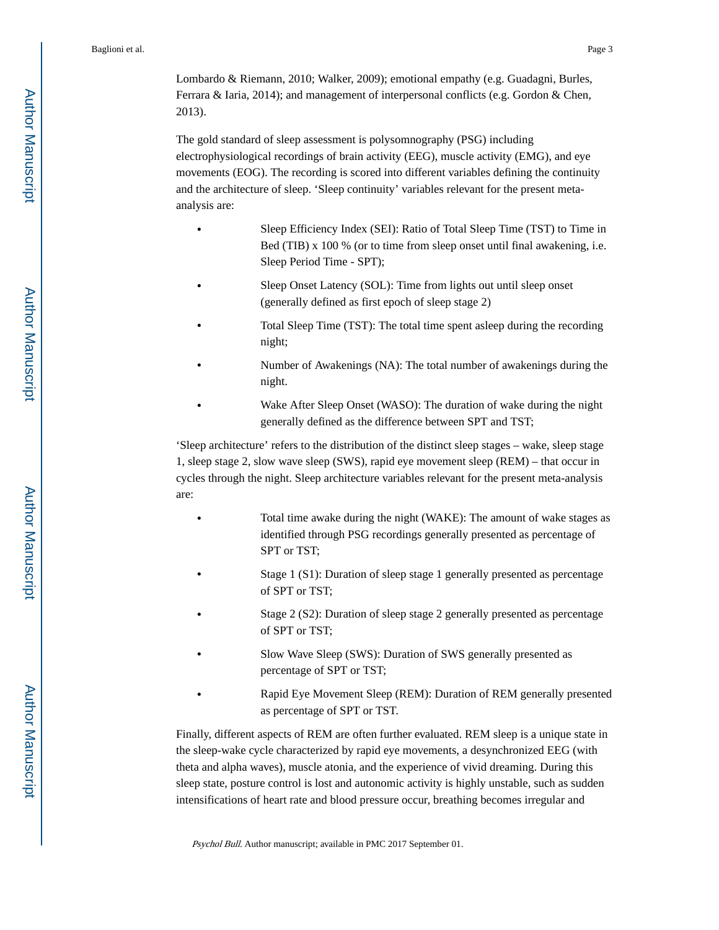Lombardo & Riemann, 2010; Walker, 2009); emotional empathy (e.g. Guadagni, Burles, Ferrara & Iaria, 2014); and management of interpersonal conflicts (e.g. Gordon & Chen, 2013).

The gold standard of sleep assessment is polysomnography (PSG) including electrophysiological recordings of brain activity (EEG), muscle activity (EMG), and eye movements (EOG). The recording is scored into different variables defining the continuity and the architecture of sleep. 'Sleep continuity' variables relevant for the present metaanalysis are:

- **•** Sleep Efficiency Index (SEI): Ratio of Total Sleep Time (TST) to Time in Bed (TIB) x 100 % (or to time from sleep onset until final awakening, i.e. Sleep Period Time - SPT);
- **•** Sleep Onset Latency (SOL): Time from lights out until sleep onset (generally defined as first epoch of sleep stage 2)
- **•** Total Sleep Time (TST): The total time spent asleep during the recording night;
- **•** Number of Awakenings (NA): The total number of awakenings during the night.
- **•** Wake After Sleep Onset (WASO): The duration of wake during the night generally defined as the difference between SPT and TST;

'Sleep architecture' refers to the distribution of the distinct sleep stages – wake, sleep stage 1, sleep stage 2, slow wave sleep (SWS), rapid eye movement sleep (REM) – that occur in cycles through the night. Sleep architecture variables relevant for the present meta-analysis are:

- **•** Total time awake during the night (WAKE): The amount of wake stages as identified through PSG recordings generally presented as percentage of SPT or TST;
- **•** Stage 1 (S1): Duration of sleep stage 1 generally presented as percentage of SPT or TST;
- **•** Stage 2 (S2): Duration of sleep stage 2 generally presented as percentage of SPT or TST;
- **•** Slow Wave Sleep (SWS): Duration of SWS generally presented as percentage of SPT or TST;
- **•** Rapid Eye Movement Sleep (REM): Duration of REM generally presented as percentage of SPT or TST.

Finally, different aspects of REM are often further evaluated. REM sleep is a unique state in the sleep-wake cycle characterized by rapid eye movements, a desynchronized EEG (with theta and alpha waves), muscle atonia, and the experience of vivid dreaming. During this sleep state, posture control is lost and autonomic activity is highly unstable, such as sudden intensifications of heart rate and blood pressure occur, breathing becomes irregular and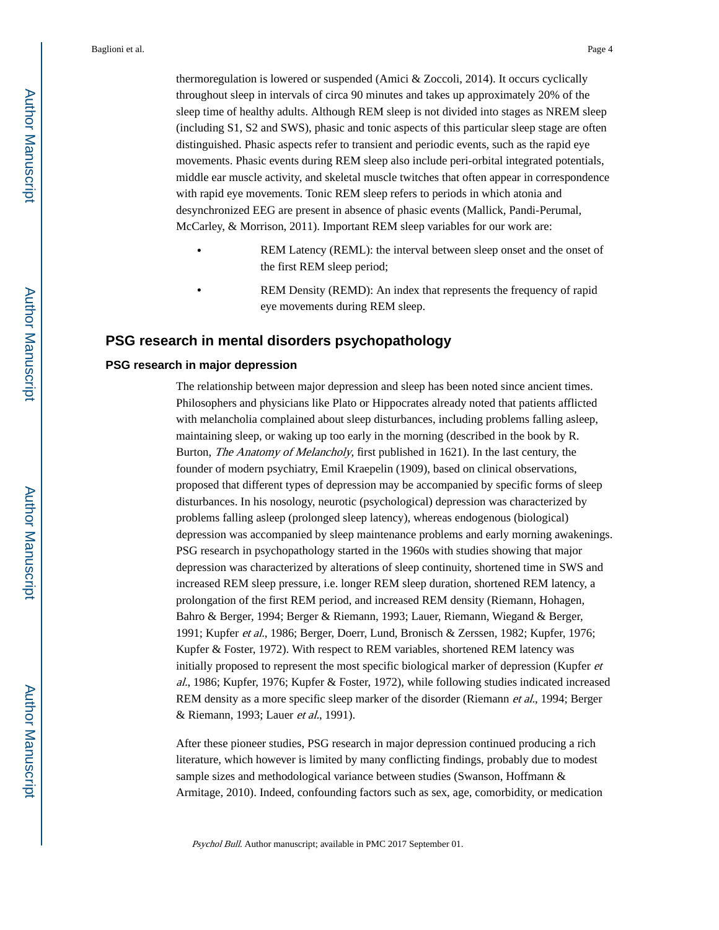thermoregulation is lowered or suspended (Amici & Zoccoli, 2014). It occurs cyclically throughout sleep in intervals of circa 90 minutes and takes up approximately 20% of the sleep time of healthy adults. Although REM sleep is not divided into stages as NREM sleep (including S1, S2 and SWS), phasic and tonic aspects of this particular sleep stage are often distinguished. Phasic aspects refer to transient and periodic events, such as the rapid eye movements. Phasic events during REM sleep also include peri-orbital integrated potentials, middle ear muscle activity, and skeletal muscle twitches that often appear in correspondence with rapid eye movements. Tonic REM sleep refers to periods in which atonia and desynchronized EEG are present in absence of phasic events (Mallick, Pandi-Perumal, McCarley, & Morrison, 2011). Important REM sleep variables for our work are:

- **•** REM Latency (REML): the interval between sleep onset and the onset of the first REM sleep period;
- **•** REM Density (REMD): An index that represents the frequency of rapid eye movements during REM sleep.

## **PSG research in mental disorders psychopathology**

### **PSG research in major depression**

The relationship between major depression and sleep has been noted since ancient times. Philosophers and physicians like Plato or Hippocrates already noted that patients afflicted with melancholia complained about sleep disturbances, including problems falling asleep, maintaining sleep, or waking up too early in the morning (described in the book by R. Burton, The Anatomy of Melancholy, first published in 1621). In the last century, the founder of modern psychiatry, Emil Kraepelin (1909), based on clinical observations, proposed that different types of depression may be accompanied by specific forms of sleep disturbances. In his nosology, neurotic (psychological) depression was characterized by problems falling asleep (prolonged sleep latency), whereas endogenous (biological) depression was accompanied by sleep maintenance problems and early morning awakenings. PSG research in psychopathology started in the 1960s with studies showing that major depression was characterized by alterations of sleep continuity, shortened time in SWS and increased REM sleep pressure, i.e. longer REM sleep duration, shortened REM latency, a prolongation of the first REM period, and increased REM density (Riemann, Hohagen, Bahro & Berger, 1994; Berger & Riemann, 1993; Lauer, Riemann, Wiegand & Berger, 1991; Kupfer et al., 1986; Berger, Doerr, Lund, Bronisch & Zerssen, 1982; Kupfer, 1976; Kupfer & Foster, 1972). With respect to REM variables, shortened REM latency was initially proposed to represent the most specific biological marker of depression (Kupfer et al., 1986; Kupfer, 1976; Kupfer & Foster, 1972), while following studies indicated increased REM density as a more specific sleep marker of the disorder (Riemann *et al.*, 1994; Berger & Riemann, 1993; Lauer et al., 1991).

After these pioneer studies, PSG research in major depression continued producing a rich literature, which however is limited by many conflicting findings, probably due to modest sample sizes and methodological variance between studies (Swanson, Hoffmann & Armitage, 2010). Indeed, confounding factors such as sex, age, comorbidity, or medication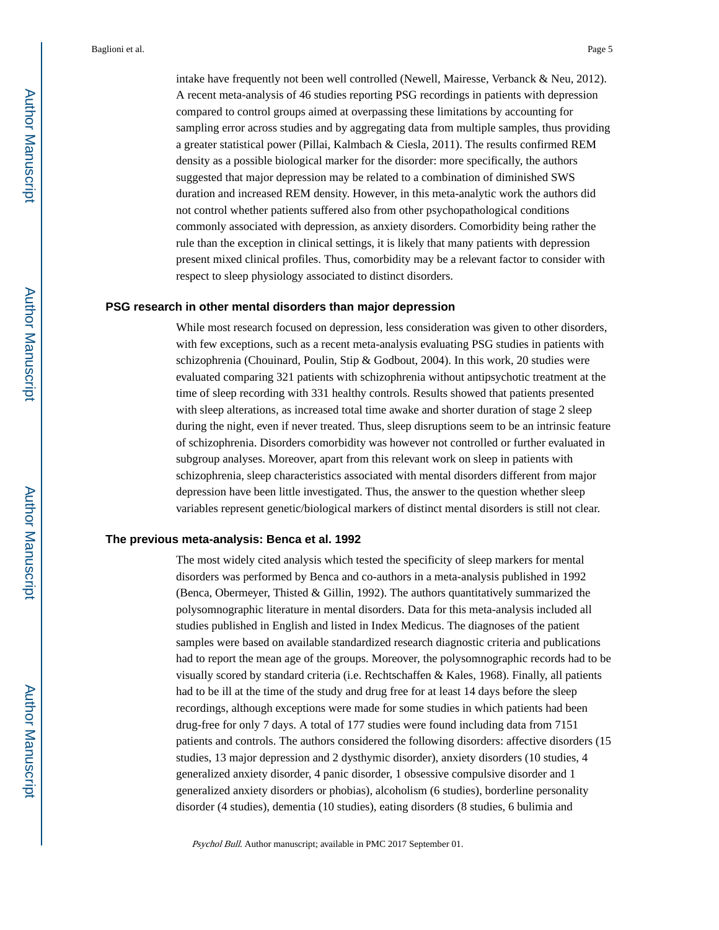intake have frequently not been well controlled (Newell, Mairesse, Verbanck & Neu, 2012). A recent meta-analysis of 46 studies reporting PSG recordings in patients with depression compared to control groups aimed at overpassing these limitations by accounting for sampling error across studies and by aggregating data from multiple samples, thus providing a greater statistical power (Pillai, Kalmbach & Ciesla, 2011). The results confirmed REM density as a possible biological marker for the disorder: more specifically, the authors suggested that major depression may be related to a combination of diminished SWS duration and increased REM density. However, in this meta-analytic work the authors did not control whether patients suffered also from other psychopathological conditions commonly associated with depression, as anxiety disorders. Comorbidity being rather the rule than the exception in clinical settings, it is likely that many patients with depression present mixed clinical profiles. Thus, comorbidity may be a relevant factor to consider with respect to sleep physiology associated to distinct disorders.

#### **PSG research in other mental disorders than major depression**

While most research focused on depression, less consideration was given to other disorders, with few exceptions, such as a recent meta-analysis evaluating PSG studies in patients with schizophrenia (Chouinard, Poulin, Stip & Godbout, 2004). In this work, 20 studies were evaluated comparing 321 patients with schizophrenia without antipsychotic treatment at the time of sleep recording with 331 healthy controls. Results showed that patients presented with sleep alterations, as increased total time awake and shorter duration of stage 2 sleep during the night, even if never treated. Thus, sleep disruptions seem to be an intrinsic feature of schizophrenia. Disorders comorbidity was however not controlled or further evaluated in subgroup analyses. Moreover, apart from this relevant work on sleep in patients with schizophrenia, sleep characteristics associated with mental disorders different from major depression have been little investigated. Thus, the answer to the question whether sleep variables represent genetic/biological markers of distinct mental disorders is still not clear.

#### **The previous meta-analysis: Benca et al. 1992**

The most widely cited analysis which tested the specificity of sleep markers for mental disorders was performed by Benca and co-authors in a meta-analysis published in 1992 (Benca, Obermeyer, Thisted & Gillin, 1992). The authors quantitatively summarized the polysomnographic literature in mental disorders. Data for this meta-analysis included all studies published in English and listed in Index Medicus. The diagnoses of the patient samples were based on available standardized research diagnostic criteria and publications had to report the mean age of the groups. Moreover, the polysomnographic records had to be visually scored by standard criteria (i.e. Rechtschaffen & Kales, 1968). Finally, all patients had to be ill at the time of the study and drug free for at least 14 days before the sleep recordings, although exceptions were made for some studies in which patients had been drug-free for only 7 days. A total of 177 studies were found including data from 7151 patients and controls. The authors considered the following disorders: affective disorders (15 studies, 13 major depression and 2 dysthymic disorder), anxiety disorders (10 studies, 4 generalized anxiety disorder, 4 panic disorder, 1 obsessive compulsive disorder and 1 generalized anxiety disorders or phobias), alcoholism (6 studies), borderline personality disorder (4 studies), dementia (10 studies), eating disorders (8 studies, 6 bulimia and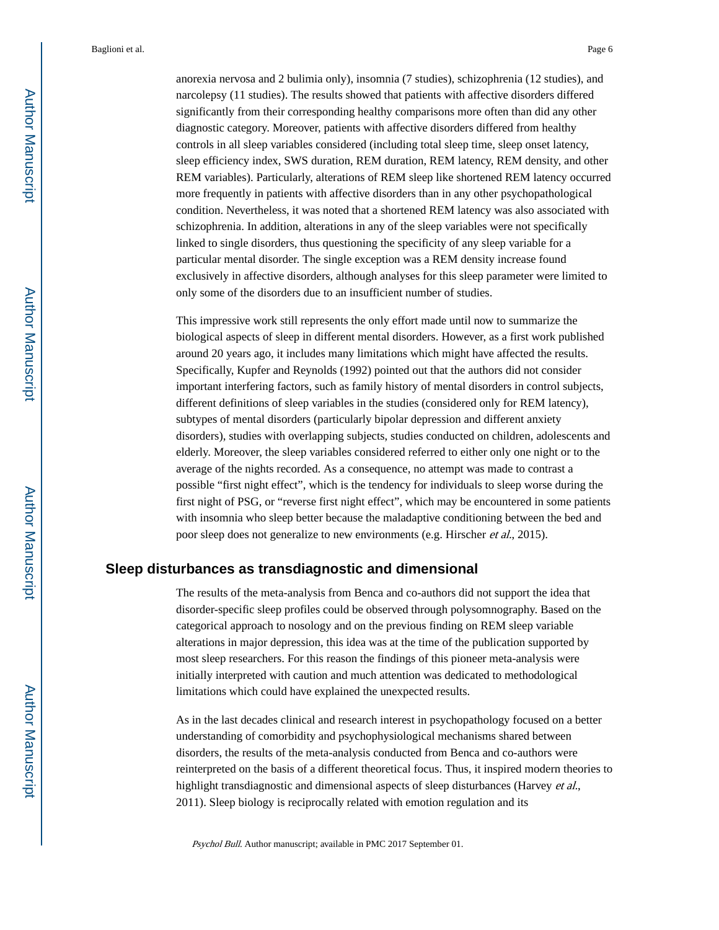anorexia nervosa and 2 bulimia only), insomnia (7 studies), schizophrenia (12 studies), and narcolepsy (11 studies). The results showed that patients with affective disorders differed significantly from their corresponding healthy comparisons more often than did any other diagnostic category. Moreover, patients with affective disorders differed from healthy controls in all sleep variables considered (including total sleep time, sleep onset latency, sleep efficiency index, SWS duration, REM duration, REM latency, REM density, and other REM variables). Particularly, alterations of REM sleep like shortened REM latency occurred more frequently in patients with affective disorders than in any other psychopathological condition. Nevertheless, it was noted that a shortened REM latency was also associated with schizophrenia. In addition, alterations in any of the sleep variables were not specifically linked to single disorders, thus questioning the specificity of any sleep variable for a particular mental disorder. The single exception was a REM density increase found exclusively in affective disorders, although analyses for this sleep parameter were limited to only some of the disorders due to an insufficient number of studies.

This impressive work still represents the only effort made until now to summarize the biological aspects of sleep in different mental disorders. However, as a first work published around 20 years ago, it includes many limitations which might have affected the results. Specifically, Kupfer and Reynolds (1992) pointed out that the authors did not consider important interfering factors, such as family history of mental disorders in control subjects, different definitions of sleep variables in the studies (considered only for REM latency), subtypes of mental disorders (particularly bipolar depression and different anxiety disorders), studies with overlapping subjects, studies conducted on children, adolescents and elderly. Moreover, the sleep variables considered referred to either only one night or to the average of the nights recorded. As a consequence, no attempt was made to contrast a possible "first night effect", which is the tendency for individuals to sleep worse during the first night of PSG, or "reverse first night effect", which may be encountered in some patients with insomnia who sleep better because the maladaptive conditioning between the bed and poor sleep does not generalize to new environments (e.g. Hirscher et al., 2015).

## **Sleep disturbances as transdiagnostic and dimensional**

The results of the meta-analysis from Benca and co-authors did not support the idea that disorder-specific sleep profiles could be observed through polysomnography. Based on the categorical approach to nosology and on the previous finding on REM sleep variable alterations in major depression, this idea was at the time of the publication supported by most sleep researchers. For this reason the findings of this pioneer meta-analysis were initially interpreted with caution and much attention was dedicated to methodological limitations which could have explained the unexpected results.

As in the last decades clinical and research interest in psychopathology focused on a better understanding of comorbidity and psychophysiological mechanisms shared between disorders, the results of the meta-analysis conducted from Benca and co-authors were reinterpreted on the basis of a different theoretical focus. Thus, it inspired modern theories to highlight transdiagnostic and dimensional aspects of sleep disturbances (Harvey *et al.*, 2011). Sleep biology is reciprocally related with emotion regulation and its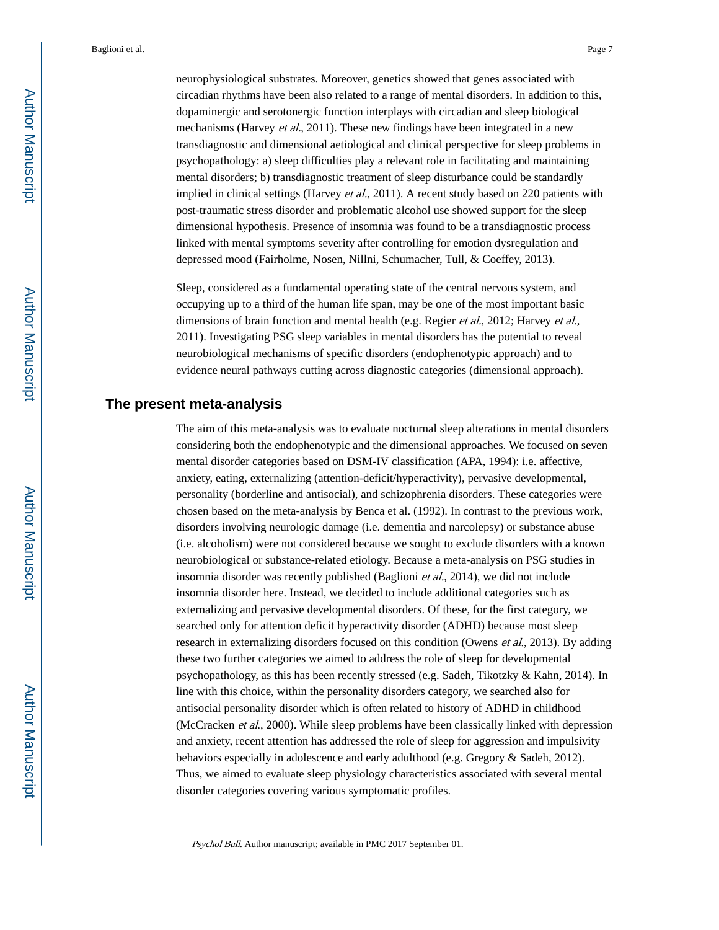neurophysiological substrates. Moreover, genetics showed that genes associated with circadian rhythms have been also related to a range of mental disorders. In addition to this, dopaminergic and serotonergic function interplays with circadian and sleep biological mechanisms (Harvey et al., 2011). These new findings have been integrated in a new transdiagnostic and dimensional aetiological and clinical perspective for sleep problems in psychopathology: a) sleep difficulties play a relevant role in facilitating and maintaining mental disorders; b) transdiagnostic treatment of sleep disturbance could be standardly implied in clinical settings (Harvey et al., 2011). A recent study based on 220 patients with post-traumatic stress disorder and problematic alcohol use showed support for the sleep dimensional hypothesis. Presence of insomnia was found to be a transdiagnostic process linked with mental symptoms severity after controlling for emotion dysregulation and depressed mood (Fairholme, Nosen, Nillni, Schumacher, Tull, & Coeffey, 2013).

Sleep, considered as a fundamental operating state of the central nervous system, and occupying up to a third of the human life span, may be one of the most important basic dimensions of brain function and mental health (e.g. Regier et al., 2012; Harvey et al., 2011). Investigating PSG sleep variables in mental disorders has the potential to reveal neurobiological mechanisms of specific disorders (endophenotypic approach) and to evidence neural pathways cutting across diagnostic categories (dimensional approach).

## **The present meta-analysis**

The aim of this meta-analysis was to evaluate nocturnal sleep alterations in mental disorders considering both the endophenotypic and the dimensional approaches. We focused on seven mental disorder categories based on DSM-IV classification (APA, 1994): i.e. affective, anxiety, eating, externalizing (attention-deficit/hyperactivity), pervasive developmental, personality (borderline and antisocial), and schizophrenia disorders. These categories were chosen based on the meta-analysis by Benca et al. (1992). In contrast to the previous work, disorders involving neurologic damage (i.e. dementia and narcolepsy) or substance abuse (i.e. alcoholism) were not considered because we sought to exclude disorders with a known neurobiological or substance-related etiology. Because a meta-analysis on PSG studies in insomnia disorder was recently published (Baglioni *et al.*, 2014), we did not include insomnia disorder here. Instead, we decided to include additional categories such as externalizing and pervasive developmental disorders. Of these, for the first category, we searched only for attention deficit hyperactivity disorder (ADHD) because most sleep research in externalizing disorders focused on this condition (Owens *et al.*, 2013). By adding these two further categories we aimed to address the role of sleep for developmental psychopathology, as this has been recently stressed (e.g. Sadeh, Tikotzky & Kahn, 2014). In line with this choice, within the personality disorders category, we searched also for antisocial personality disorder which is often related to history of ADHD in childhood (McCracken et al., 2000). While sleep problems have been classically linked with depression and anxiety, recent attention has addressed the role of sleep for aggression and impulsivity behaviors especially in adolescence and early adulthood (e.g. Gregory & Sadeh, 2012). Thus, we aimed to evaluate sleep physiology characteristics associated with several mental disorder categories covering various symptomatic profiles.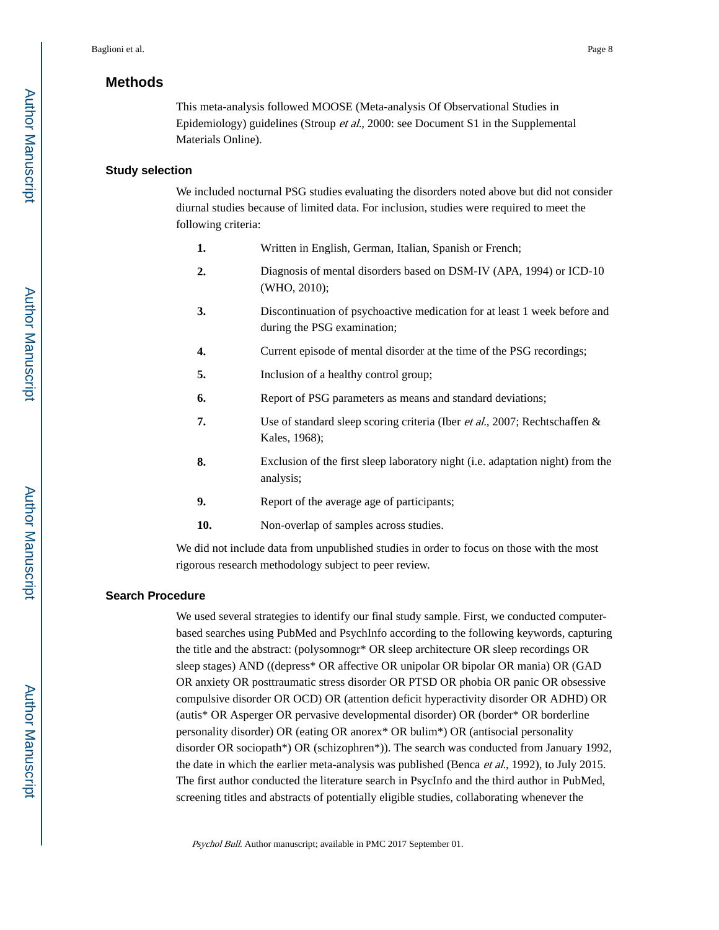## **Methods**

This meta-analysis followed MOOSE (Meta-analysis Of Observational Studies in Epidemiology) guidelines (Stroup et al., 2000: see Document S1 in the Supplemental Materials Online).

#### **Study selection**

We included nocturnal PSG studies evaluating the disorders noted above but did not consider diurnal studies because of limited data. For inclusion, studies were required to meet the following criteria:

- **1.** Written in English, German, Italian, Spanish or French;
- **2.** Diagnosis of mental disorders based on DSM-IV (APA, 1994) or ICD-10 (WHO, 2010);
- **3.** Discontinuation of psychoactive medication for at least 1 week before and during the PSG examination;
- **4.** Current episode of mental disorder at the time of the PSG recordings;
- **5.** Inclusion of a healthy control group;
- **6.** Report of PSG parameters as means and standard deviations;
- **7.** Use of standard sleep scoring criteria (Iber et al., 2007; Rechtschaffen & Kales, 1968);
- **8.** Exclusion of the first sleep laboratory night (i.e. adaptation night) from the analysis;
- **9.** Report of the average age of participants;
- **10.** Non-overlap of samples across studies.

We did not include data from unpublished studies in order to focus on those with the most rigorous research methodology subject to peer review.

## **Search Procedure**

We used several strategies to identify our final study sample. First, we conducted computerbased searches using PubMed and PsychInfo according to the following keywords, capturing the title and the abstract: (polysomnogr\* OR sleep architecture OR sleep recordings OR sleep stages) AND ((depress\* OR affective OR unipolar OR bipolar OR mania) OR (GAD OR anxiety OR posttraumatic stress disorder OR PTSD OR phobia OR panic OR obsessive compulsive disorder OR OCD) OR (attention deficit hyperactivity disorder OR ADHD) OR (autis\* OR Asperger OR pervasive developmental disorder) OR (border\* OR borderline personality disorder) OR (eating OR anorex\* OR bulim\*) OR (antisocial personality disorder OR sociopath\*) OR (schizophren\*)). The search was conducted from January 1992, the date in which the earlier meta-analysis was published (Benca *et al.*, 1992), to July 2015. The first author conducted the literature search in PsycInfo and the third author in PubMed, screening titles and abstracts of potentially eligible studies, collaborating whenever the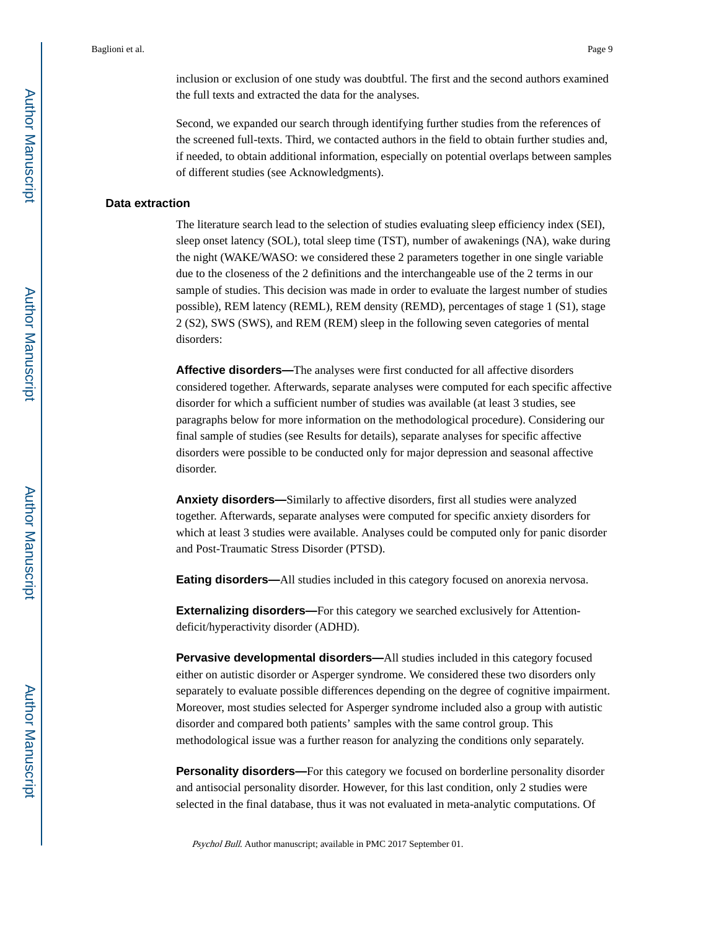inclusion or exclusion of one study was doubtful. The first and the second authors examined the full texts and extracted the data for the analyses.

Second, we expanded our search through identifying further studies from the references of the screened full-texts. Third, we contacted authors in the field to obtain further studies and, if needed, to obtain additional information, especially on potential overlaps between samples of different studies (see Acknowledgments).

#### **Data extraction**

The literature search lead to the selection of studies evaluating sleep efficiency index (SEI), sleep onset latency (SOL), total sleep time (TST), number of awakenings (NA), wake during the night (WAKE/WASO: we considered these 2 parameters together in one single variable due to the closeness of the 2 definitions and the interchangeable use of the 2 terms in our sample of studies. This decision was made in order to evaluate the largest number of studies possible), REM latency (REML), REM density (REMD), percentages of stage 1 (S1), stage 2 (S2), SWS (SWS), and REM (REM) sleep in the following seven categories of mental disorders:

**Affective disorders—**The analyses were first conducted for all affective disorders considered together. Afterwards, separate analyses were computed for each specific affective disorder for which a sufficient number of studies was available (at least 3 studies, see paragraphs below for more information on the methodological procedure). Considering our final sample of studies (see Results for details), separate analyses for specific affective disorders were possible to be conducted only for major depression and seasonal affective disorder.

**Anxiety disorders—**Similarly to affective disorders, first all studies were analyzed together. Afterwards, separate analyses were computed for specific anxiety disorders for which at least 3 studies were available. Analyses could be computed only for panic disorder and Post-Traumatic Stress Disorder (PTSD).

**Eating disorders—**All studies included in this category focused on anorexia nervosa.

**Externalizing disorders—**For this category we searched exclusively for Attentiondeficit/hyperactivity disorder (ADHD).

**Pervasive developmental disorders—**All studies included in this category focused either on autistic disorder or Asperger syndrome. We considered these two disorders only separately to evaluate possible differences depending on the degree of cognitive impairment. Moreover, most studies selected for Asperger syndrome included also a group with autistic disorder and compared both patients' samples with the same control group. This methodological issue was a further reason for analyzing the conditions only separately.

**Personality disorders—**For this category we focused on borderline personality disorder and antisocial personality disorder. However, for this last condition, only 2 studies were selected in the final database, thus it was not evaluated in meta-analytic computations. Of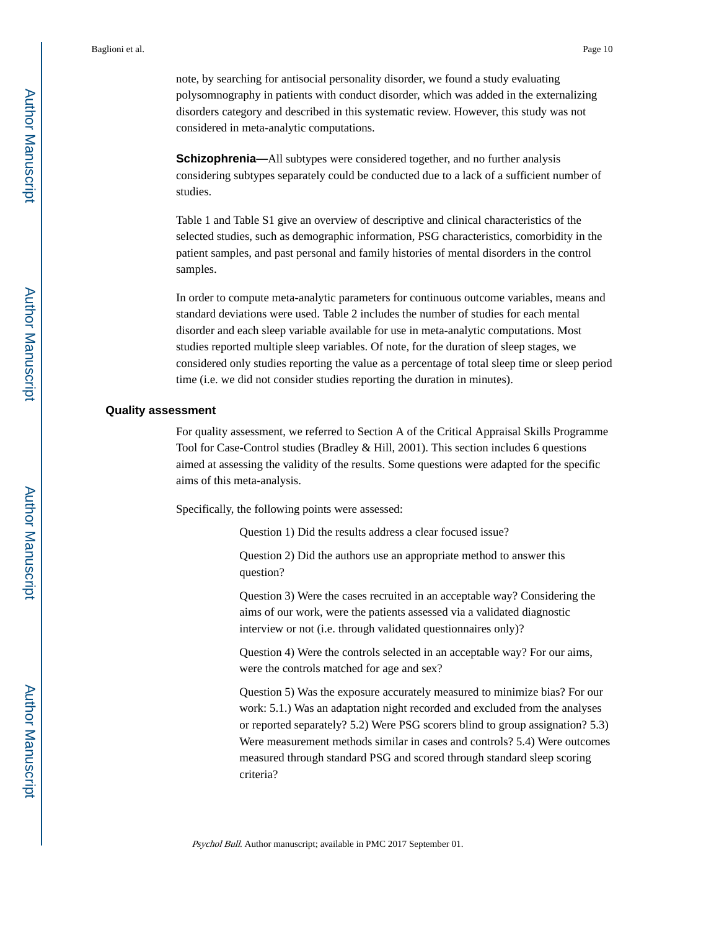note, by searching for antisocial personality disorder, we found a study evaluating polysomnography in patients with conduct disorder, which was added in the externalizing disorders category and described in this systematic review. However, this study was not considered in meta-analytic computations.

**Schizophrenia—**All subtypes were considered together, and no further analysis considering subtypes separately could be conducted due to a lack of a sufficient number of studies.

Table 1 and Table S1 give an overview of descriptive and clinical characteristics of the selected studies, such as demographic information, PSG characteristics, comorbidity in the patient samples, and past personal and family histories of mental disorders in the control samples.

In order to compute meta-analytic parameters for continuous outcome variables, means and standard deviations were used. Table 2 includes the number of studies for each mental disorder and each sleep variable available for use in meta-analytic computations. Most studies reported multiple sleep variables. Of note, for the duration of sleep stages, we considered only studies reporting the value as a percentage of total sleep time or sleep period time (i.e. we did not consider studies reporting the duration in minutes).

#### **Quality assessment**

For quality assessment, we referred to Section A of the Critical Appraisal Skills Programme Tool for Case-Control studies (Bradley & Hill, 2001). This section includes 6 questions aimed at assessing the validity of the results. Some questions were adapted for the specific aims of this meta-analysis.

Specifically, the following points were assessed:

Question 1) Did the results address a clear focused issue?

Question 2) Did the authors use an appropriate method to answer this question?

Question 3) Were the cases recruited in an acceptable way? Considering the aims of our work, were the patients assessed via a validated diagnostic interview or not (i.e. through validated questionnaires only)?

Question 4) Were the controls selected in an acceptable way? For our aims, were the controls matched for age and sex?

Question 5) Was the exposure accurately measured to minimize bias? For our work: 5.1.) Was an adaptation night recorded and excluded from the analyses or reported separately? 5.2) Were PSG scorers blind to group assignation? 5.3) Were measurement methods similar in cases and controls? 5.4) Were outcomes measured through standard PSG and scored through standard sleep scoring criteria?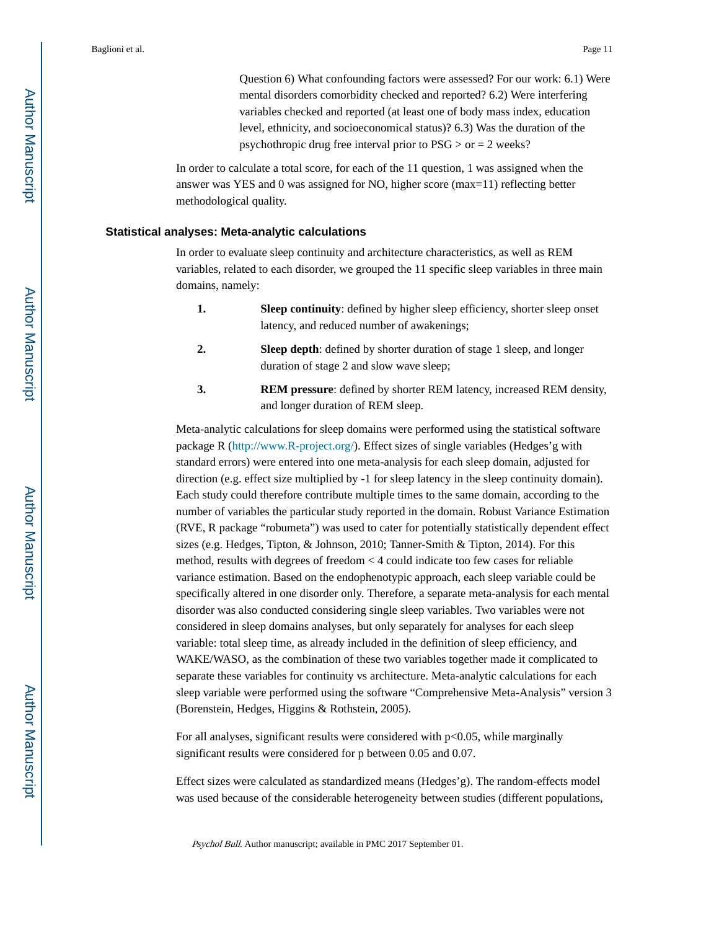Question 6) What confounding factors were assessed? For our work: 6.1) Were mental disorders comorbidity checked and reported? 6.2) Were interfering variables checked and reported (at least one of body mass index, education level, ethnicity, and socioeconomical status)? 6.3) Was the duration of the psychothropic drug free interval prior to  $PSG > or = 2$  weeks?

In order to calculate a total score, for each of the 11 question, 1 was assigned when the answer was YES and 0 was assigned for NO, higher score (max=11) reflecting better methodological quality.

### **Statistical analyses: Meta-analytic calculations**

In order to evaluate sleep continuity and architecture characteristics, as well as REM variables, related to each disorder, we grouped the 11 specific sleep variables in three main domains, namely:

- **1. Sleep continuity**: defined by higher sleep efficiency, shorter sleep onset latency, and reduced number of awakenings;
- **2. Sleep depth**: defined by shorter duration of stage 1 sleep, and longer duration of stage 2 and slow wave sleep;
- **3. REM pressure**: defined by shorter REM latency, increased REM density, and longer duration of REM sleep.

Meta-analytic calculations for sleep domains were performed using the statistical software package R (<http://www.R-project.org/>). Effect sizes of single variables (Hedges'g with standard errors) were entered into one meta-analysis for each sleep domain, adjusted for direction (e.g. effect size multiplied by -1 for sleep latency in the sleep continuity domain). Each study could therefore contribute multiple times to the same domain, according to the number of variables the particular study reported in the domain. Robust Variance Estimation (RVE, R package "robumeta") was used to cater for potentially statistically dependent effect sizes (e.g. Hedges, Tipton, & Johnson, 2010; Tanner-Smith & Tipton, 2014). For this method, results with degrees of freedom < 4 could indicate too few cases for reliable variance estimation. Based on the endophenotypic approach, each sleep variable could be specifically altered in one disorder only. Therefore, a separate meta-analysis for each mental disorder was also conducted considering single sleep variables. Two variables were not considered in sleep domains analyses, but only separately for analyses for each sleep variable: total sleep time, as already included in the definition of sleep efficiency, and WAKE/WASO, as the combination of these two variables together made it complicated to separate these variables for continuity vs architecture. Meta-analytic calculations for each sleep variable were performed using the software "Comprehensive Meta-Analysis" version 3 (Borenstein, Hedges, Higgins & Rothstein, 2005).

For all analyses, significant results were considered with  $p<0.05$ , while marginally significant results were considered for p between 0.05 and 0.07.

Effect sizes were calculated as standardized means (Hedges'g). The random-effects model was used because of the considerable heterogeneity between studies (different populations,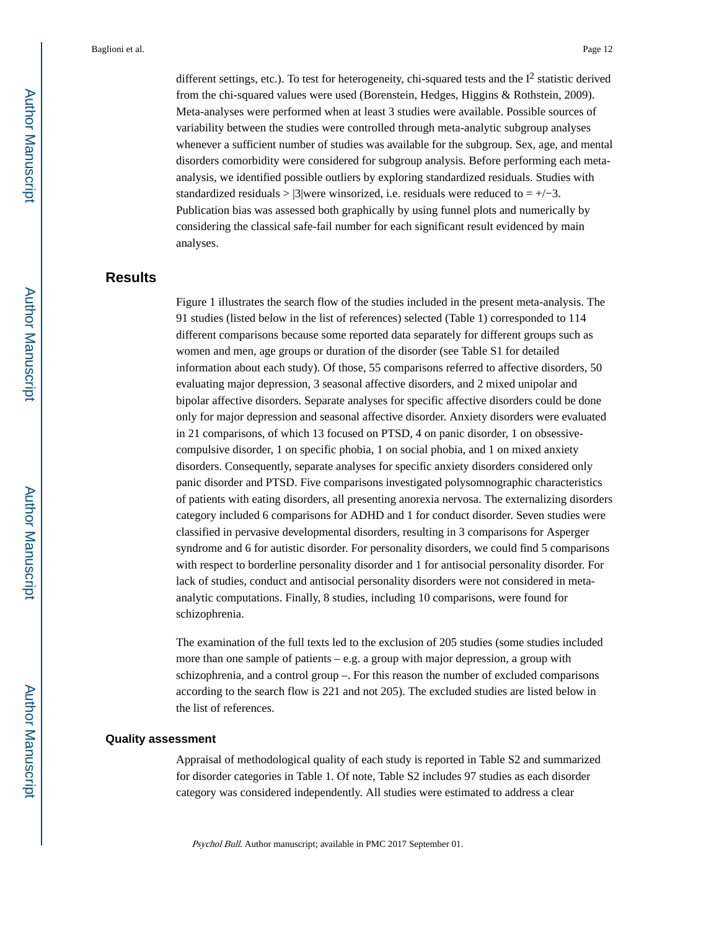different settings, etc.). To test for heterogeneity, chi-squared tests and the  $I^2$  statistic derived from the chi-squared values were used (Borenstein, Hedges, Higgins & Rothstein, 2009). Meta-analyses were performed when at least 3 studies were available. Possible sources of variability between the studies were controlled through meta-analytic subgroup analyses whenever a sufficient number of studies was available for the subgroup. Sex, age, and mental disorders comorbidity were considered for subgroup analysis. Before performing each metaanalysis, we identified possible outliers by exploring standardized residuals. Studies with standardized residuals > |3|were winsorized, i.e. residuals were reduced to =  $+/-3$ . Publication bias was assessed both graphically by using funnel plots and numerically by considering the classical safe-fail number for each significant result evidenced by main analyses.

## **Results**

Figure 1 illustrates the search flow of the studies included in the present meta-analysis. The 91 studies (listed below in the list of references) selected (Table 1) corresponded to 114 different comparisons because some reported data separately for different groups such as women and men, age groups or duration of the disorder (see Table S1 for detailed information about each study). Of those, 55 comparisons referred to affective disorders, 50 evaluating major depression, 3 seasonal affective disorders, and 2 mixed unipolar and bipolar affective disorders. Separate analyses for specific affective disorders could be done only for major depression and seasonal affective disorder. Anxiety disorders were evaluated in 21 comparisons, of which 13 focused on PTSD, 4 on panic disorder, 1 on obsessivecompulsive disorder, 1 on specific phobia, 1 on social phobia, and 1 on mixed anxiety disorders. Consequently, separate analyses for specific anxiety disorders considered only panic disorder and PTSD. Five comparisons investigated polysomnographic characteristics of patients with eating disorders, all presenting anorexia nervosa. The externalizing disorders category included 6 comparisons for ADHD and 1 for conduct disorder. Seven studies were classified in pervasive developmental disorders, resulting in 3 comparisons for Asperger syndrome and 6 for autistic disorder. For personality disorders, we could find 5 comparisons with respect to borderline personality disorder and 1 for antisocial personality disorder. For lack of studies, conduct and antisocial personality disorders were not considered in metaanalytic computations. Finally, 8 studies, including 10 comparisons, were found for schizophrenia.

The examination of the full texts led to the exclusion of 205 studies (some studies included more than one sample of patients – e.g. a group with major depression, a group with schizophrenia, and a control group –. For this reason the number of excluded comparisons according to the search flow is 221 and not 205). The excluded studies are listed below in the list of references.

#### **Quality assessment**

Appraisal of methodological quality of each study is reported in Table S2 and summarized for disorder categories in Table 1. Of note, Table S2 includes 97 studies as each disorder category was considered independently. All studies were estimated to address a clear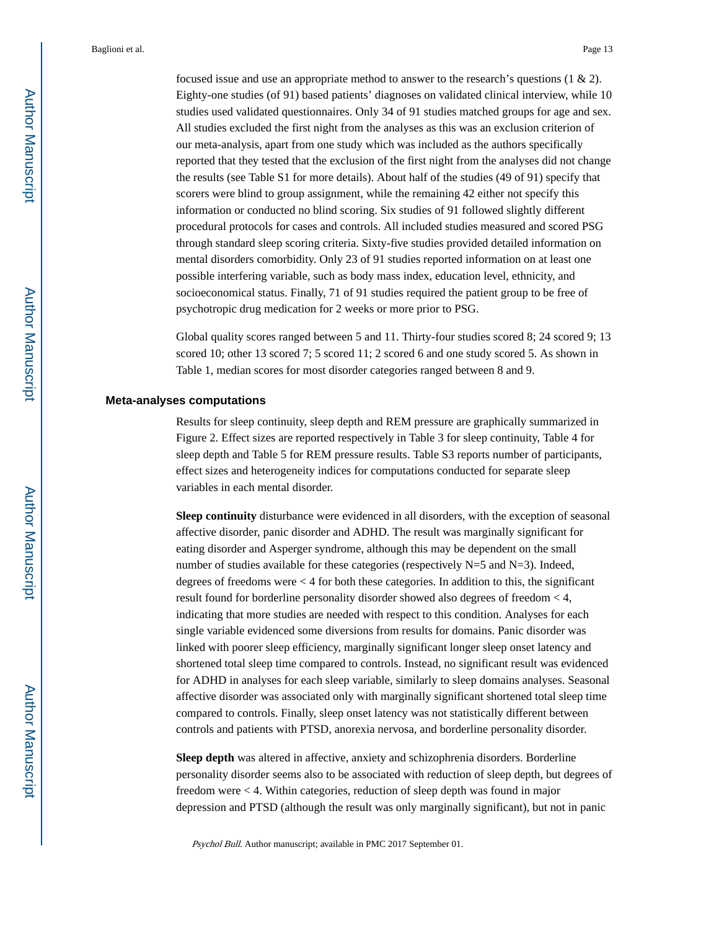focused issue and use an appropriate method to answer to the research's questions (1 & 2). Eighty-one studies (of 91) based patients' diagnoses on validated clinical interview, while 10 studies used validated questionnaires. Only 34 of 91 studies matched groups for age and sex. All studies excluded the first night from the analyses as this was an exclusion criterion of our meta-analysis, apart from one study which was included as the authors specifically reported that they tested that the exclusion of the first night from the analyses did not change the results (see Table S1 for more details). About half of the studies (49 of 91) specify that scorers were blind to group assignment, while the remaining 42 either not specify this information or conducted no blind scoring. Six studies of 91 followed slightly different procedural protocols for cases and controls. All included studies measured and scored PSG through standard sleep scoring criteria. Sixty-five studies provided detailed information on mental disorders comorbidity. Only 23 of 91 studies reported information on at least one possible interfering variable, such as body mass index, education level, ethnicity, and socioeconomical status. Finally, 71 of 91 studies required the patient group to be free of psychotropic drug medication for 2 weeks or more prior to PSG.

Global quality scores ranged between 5 and 11. Thirty-four studies scored 8; 24 scored 9; 13 scored 10; other 13 scored 7; 5 scored 11; 2 scored 6 and one study scored 5. As shown in Table 1, median scores for most disorder categories ranged between 8 and 9.

#### **Meta-analyses computations**

Results for sleep continuity, sleep depth and REM pressure are graphically summarized in Figure 2. Effect sizes are reported respectively in Table 3 for sleep continuity, Table 4 for sleep depth and Table 5 for REM pressure results. Table S3 reports number of participants, effect sizes and heterogeneity indices for computations conducted for separate sleep variables in each mental disorder.

**Sleep continuity** disturbance were evidenced in all disorders, with the exception of seasonal affective disorder, panic disorder and ADHD. The result was marginally significant for eating disorder and Asperger syndrome, although this may be dependent on the small number of studies available for these categories (respectively  $N=5$  and  $N=3$ ). Indeed, degrees of freedoms were < 4 for both these categories. In addition to this, the significant result found for borderline personality disorder showed also degrees of freedom < 4, indicating that more studies are needed with respect to this condition. Analyses for each single variable evidenced some diversions from results for domains. Panic disorder was linked with poorer sleep efficiency, marginally significant longer sleep onset latency and shortened total sleep time compared to controls. Instead, no significant result was evidenced for ADHD in analyses for each sleep variable, similarly to sleep domains analyses. Seasonal affective disorder was associated only with marginally significant shortened total sleep time compared to controls. Finally, sleep onset latency was not statistically different between controls and patients with PTSD, anorexia nervosa, and borderline personality disorder.

**Sleep depth** was altered in affective, anxiety and schizophrenia disorders. Borderline personality disorder seems also to be associated with reduction of sleep depth, but degrees of freedom were < 4. Within categories, reduction of sleep depth was found in major depression and PTSD (although the result was only marginally significant), but not in panic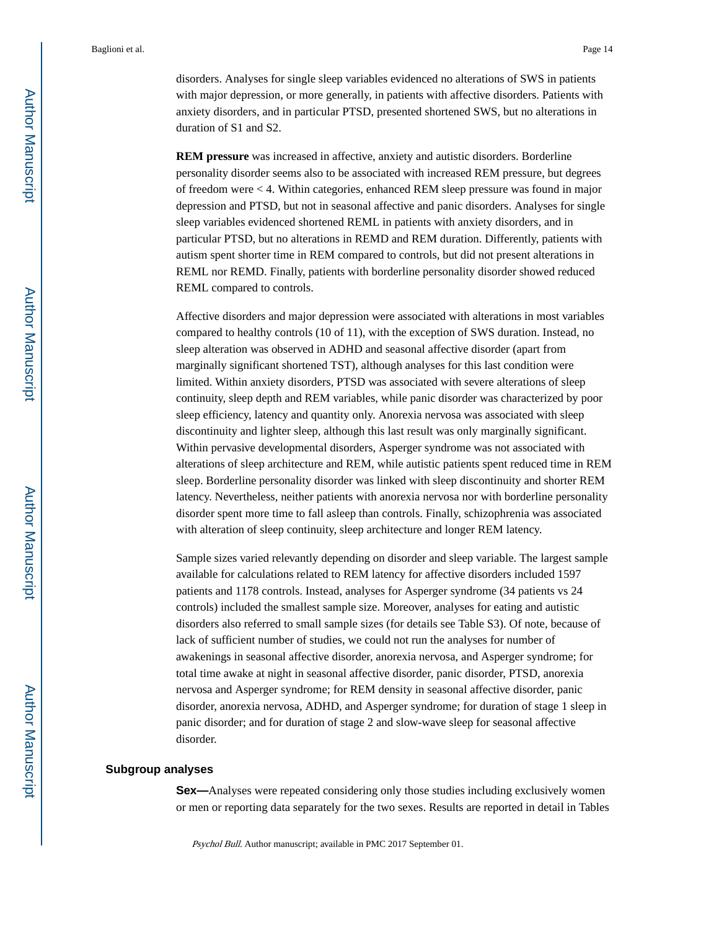disorders. Analyses for single sleep variables evidenced no alterations of SWS in patients with major depression, or more generally, in patients with affective disorders. Patients with anxiety disorders, and in particular PTSD, presented shortened SWS, but no alterations in duration of S1 and S2.

**REM pressure** was increased in affective, anxiety and autistic disorders. Borderline personality disorder seems also to be associated with increased REM pressure, but degrees of freedom were < 4. Within categories, enhanced REM sleep pressure was found in major depression and PTSD, but not in seasonal affective and panic disorders. Analyses for single sleep variables evidenced shortened REML in patients with anxiety disorders, and in particular PTSD, but no alterations in REMD and REM duration. Differently, patients with autism spent shorter time in REM compared to controls, but did not present alterations in REML nor REMD. Finally, patients with borderline personality disorder showed reduced REML compared to controls.

Affective disorders and major depression were associated with alterations in most variables compared to healthy controls (10 of 11), with the exception of SWS duration. Instead, no sleep alteration was observed in ADHD and seasonal affective disorder (apart from marginally significant shortened TST), although analyses for this last condition were limited. Within anxiety disorders, PTSD was associated with severe alterations of sleep continuity, sleep depth and REM variables, while panic disorder was characterized by poor sleep efficiency, latency and quantity only. Anorexia nervosa was associated with sleep discontinuity and lighter sleep, although this last result was only marginally significant. Within pervasive developmental disorders, Asperger syndrome was not associated with alterations of sleep architecture and REM, while autistic patients spent reduced time in REM sleep. Borderline personality disorder was linked with sleep discontinuity and shorter REM latency. Nevertheless, neither patients with anorexia nervosa nor with borderline personality disorder spent more time to fall asleep than controls. Finally, schizophrenia was associated with alteration of sleep continuity, sleep architecture and longer REM latency.

Sample sizes varied relevantly depending on disorder and sleep variable. The largest sample available for calculations related to REM latency for affective disorders included 1597 patients and 1178 controls. Instead, analyses for Asperger syndrome (34 patients vs 24 controls) included the smallest sample size. Moreover, analyses for eating and autistic disorders also referred to small sample sizes (for details see Table S3). Of note, because of lack of sufficient number of studies, we could not run the analyses for number of awakenings in seasonal affective disorder, anorexia nervosa, and Asperger syndrome; for total time awake at night in seasonal affective disorder, panic disorder, PTSD, anorexia nervosa and Asperger syndrome; for REM density in seasonal affective disorder, panic disorder, anorexia nervosa, ADHD, and Asperger syndrome; for duration of stage 1 sleep in panic disorder; and for duration of stage 2 and slow-wave sleep for seasonal affective disorder.

#### **Subgroup analyses**

**Sex—**Analyses were repeated considering only those studies including exclusively women or men or reporting data separately for the two sexes. Results are reported in detail in Tables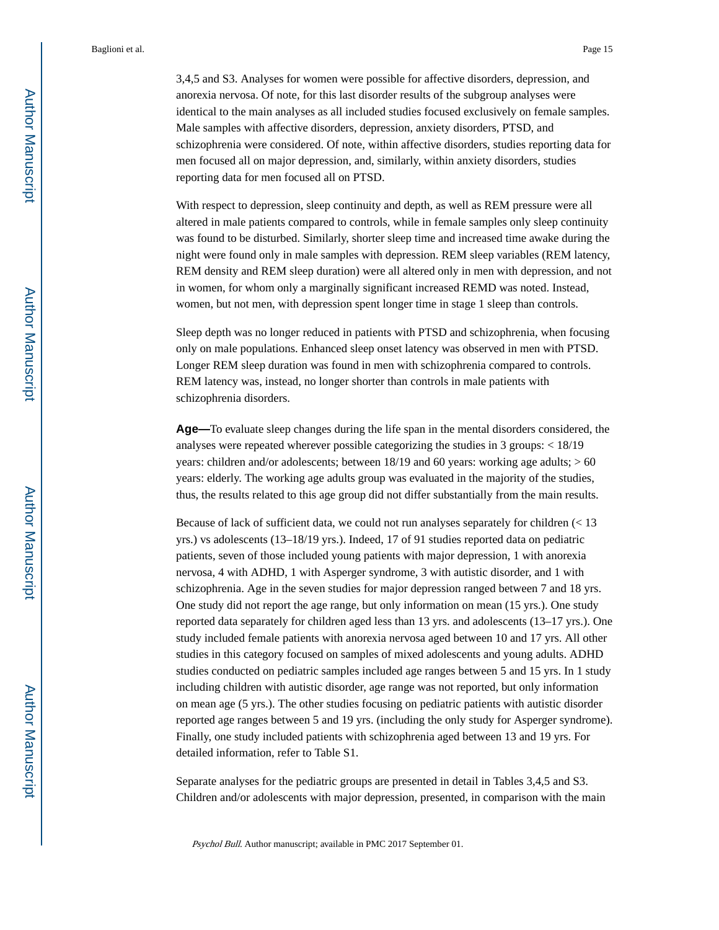3,4,5 and S3. Analyses for women were possible for affective disorders, depression, and anorexia nervosa. Of note, for this last disorder results of the subgroup analyses were identical to the main analyses as all included studies focused exclusively on female samples. Male samples with affective disorders, depression, anxiety disorders, PTSD, and schizophrenia were considered. Of note, within affective disorders, studies reporting data for men focused all on major depression, and, similarly, within anxiety disorders, studies reporting data for men focused all on PTSD.

With respect to depression, sleep continuity and depth, as well as REM pressure were all altered in male patients compared to controls, while in female samples only sleep continuity was found to be disturbed. Similarly, shorter sleep time and increased time awake during the night were found only in male samples with depression. REM sleep variables (REM latency, REM density and REM sleep duration) were all altered only in men with depression, and not in women, for whom only a marginally significant increased REMD was noted. Instead, women, but not men, with depression spent longer time in stage 1 sleep than controls.

Sleep depth was no longer reduced in patients with PTSD and schizophrenia, when focusing only on male populations. Enhanced sleep onset latency was observed in men with PTSD. Longer REM sleep duration was found in men with schizophrenia compared to controls. REM latency was, instead, no longer shorter than controls in male patients with schizophrenia disorders.

**Age—**To evaluate sleep changes during the life span in the mental disorders considered, the analyses were repeated wherever possible categorizing the studies in 3 groups: < 18/19 years: children and/or adolescents; between  $18/19$  and 60 years: working age adults;  $> 60$ years: elderly. The working age adults group was evaluated in the majority of the studies, thus, the results related to this age group did not differ substantially from the main results.

Because of lack of sufficient data, we could not run analyses separately for children (< 13 yrs.) vs adolescents (13–18/19 yrs.). Indeed, 17 of 91 studies reported data on pediatric patients, seven of those included young patients with major depression, 1 with anorexia nervosa, 4 with ADHD, 1 with Asperger syndrome, 3 with autistic disorder, and 1 with schizophrenia. Age in the seven studies for major depression ranged between 7 and 18 yrs. One study did not report the age range, but only information on mean (15 yrs.). One study reported data separately for children aged less than 13 yrs. and adolescents (13–17 yrs.). One study included female patients with anorexia nervosa aged between 10 and 17 yrs. All other studies in this category focused on samples of mixed adolescents and young adults. ADHD studies conducted on pediatric samples included age ranges between 5 and 15 yrs. In 1 study including children with autistic disorder, age range was not reported, but only information on mean age (5 yrs.). The other studies focusing on pediatric patients with autistic disorder reported age ranges between 5 and 19 yrs. (including the only study for Asperger syndrome). Finally, one study included patients with schizophrenia aged between 13 and 19 yrs. For detailed information, refer to Table S1.

Separate analyses for the pediatric groups are presented in detail in Tables 3,4,5 and S3. Children and/or adolescents with major depression, presented, in comparison with the main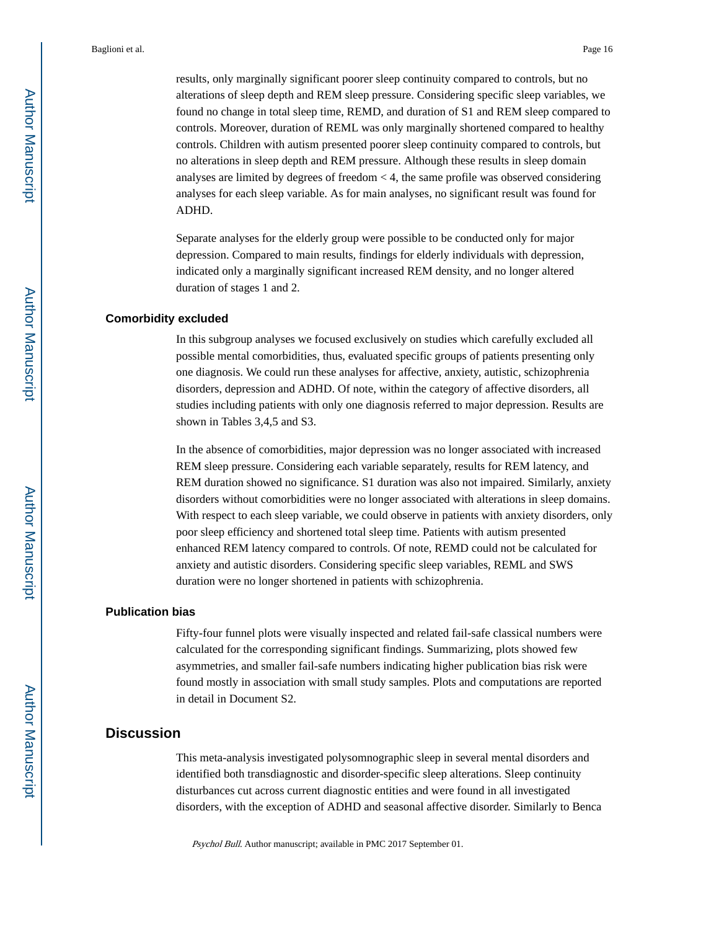results, only marginally significant poorer sleep continuity compared to controls, but no alterations of sleep depth and REM sleep pressure. Considering specific sleep variables, we found no change in total sleep time, REMD, and duration of S1 and REM sleep compared to controls. Moreover, duration of REML was only marginally shortened compared to healthy controls. Children with autism presented poorer sleep continuity compared to controls, but no alterations in sleep depth and REM pressure. Although these results in sleep domain analyses are limited by degrees of freedom < 4, the same profile was observed considering analyses for each sleep variable. As for main analyses, no significant result was found for ADHD.

Separate analyses for the elderly group were possible to be conducted only for major depression. Compared to main results, findings for elderly individuals with depression, indicated only a marginally significant increased REM density, and no longer altered duration of stages 1 and 2.

#### **Comorbidity excluded**

In this subgroup analyses we focused exclusively on studies which carefully excluded all possible mental comorbidities, thus, evaluated specific groups of patients presenting only one diagnosis. We could run these analyses for affective, anxiety, autistic, schizophrenia disorders, depression and ADHD. Of note, within the category of affective disorders, all studies including patients with only one diagnosis referred to major depression. Results are shown in Tables 3,4,5 and S3.

In the absence of comorbidities, major depression was no longer associated with increased REM sleep pressure. Considering each variable separately, results for REM latency, and REM duration showed no significance. S1 duration was also not impaired. Similarly, anxiety disorders without comorbidities were no longer associated with alterations in sleep domains. With respect to each sleep variable, we could observe in patients with anxiety disorders, only poor sleep efficiency and shortened total sleep time. Patients with autism presented enhanced REM latency compared to controls. Of note, REMD could not be calculated for anxiety and autistic disorders. Considering specific sleep variables, REML and SWS duration were no longer shortened in patients with schizophrenia.

#### **Publication bias**

Fifty-four funnel plots were visually inspected and related fail-safe classical numbers were calculated for the corresponding significant findings. Summarizing, plots showed few asymmetries, and smaller fail-safe numbers indicating higher publication bias risk were found mostly in association with small study samples. Plots and computations are reported in detail in Document S2.

## **Discussion**

This meta-analysis investigated polysomnographic sleep in several mental disorders and identified both transdiagnostic and disorder-specific sleep alterations. Sleep continuity disturbances cut across current diagnostic entities and were found in all investigated disorders, with the exception of ADHD and seasonal affective disorder. Similarly to Benca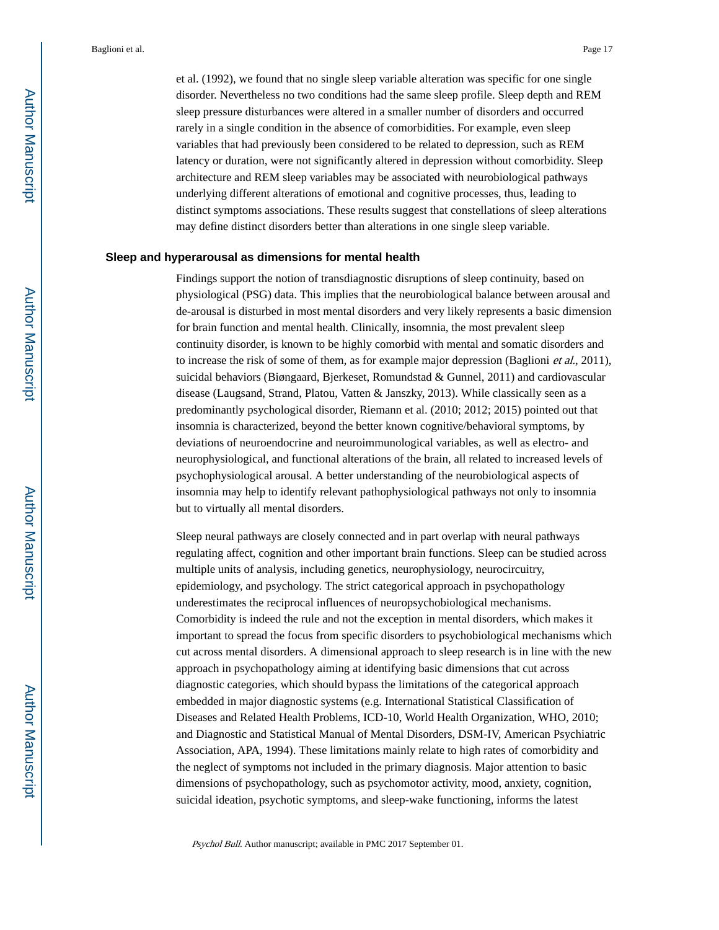et al. (1992), we found that no single sleep variable alteration was specific for one single disorder. Nevertheless no two conditions had the same sleep profile. Sleep depth and REM sleep pressure disturbances were altered in a smaller number of disorders and occurred rarely in a single condition in the absence of comorbidities. For example, even sleep variables that had previously been considered to be related to depression, such as REM latency or duration, were not significantly altered in depression without comorbidity. Sleep architecture and REM sleep variables may be associated with neurobiological pathways underlying different alterations of emotional and cognitive processes, thus, leading to distinct symptoms associations. These results suggest that constellations of sleep alterations may define distinct disorders better than alterations in one single sleep variable.

### **Sleep and hyperarousal as dimensions for mental health**

Findings support the notion of transdiagnostic disruptions of sleep continuity, based on physiological (PSG) data. This implies that the neurobiological balance between arousal and de-arousal is disturbed in most mental disorders and very likely represents a basic dimension for brain function and mental health. Clinically, insomnia, the most prevalent sleep continuity disorder, is known to be highly comorbid with mental and somatic disorders and to increase the risk of some of them, as for example major depression (Baglioni et al., 2011), suicidal behaviors (Biøngaard, Bjerkeset, Romundstad & Gunnel, 2011) and cardiovascular disease (Laugsand, Strand, Platou, Vatten & Janszky, 2013). While classically seen as a predominantly psychological disorder, Riemann et al. (2010; 2012; 2015) pointed out that insomnia is characterized, beyond the better known cognitive/behavioral symptoms, by deviations of neuroendocrine and neuroimmunological variables, as well as electro- and neurophysiological, and functional alterations of the brain, all related to increased levels of psychophysiological arousal. A better understanding of the neurobiological aspects of insomnia may help to identify relevant pathophysiological pathways not only to insomnia but to virtually all mental disorders.

Sleep neural pathways are closely connected and in part overlap with neural pathways regulating affect, cognition and other important brain functions. Sleep can be studied across multiple units of analysis, including genetics, neurophysiology, neurocircuitry, epidemiology, and psychology. The strict categorical approach in psychopathology underestimates the reciprocal influences of neuropsychobiological mechanisms. Comorbidity is indeed the rule and not the exception in mental disorders, which makes it important to spread the focus from specific disorders to psychobiological mechanisms which cut across mental disorders. A dimensional approach to sleep research is in line with the new approach in psychopathology aiming at identifying basic dimensions that cut across diagnostic categories, which should bypass the limitations of the categorical approach embedded in major diagnostic systems (e.g. International Statistical Classification of Diseases and Related Health Problems, ICD-10, World Health Organization, WHO, 2010; and Diagnostic and Statistical Manual of Mental Disorders, DSM-IV, American Psychiatric Association, APA, 1994). These limitations mainly relate to high rates of comorbidity and the neglect of symptoms not included in the primary diagnosis. Major attention to basic dimensions of psychopathology, such as psychomotor activity, mood, anxiety, cognition, suicidal ideation, psychotic symptoms, and sleep-wake functioning, informs the latest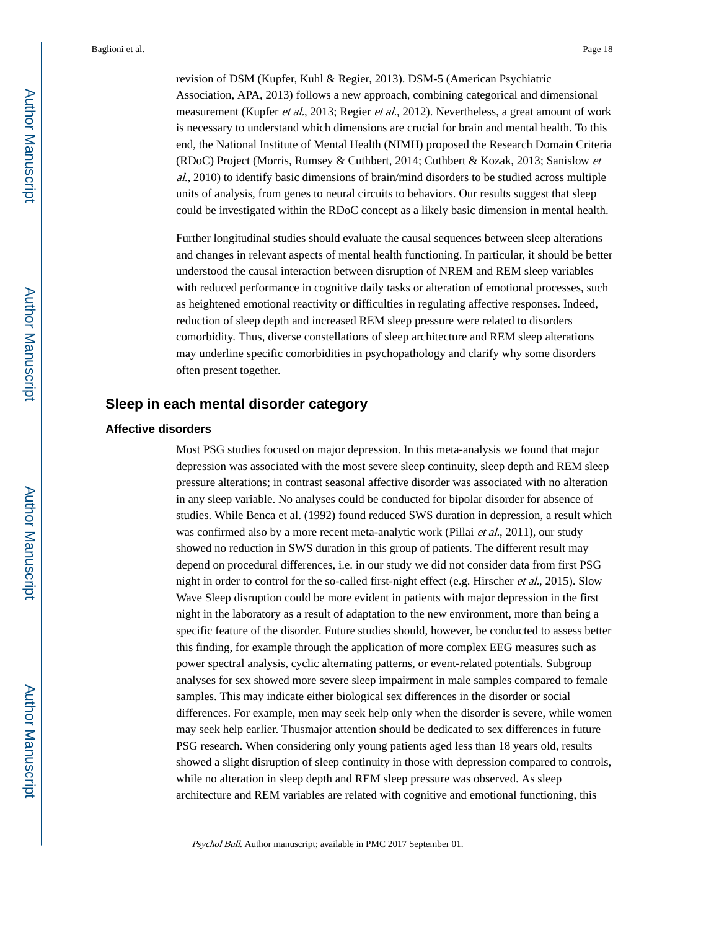revision of DSM (Kupfer, Kuhl & Regier, 2013). DSM-5 (American Psychiatric Association, APA, 2013) follows a new approach, combining categorical and dimensional measurement (Kupfer *et al.*, 2013; Regier *et al.*, 2012). Nevertheless, a great amount of work is necessary to understand which dimensions are crucial for brain and mental health. To this end, the National Institute of Mental Health (NIMH) proposed the Research Domain Criteria (RDoC) Project (Morris, Rumsey & Cuthbert, 2014; Cuthbert & Kozak, 2013; Sanislow et al., 2010) to identify basic dimensions of brain/mind disorders to be studied across multiple units of analysis, from genes to neural circuits to behaviors. Our results suggest that sleep could be investigated within the RDoC concept as a likely basic dimension in mental health.

Further longitudinal studies should evaluate the causal sequences between sleep alterations and changes in relevant aspects of mental health functioning. In particular, it should be better understood the causal interaction between disruption of NREM and REM sleep variables with reduced performance in cognitive daily tasks or alteration of emotional processes, such as heightened emotional reactivity or difficulties in regulating affective responses. Indeed, reduction of sleep depth and increased REM sleep pressure were related to disorders comorbidity. Thus, diverse constellations of sleep architecture and REM sleep alterations may underline specific comorbidities in psychopathology and clarify why some disorders often present together.

## **Sleep in each mental disorder category**

## **Affective disorders**

Most PSG studies focused on major depression. In this meta-analysis we found that major depression was associated with the most severe sleep continuity, sleep depth and REM sleep pressure alterations; in contrast seasonal affective disorder was associated with no alteration in any sleep variable. No analyses could be conducted for bipolar disorder for absence of studies. While Benca et al. (1992) found reduced SWS duration in depression, a result which was confirmed also by a more recent meta-analytic work (Pillai *et al.*, 2011), our study showed no reduction in SWS duration in this group of patients. The different result may depend on procedural differences, i.e. in our study we did not consider data from first PSG night in order to control for the so-called first-night effect (e.g. Hirscher et al., 2015). Slow Wave Sleep disruption could be more evident in patients with major depression in the first night in the laboratory as a result of adaptation to the new environment, more than being a specific feature of the disorder. Future studies should, however, be conducted to assess better this finding, for example through the application of more complex EEG measures such as power spectral analysis, cyclic alternating patterns, or event-related potentials. Subgroup analyses for sex showed more severe sleep impairment in male samples compared to female samples. This may indicate either biological sex differences in the disorder or social differences. For example, men may seek help only when the disorder is severe, while women may seek help earlier. Thusmajor attention should be dedicated to sex differences in future PSG research. When considering only young patients aged less than 18 years old, results showed a slight disruption of sleep continuity in those with depression compared to controls, while no alteration in sleep depth and REM sleep pressure was observed. As sleep architecture and REM variables are related with cognitive and emotional functioning, this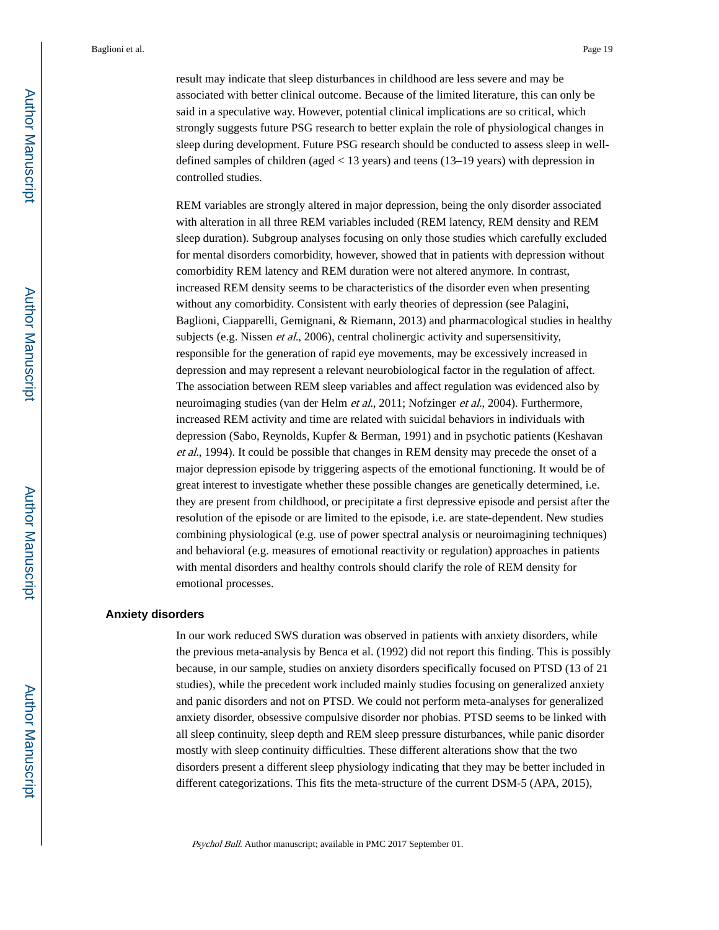result may indicate that sleep disturbances in childhood are less severe and may be associated with better clinical outcome. Because of the limited literature, this can only be said in a speculative way. However, potential clinical implications are so critical, which strongly suggests future PSG research to better explain the role of physiological changes in sleep during development. Future PSG research should be conducted to assess sleep in welldefined samples of children (aged < 13 years) and teens (13–19 years) with depression in controlled studies.

REM variables are strongly altered in major depression, being the only disorder associated with alteration in all three REM variables included (REM latency, REM density and REM sleep duration). Subgroup analyses focusing on only those studies which carefully excluded for mental disorders comorbidity, however, showed that in patients with depression without comorbidity REM latency and REM duration were not altered anymore. In contrast, increased REM density seems to be characteristics of the disorder even when presenting without any comorbidity. Consistent with early theories of depression (see Palagini, Baglioni, Ciapparelli, Gemignani, & Riemann, 2013) and pharmacological studies in healthy subjects (e.g. Nissen *et al.*, 2006), central cholinergic activity and supersensitivity, responsible for the generation of rapid eye movements, may be excessively increased in depression and may represent a relevant neurobiological factor in the regulation of affect. The association between REM sleep variables and affect regulation was evidenced also by neuroimaging studies (van der Helm *et al.*, 2011; Nofzinger *et al.*, 2004). Furthermore, increased REM activity and time are related with suicidal behaviors in individuals with depression (Sabo, Reynolds, Kupfer & Berman, 1991) and in psychotic patients (Keshavan et al., 1994). It could be possible that changes in REM density may precede the onset of a major depression episode by triggering aspects of the emotional functioning. It would be of great interest to investigate whether these possible changes are genetically determined, i.e. they are present from childhood, or precipitate a first depressive episode and persist after the resolution of the episode or are limited to the episode, i.e. are state-dependent. New studies combining physiological (e.g. use of power spectral analysis or neuroimagining techniques) and behavioral (e.g. measures of emotional reactivity or regulation) approaches in patients with mental disorders and healthy controls should clarify the role of REM density for emotional processes.

#### **Anxiety disorders**

In our work reduced SWS duration was observed in patients with anxiety disorders, while the previous meta-analysis by Benca et al. (1992) did not report this finding. This is possibly because, in our sample, studies on anxiety disorders specifically focused on PTSD (13 of 21 studies), while the precedent work included mainly studies focusing on generalized anxiety and panic disorders and not on PTSD. We could not perform meta-analyses for generalized anxiety disorder, obsessive compulsive disorder nor phobias. PTSD seems to be linked with all sleep continuity, sleep depth and REM sleep pressure disturbances, while panic disorder mostly with sleep continuity difficulties. These different alterations show that the two disorders present a different sleep physiology indicating that they may be better included in different categorizations. This fits the meta-structure of the current DSM-5 (APA, 2015),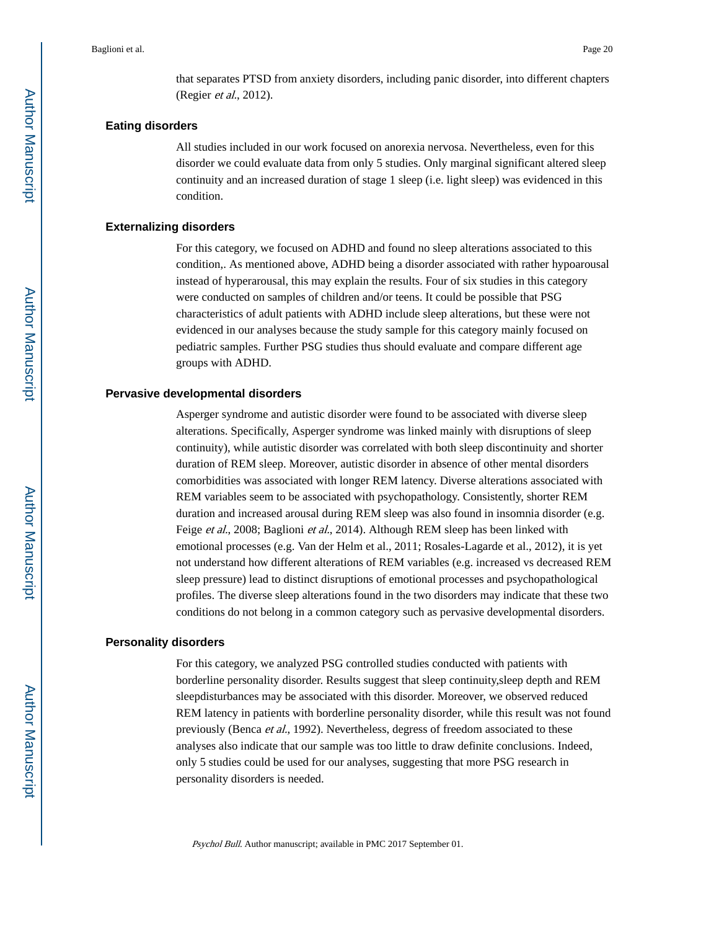that separates PTSD from anxiety disorders, including panic disorder, into different chapters (Regier et al., 2012).

#### **Eating disorders**

All studies included in our work focused on anorexia nervosa. Nevertheless, even for this disorder we could evaluate data from only 5 studies. Only marginal significant altered sleep continuity and an increased duration of stage 1 sleep (i.e. light sleep) was evidenced in this condition.

### **Externalizing disorders**

For this category, we focused on ADHD and found no sleep alterations associated to this condition,. As mentioned above, ADHD being a disorder associated with rather hypoarousal instead of hyperarousal, this may explain the results. Four of six studies in this category were conducted on samples of children and/or teens. It could be possible that PSG characteristics of adult patients with ADHD include sleep alterations, but these were not evidenced in our analyses because the study sample for this category mainly focused on pediatric samples. Further PSG studies thus should evaluate and compare different age groups with ADHD.

### **Pervasive developmental disorders**

Asperger syndrome and autistic disorder were found to be associated with diverse sleep alterations. Specifically, Asperger syndrome was linked mainly with disruptions of sleep continuity), while autistic disorder was correlated with both sleep discontinuity and shorter duration of REM sleep. Moreover, autistic disorder in absence of other mental disorders comorbidities was associated with longer REM latency. Diverse alterations associated with REM variables seem to be associated with psychopathology. Consistently, shorter REM duration and increased arousal during REM sleep was also found in insomnia disorder (e.g. Feige et al., 2008; Baglioni et al., 2014). Although REM sleep has been linked with emotional processes (e.g. Van der Helm et al., 2011; Rosales-Lagarde et al., 2012), it is yet not understand how different alterations of REM variables (e.g. increased vs decreased REM sleep pressure) lead to distinct disruptions of emotional processes and psychopathological profiles. The diverse sleep alterations found in the two disorders may indicate that these two conditions do not belong in a common category such as pervasive developmental disorders.

### **Personality disorders**

For this category, we analyzed PSG controlled studies conducted with patients with borderline personality disorder. Results suggest that sleep continuity,sleep depth and REM sleepdisturbances may be associated with this disorder. Moreover, we observed reduced REM latency in patients with borderline personality disorder, while this result was not found previously (Benca et al., 1992). Nevertheless, degress of freedom associated to these analyses also indicate that our sample was too little to draw definite conclusions. Indeed, only 5 studies could be used for our analyses, suggesting that more PSG research in personality disorders is needed.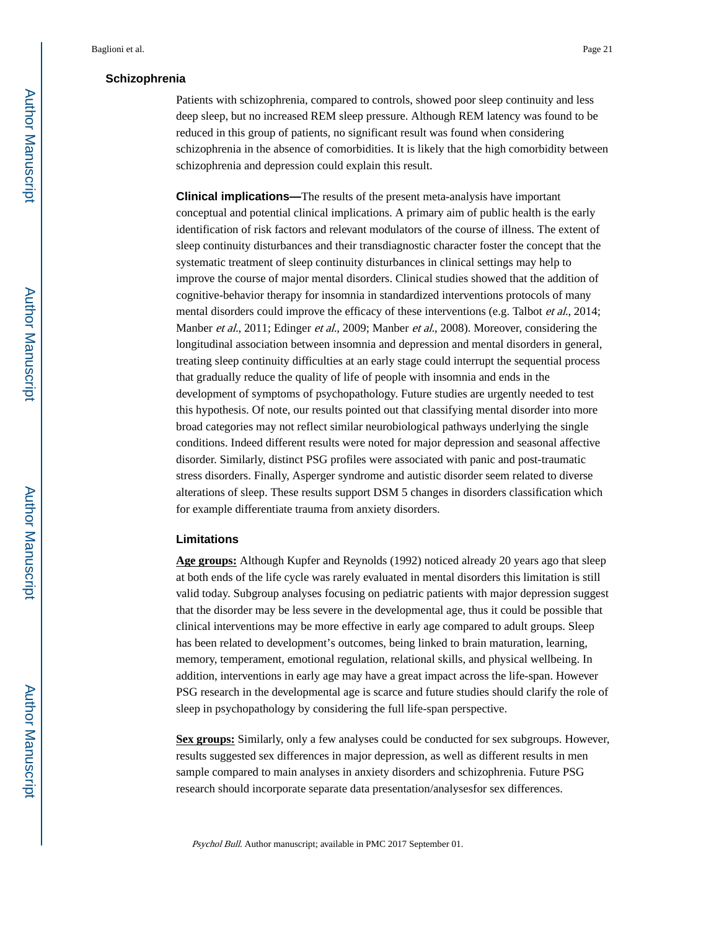## **Schizophrenia**

Patients with schizophrenia, compared to controls, showed poor sleep continuity and less deep sleep, but no increased REM sleep pressure. Although REM latency was found to be reduced in this group of patients, no significant result was found when considering schizophrenia in the absence of comorbidities. It is likely that the high comorbidity between schizophrenia and depression could explain this result.

**Clinical implications—**The results of the present meta-analysis have important conceptual and potential clinical implications. A primary aim of public health is the early identification of risk factors and relevant modulators of the course of illness. The extent of sleep continuity disturbances and their transdiagnostic character foster the concept that the systematic treatment of sleep continuity disturbances in clinical settings may help to improve the course of major mental disorders. Clinical studies showed that the addition of cognitive-behavior therapy for insomnia in standardized interventions protocols of many mental disorders could improve the efficacy of these interventions (e.g. Talbot *et al.*, 2014; Manber et al., 2011; Edinger et al., 2009; Manber et al., 2008). Moreover, considering the longitudinal association between insomnia and depression and mental disorders in general, treating sleep continuity difficulties at an early stage could interrupt the sequential process that gradually reduce the quality of life of people with insomnia and ends in the development of symptoms of psychopathology. Future studies are urgently needed to test this hypothesis. Of note, our results pointed out that classifying mental disorder into more broad categories may not reflect similar neurobiological pathways underlying the single conditions. Indeed different results were noted for major depression and seasonal affective disorder. Similarly, distinct PSG profiles were associated with panic and post-traumatic stress disorders. Finally, Asperger syndrome and autistic disorder seem related to diverse alterations of sleep. These results support DSM 5 changes in disorders classification which for example differentiate trauma from anxiety disorders.

#### **Limitations**

**Age groups:** Although Kupfer and Reynolds (1992) noticed already 20 years ago that sleep at both ends of the life cycle was rarely evaluated in mental disorders this limitation is still valid today. Subgroup analyses focusing on pediatric patients with major depression suggest that the disorder may be less severe in the developmental age, thus it could be possible that clinical interventions may be more effective in early age compared to adult groups. Sleep has been related to development's outcomes, being linked to brain maturation, learning, memory, temperament, emotional regulation, relational skills, and physical wellbeing. In addition, interventions in early age may have a great impact across the life-span. However PSG research in the developmental age is scarce and future studies should clarify the role of sleep in psychopathology by considering the full life-span perspective.

**Sex groups:** Similarly, only a few analyses could be conducted for sex subgroups. However, results suggested sex differences in major depression, as well as different results in men sample compared to main analyses in anxiety disorders and schizophrenia. Future PSG research should incorporate separate data presentation/analysesfor sex differences.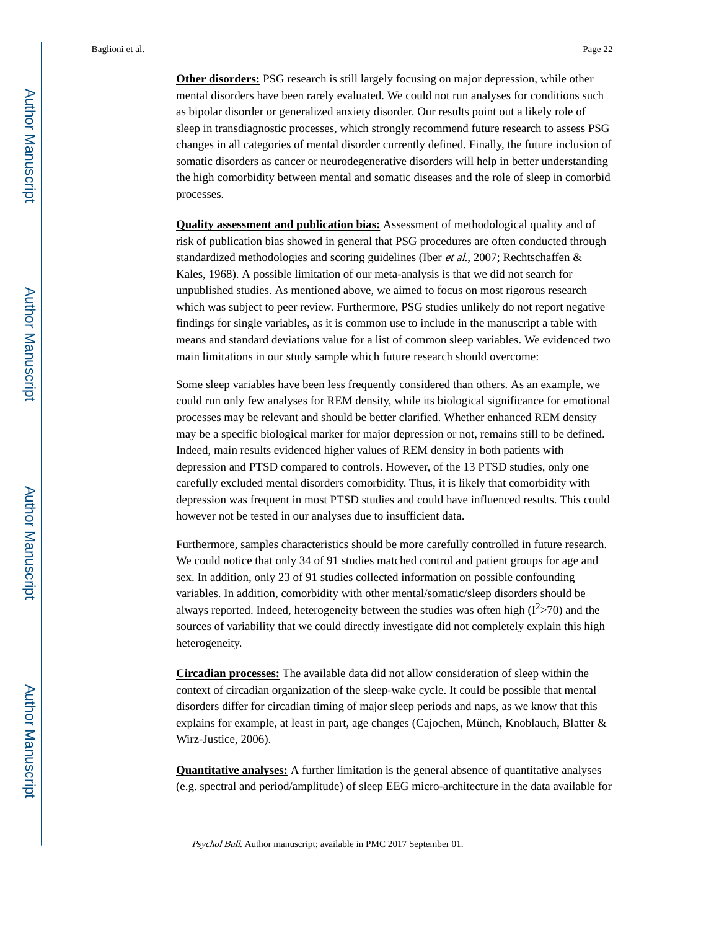**Other disorders:** PSG research is still largely focusing on major depression, while other mental disorders have been rarely evaluated. We could not run analyses for conditions such as bipolar disorder or generalized anxiety disorder. Our results point out a likely role of sleep in transdiagnostic processes, which strongly recommend future research to assess PSG changes in all categories of mental disorder currently defined. Finally, the future inclusion of somatic disorders as cancer or neurodegenerative disorders will help in better understanding the high comorbidity between mental and somatic diseases and the role of sleep in comorbid processes.

**Quality assessment and publication bias:** Assessment of methodological quality and of risk of publication bias showed in general that PSG procedures are often conducted through standardized methodologies and scoring guidelines (Iber et al., 2007; Rechtschaffen & Kales, 1968). A possible limitation of our meta-analysis is that we did not search for unpublished studies. As mentioned above, we aimed to focus on most rigorous research which was subject to peer review. Furthermore, PSG studies unlikely do not report negative findings for single variables, as it is common use to include in the manuscript a table with means and standard deviations value for a list of common sleep variables. We evidenced two main limitations in our study sample which future research should overcome:

Some sleep variables have been less frequently considered than others. As an example, we could run only few analyses for REM density, while its biological significance for emotional processes may be relevant and should be better clarified. Whether enhanced REM density may be a specific biological marker for major depression or not, remains still to be defined. Indeed, main results evidenced higher values of REM density in both patients with depression and PTSD compared to controls. However, of the 13 PTSD studies, only one carefully excluded mental disorders comorbidity. Thus, it is likely that comorbidity with depression was frequent in most PTSD studies and could have influenced results. This could however not be tested in our analyses due to insufficient data.

Furthermore, samples characteristics should be more carefully controlled in future research. We could notice that only 34 of 91 studies matched control and patient groups for age and sex. In addition, only 23 of 91 studies collected information on possible confounding variables. In addition, comorbidity with other mental/somatic/sleep disorders should be always reported. Indeed, heterogeneity between the studies was often high  $(I<sup>2</sup>>70)$  and the sources of variability that we could directly investigate did not completely explain this high heterogeneity.

**Circadian processes:** The available data did not allow consideration of sleep within the context of circadian organization of the sleep-wake cycle. It could be possible that mental disorders differ for circadian timing of major sleep periods and naps, as we know that this explains for example, at least in part, age changes (Cajochen, Münch, Knoblauch, Blatter & Wirz-Justice, 2006).

**Quantitative analyses:** A further limitation is the general absence of quantitative analyses (e.g. spectral and period/amplitude) of sleep EEG micro-architecture in the data available for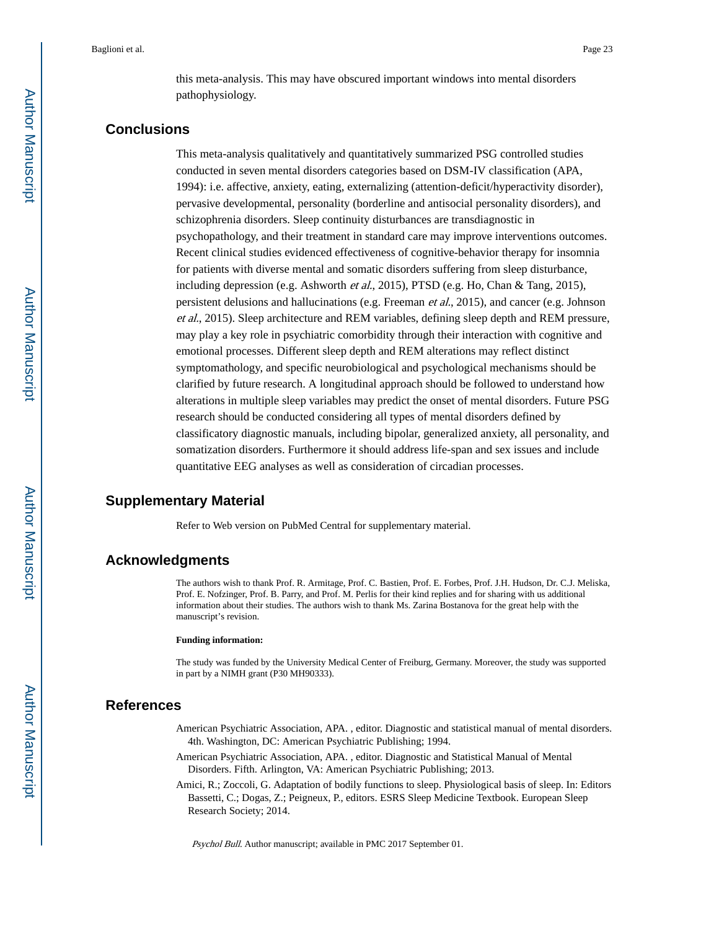this meta-analysis. This may have obscured important windows into mental disorders pathophysiology.

## **Conclusions**

This meta-analysis qualitatively and quantitatively summarized PSG controlled studies conducted in seven mental disorders categories based on DSM-IV classification (APA, 1994): i.e. affective, anxiety, eating, externalizing (attention-deficit/hyperactivity disorder), pervasive developmental, personality (borderline and antisocial personality disorders), and schizophrenia disorders. Sleep continuity disturbances are transdiagnostic in psychopathology, and their treatment in standard care may improve interventions outcomes. Recent clinical studies evidenced effectiveness of cognitive-behavior therapy for insomnia for patients with diverse mental and somatic disorders suffering from sleep disturbance, including depression (e.g. Ashworth *et al.*, 2015), PTSD (e.g. Ho, Chan & Tang, 2015), persistent delusions and hallucinations (e.g. Freeman et al., 2015), and cancer (e.g. Johnson et al., 2015). Sleep architecture and REM variables, defining sleep depth and REM pressure, may play a key role in psychiatric comorbidity through their interaction with cognitive and emotional processes. Different sleep depth and REM alterations may reflect distinct symptomathology, and specific neurobiological and psychological mechanisms should be clarified by future research. A longitudinal approach should be followed to understand how alterations in multiple sleep variables may predict the onset of mental disorders. Future PSG research should be conducted considering all types of mental disorders defined by classificatory diagnostic manuals, including bipolar, generalized anxiety, all personality, and somatization disorders. Furthermore it should address life-span and sex issues and include quantitative EEG analyses as well as consideration of circadian processes.

## **Supplementary Material**

Refer to Web version on PubMed Central for supplementary material.

## **Acknowledgments**

The authors wish to thank Prof. R. Armitage, Prof. C. Bastien, Prof. E. Forbes, Prof. J.H. Hudson, Dr. C.J. Meliska, Prof. E. Nofzinger, Prof. B. Parry, and Prof. M. Perlis for their kind replies and for sharing with us additional information about their studies. The authors wish to thank Ms. Zarina Bostanova for the great help with the manuscript's revision.

#### **Funding information:**

The study was funded by the University Medical Center of Freiburg, Germany. Moreover, the study was supported in part by a NIMH grant (P30 MH90333).

## **References**

- American Psychiatric Association, APA. , editor. Diagnostic and statistical manual of mental disorders. 4th. Washington, DC: American Psychiatric Publishing; 1994.
- American Psychiatric Association, APA. , editor. Diagnostic and Statistical Manual of Mental Disorders. Fifth. Arlington, VA: American Psychiatric Publishing; 2013.
- Amici, R.; Zoccoli, G. Adaptation of bodily functions to sleep. Physiological basis of sleep. In: Editors Bassetti, C.; Dogas, Z.; Peigneux, P., editors. ESRS Sleep Medicine Textbook. European Sleep Research Society; 2014.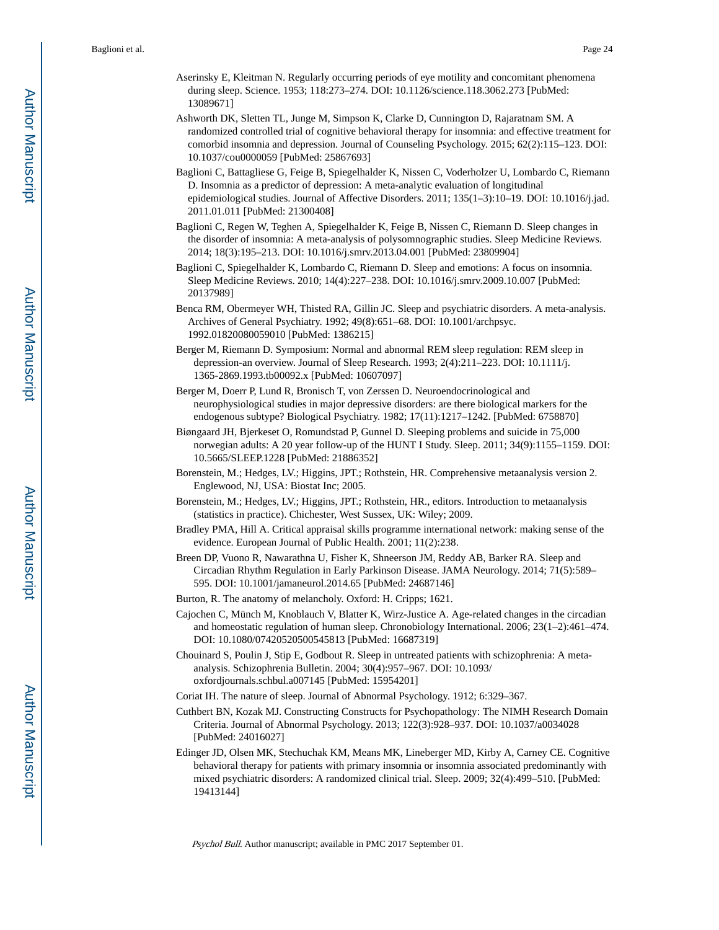- Aserinsky E, Kleitman N. Regularly occurring periods of eye motility and concomitant phenomena during sleep. Science. 1953; 118:273–274. DOI: 10.1126/science.118.3062.273 [PubMed: 13089671]
- Ashworth DK, Sletten TL, Junge M, Simpson K, Clarke D, Cunnington D, Rajaratnam SM. A randomized controlled trial of cognitive behavioral therapy for insomnia: and effective treatment for comorbid insomnia and depression. Journal of Counseling Psychology. 2015; 62(2):115–123. DOI: 10.1037/cou0000059 [PubMed: 25867693]
- Baglioni C, Battagliese G, Feige B, Spiegelhalder K, Nissen C, Voderholzer U, Lombardo C, Riemann D. Insomnia as a predictor of depression: A meta-analytic evaluation of longitudinal epidemiological studies. Journal of Affective Disorders. 2011; 135(1–3):10–19. DOI: 10.1016/j.jad. 2011.01.011 [PubMed: 21300408]
- Baglioni C, Regen W, Teghen A, Spiegelhalder K, Feige B, Nissen C, Riemann D. Sleep changes in the disorder of insomnia: A meta-analysis of polysomnographic studies. Sleep Medicine Reviews. 2014; 18(3):195–213. DOI: 10.1016/j.smrv.2013.04.001 [PubMed: 23809904]
- Baglioni C, Spiegelhalder K, Lombardo C, Riemann D. Sleep and emotions: A focus on insomnia. Sleep Medicine Reviews. 2010; 14(4):227–238. DOI: 10.1016/j.smrv.2009.10.007 [PubMed: 20137989]
- Benca RM, Obermeyer WH, Thisted RA, Gillin JC. Sleep and psychiatric disorders. A meta-analysis. Archives of General Psychiatry. 1992; 49(8):651–68. DOI: 10.1001/archpsyc. 1992.01820080059010 [PubMed: 1386215]
- Berger M, Riemann D. Symposium: Normal and abnormal REM sleep regulation: REM sleep in depression-an overview. Journal of Sleep Research. 1993; 2(4):211–223. DOI: 10.1111/j. 1365-2869.1993.tb00092.x [PubMed: 10607097]
- Berger M, Doerr P, Lund R, Bronisch T, von Zerssen D. Neuroendocrinological and neurophysiological studies in major depressive disorders: are there biological markers for the endogenous subtype? Biological Psychiatry. 1982; 17(11):1217–1242. [PubMed: 6758870]
- Biøngaard JH, Bjerkeset O, Romundstad P, Gunnel D. Sleeping problems and suicide in 75,000 norwegian adults: A 20 year follow-up of the HUNT I Study. Sleep. 2011; 34(9):1155–1159. DOI: 10.5665/SLEEP.1228 [PubMed: 21886352]
- Borenstein, M.; Hedges, LV.; Higgins, JPT.; Rothstein, HR. Comprehensive metaanalysis version 2. Englewood, NJ, USA: Biostat Inc; 2005.
- Borenstein, M.; Hedges, LV.; Higgins, JPT.; Rothstein, HR., editors. Introduction to metaanalysis (statistics in practice). Chichester, West Sussex, UK: Wiley; 2009.
- Bradley PMA, Hill A. Critical appraisal skills programme international network: making sense of the evidence. European Journal of Public Health. 2001; 11(2):238.
- Breen DP, Vuono R, Nawarathna U, Fisher K, Shneerson JM, Reddy AB, Barker RA. Sleep and Circadian Rhythm Regulation in Early Parkinson Disease. JAMA Neurology. 2014; 71(5):589– 595. DOI: 10.1001/jamaneurol.2014.65 [PubMed: 24687146]
- Burton, R. The anatomy of melancholy. Oxford: H. Cripps; 1621.
- Cajochen C, Münch M, Knoblauch V, Blatter K, Wirz-Justice A. Age-related changes in the circadian and homeostatic regulation of human sleep. Chronobiology International. 2006; 23(1–2):461–474. DOI: 10.1080/07420520500545813 [PubMed: 16687319]
- Chouinard S, Poulin J, Stip E, Godbout R. Sleep in untreated patients with schizophrenia: A metaanalysis. Schizophrenia Bulletin. 2004; 30(4):957–967. DOI: 10.1093/ oxfordjournals.schbul.a007145 [PubMed: 15954201]
- Coriat IH. The nature of sleep. Journal of Abnormal Psychology. 1912; 6:329–367.
- Cuthbert BN, Kozak MJ. Constructing Constructs for Psychopathology: The NIMH Research Domain Criteria. Journal of Abnormal Psychology. 2013; 122(3):928–937. DOI: 10.1037/a0034028 [PubMed: 24016027]
- Edinger JD, Olsen MK, Stechuchak KM, Means MK, Lineberger MD, Kirby A, Carney CE. Cognitive behavioral therapy for patients with primary insomnia or insomnia associated predominantly with mixed psychiatric disorders: A randomized clinical trial. Sleep. 2009; 32(4):499–510. [PubMed: 19413144]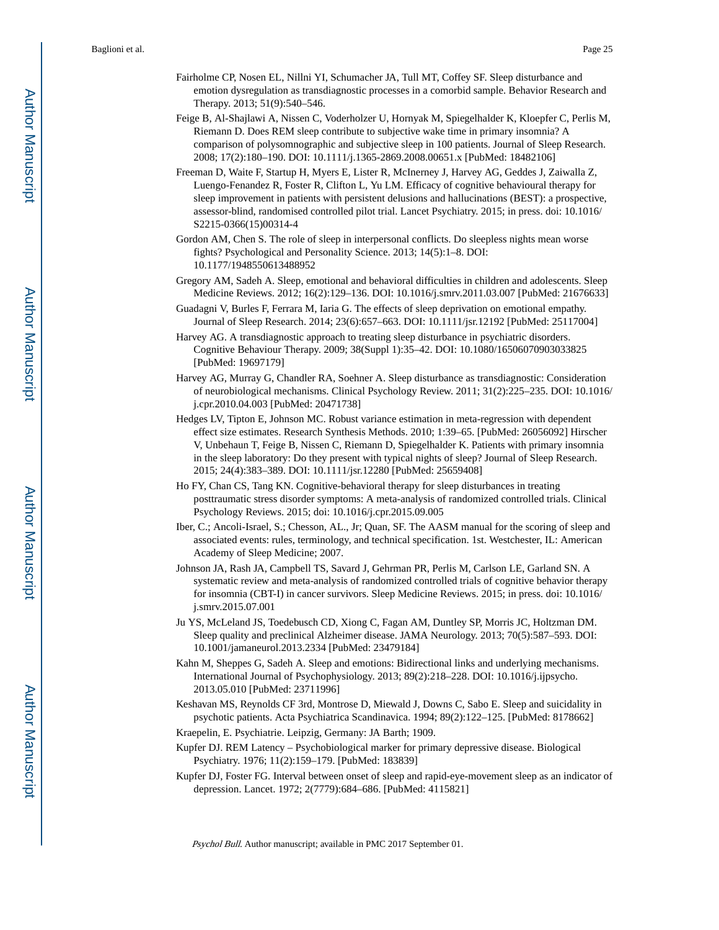- Fairholme CP, Nosen EL, Nillni YI, Schumacher JA, Tull MT, Coffey SF. Sleep disturbance and emotion dysregulation as transdiagnostic processes in a comorbid sample. Behavior Research and Therapy. 2013; 51(9):540–546.
- Feige B, Al-Shajlawi A, Nissen C, Voderholzer U, Hornyak M, Spiegelhalder K, Kloepfer C, Perlis M, Riemann D. Does REM sleep contribute to subjective wake time in primary insomnia? A comparison of polysomnographic and subjective sleep in 100 patients. Journal of Sleep Research. 2008; 17(2):180–190. DOI: 10.1111/j.1365-2869.2008.00651.x [PubMed: 18482106]
- Freeman D, Waite F, Startup H, Myers E, Lister R, McInerney J, Harvey AG, Geddes J, Zaiwalla Z, Luengo-Fenandez R, Foster R, Clifton L, Yu LM. Efficacy of cognitive behavioural therapy for sleep improvement in patients with persistent delusions and hallucinations (BEST): a prospective, assessor-blind, randomised controlled pilot trial. Lancet Psychiatry. 2015; in press. doi: 10.1016/ S2215-0366(15)00314-4
- Gordon AM, Chen S. The role of sleep in interpersonal conflicts. Do sleepless nights mean worse fights? Psychological and Personality Science. 2013; 14(5):1–8. DOI: 10.1177/1948550613488952
- Gregory AM, Sadeh A. Sleep, emotional and behavioral difficulties in children and adolescents. Sleep Medicine Reviews. 2012; 16(2):129–136. DOI: 10.1016/j.smrv.2011.03.007 [PubMed: 21676633]
- Guadagni V, Burles F, Ferrara M, Iaria G. The effects of sleep deprivation on emotional empathy. Journal of Sleep Research. 2014; 23(6):657–663. DOI: 10.1111/jsr.12192 [PubMed: 25117004]
- Harvey AG. A transdiagnostic approach to treating sleep disturbance in psychiatric disorders. Cognitive Behaviour Therapy. 2009; 38(Suppl 1):35–42. DOI: 10.1080/16506070903033825 [PubMed: 19697179]
- Harvey AG, Murray G, Chandler RA, Soehner A. Sleep disturbance as transdiagnostic: Consideration of neurobiological mechanisms. Clinical Psychology Review. 2011; 31(2):225–235. DOI: 10.1016/ j.cpr.2010.04.003 [PubMed: 20471738]
- Hedges LV, Tipton E, Johnson MC. Robust variance estimation in meta-regression with dependent effect size estimates. Research Synthesis Methods. 2010; 1:39–65. [PubMed: 26056092] Hirscher V, Unbehaun T, Feige B, Nissen C, Riemann D, Spiegelhalder K. Patients with primary insomnia in the sleep laboratory: Do they present with typical nights of sleep? Journal of Sleep Research. 2015; 24(4):383–389. DOI: 10.1111/jsr.12280 [PubMed: 25659408]
- Ho FY, Chan CS, Tang KN. Cognitive-behavioral therapy for sleep disturbances in treating posttraumatic stress disorder symptoms: A meta-analysis of randomized controlled trials. Clinical Psychology Reviews. 2015; doi: 10.1016/j.cpr.2015.09.005
- Iber, C.; Ancoli-Israel, S.; Chesson, AL., Jr; Quan, SF. The AASM manual for the scoring of sleep and associated events: rules, terminology, and technical specification. 1st. Westchester, IL: American Academy of Sleep Medicine; 2007.
- Johnson JA, Rash JA, Campbell TS, Savard J, Gehrman PR, Perlis M, Carlson LE, Garland SN. A systematic review and meta-analysis of randomized controlled trials of cognitive behavior therapy for insomnia (CBT-I) in cancer survivors. Sleep Medicine Reviews. 2015; in press. doi: 10.1016/ j.smrv.2015.07.001
- Ju YS, McLeland JS, Toedebusch CD, Xiong C, Fagan AM, Duntley SP, Morris JC, Holtzman DM. Sleep quality and preclinical Alzheimer disease. JAMA Neurology. 2013; 70(5):587–593. DOI: 10.1001/jamaneurol.2013.2334 [PubMed: 23479184]
- Kahn M, Sheppes G, Sadeh A. Sleep and emotions: Bidirectional links and underlying mechanisms. International Journal of Psychophysiology. 2013; 89(2):218–228. DOI: 10.1016/j.ijpsycho. 2013.05.010 [PubMed: 23711996]
- Keshavan MS, Reynolds CF 3rd, Montrose D, Miewald J, Downs C, Sabo E. Sleep and suicidality in psychotic patients. Acta Psychiatrica Scandinavica. 1994; 89(2):122–125. [PubMed: 8178662]
- Kraepelin, E. Psychiatrie. Leipzig, Germany: JA Barth; 1909.
- Kupfer DJ. REM Latency Psychobiological marker for primary depressive disease. Biological Psychiatry. 1976; 11(2):159–179. [PubMed: 183839]
- Kupfer DJ, Foster FG. Interval between onset of sleep and rapid-eye-movement sleep as an indicator of depression. Lancet. 1972; 2(7779):684–686. [PubMed: 4115821]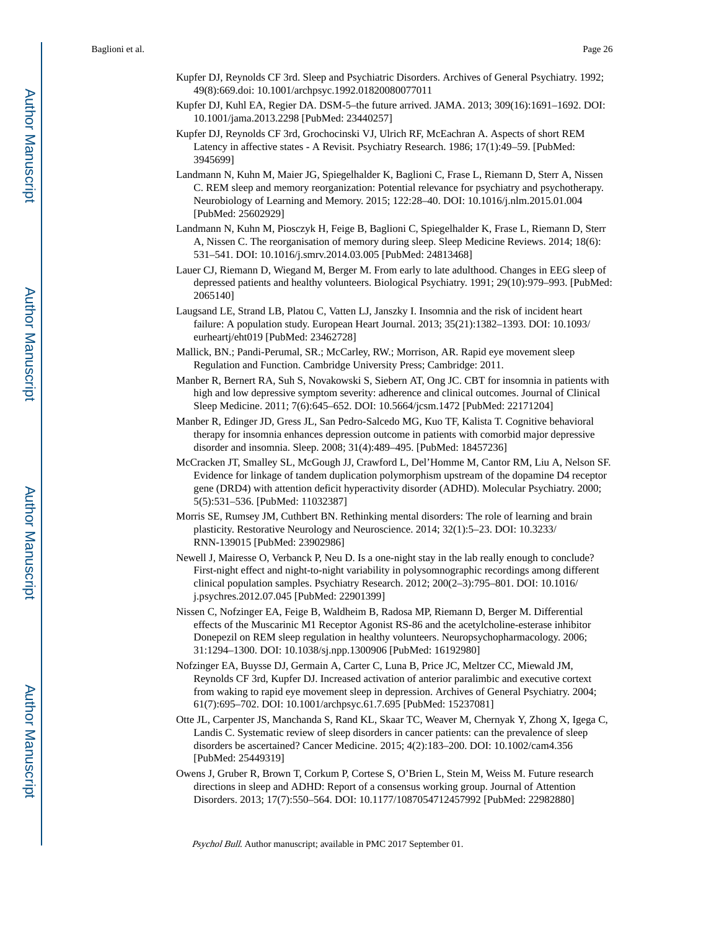- Kupfer DJ, Reynolds CF 3rd. Sleep and Psychiatric Disorders. Archives of General Psychiatry. 1992; 49(8):669.doi: 10.1001/archpsyc.1992.01820080077011
- Kupfer DJ, Kuhl EA, Regier DA. DSM-5–the future arrived. JAMA. 2013; 309(16):1691–1692. DOI: 10.1001/jama.2013.2298 [PubMed: 23440257]
- Kupfer DJ, Reynolds CF 3rd, Grochocinski VJ, Ulrich RF, McEachran A. Aspects of short REM Latency in affective states - A Revisit. Psychiatry Research. 1986; 17(1):49–59. [PubMed: 3945699]
- Landmann N, Kuhn M, Maier JG, Spiegelhalder K, Baglioni C, Frase L, Riemann D, Sterr A, Nissen C. REM sleep and memory reorganization: Potential relevance for psychiatry and psychotherapy. Neurobiology of Learning and Memory. 2015; 122:28–40. DOI: 10.1016/j.nlm.2015.01.004 [PubMed: 25602929]
- Landmann N, Kuhn M, Piosczyk H, Feige B, Baglioni C, Spiegelhalder K, Frase L, Riemann D, Sterr A, Nissen C. The reorganisation of memory during sleep. Sleep Medicine Reviews. 2014; 18(6): 531–541. DOI: 10.1016/j.smrv.2014.03.005 [PubMed: 24813468]
- Lauer CJ, Riemann D, Wiegand M, Berger M. From early to late adulthood. Changes in EEG sleep of depressed patients and healthy volunteers. Biological Psychiatry. 1991; 29(10):979–993. [PubMed: 2065140]
- Laugsand LE, Strand LB, Platou C, Vatten LJ, Janszky I. Insomnia and the risk of incident heart failure: A population study. European Heart Journal. 2013; 35(21):1382–1393. DOI: 10.1093/ eurheartj/eht019 [PubMed: 23462728]
- Mallick, BN.; Pandi-Perumal, SR.; McCarley, RW.; Morrison, AR. Rapid eye movement sleep Regulation and Function. Cambridge University Press; Cambridge: 2011.
- Manber R, Bernert RA, Suh S, Novakowski S, Siebern AT, Ong JC. CBT for insomnia in patients with high and low depressive symptom severity: adherence and clinical outcomes. Journal of Clinical Sleep Medicine. 2011; 7(6):645–652. DOI: 10.5664/jcsm.1472 [PubMed: 22171204]
- Manber R, Edinger JD, Gress JL, San Pedro-Salcedo MG, Kuo TF, Kalista T. Cognitive behavioral therapy for insomnia enhances depression outcome in patients with comorbid major depressive disorder and insomnia. Sleep. 2008; 31(4):489–495. [PubMed: 18457236]
- McCracken JT, Smalley SL, McGough JJ, Crawford L, Del'Homme M, Cantor RM, Liu A, Nelson SF. Evidence for linkage of tandem duplication polymorphism upstream of the dopamine D4 receptor gene (DRD4) with attention deficit hyperactivity disorder (ADHD). Molecular Psychiatry. 2000; 5(5):531–536. [PubMed: 11032387]
- Morris SE, Rumsey JM, Cuthbert BN. Rethinking mental disorders: The role of learning and brain plasticity. Restorative Neurology and Neuroscience. 2014; 32(1):5–23. DOI: 10.3233/ RNN-139015 [PubMed: 23902986]
- Newell J, Mairesse O, Verbanck P, Neu D. Is a one-night stay in the lab really enough to conclude? First-night effect and night-to-night variability in polysomnographic recordings among different clinical population samples. Psychiatry Research. 2012; 200(2–3):795–801. DOI: 10.1016/ j.psychres.2012.07.045 [PubMed: 22901399]
- Nissen C, Nofzinger EA, Feige B, Waldheim B, Radosa MP, Riemann D, Berger M. Differential effects of the Muscarinic M1 Receptor Agonist RS-86 and the acetylcholine-esterase inhibitor Donepezil on REM sleep regulation in healthy volunteers. Neuropsychopharmacology. 2006; 31:1294–1300. DOI: 10.1038/sj.npp.1300906 [PubMed: 16192980]
- Nofzinger EA, Buysse DJ, Germain A, Carter C, Luna B, Price JC, Meltzer CC, Miewald JM, Reynolds CF 3rd, Kupfer DJ. Increased activation of anterior paralimbic and executive cortext from waking to rapid eye movement sleep in depression. Archives of General Psychiatry. 2004; 61(7):695–702. DOI: 10.1001/archpsyc.61.7.695 [PubMed: 15237081]
- Otte JL, Carpenter JS, Manchanda S, Rand KL, Skaar TC, Weaver M, Chernyak Y, Zhong X, Igega C, Landis C. Systematic review of sleep disorders in cancer patients: can the prevalence of sleep disorders be ascertained? Cancer Medicine. 2015; 4(2):183–200. DOI: 10.1002/cam4.356 [PubMed: 25449319]
- Owens J, Gruber R, Brown T, Corkum P, Cortese S, O'Brien L, Stein M, Weiss M. Future research directions in sleep and ADHD: Report of a consensus working group. Journal of Attention Disorders. 2013; 17(7):550–564. DOI: 10.1177/1087054712457992 [PubMed: 22982880]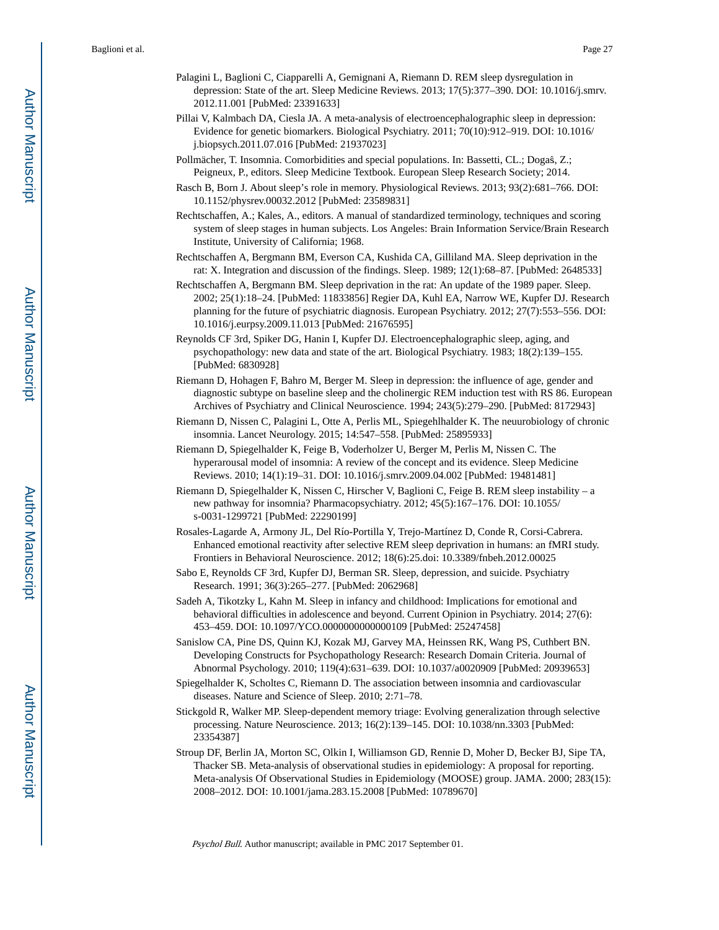- Palagini L, Baglioni C, Ciapparelli A, Gemignani A, Riemann D. REM sleep dysregulation in depression: State of the art. Sleep Medicine Reviews. 2013; 17(5):377–390. DOI: 10.1016/j.smrv. 2012.11.001 [PubMed: 23391633]
- Pillai V, Kalmbach DA, Ciesla JA. A meta-analysis of electroencephalographic sleep in depression: Evidence for genetic biomarkers. Biological Psychiatry. 2011; 70(10):912–919. DOI: 10.1016/ j.biopsych.2011.07.016 [PubMed: 21937023]
- Pollmächer, T. Insomnia. Comorbidities and special populations. In: Bassetti, CL.; Dogaŝ, Z.; Peigneux, P., editors. Sleep Medicine Textbook. European Sleep Research Society; 2014.
- Rasch B, Born J. About sleep's role in memory. Physiological Reviews. 2013; 93(2):681–766. DOI: 10.1152/physrev.00032.2012 [PubMed: 23589831]
- Rechtschaffen, A.; Kales, A., editors. A manual of standardized terminology, techniques and scoring system of sleep stages in human subjects. Los Angeles: Brain Information Service/Brain Research Institute, University of California; 1968.
- Rechtschaffen A, Bergmann BM, Everson CA, Kushida CA, Gilliland MA. Sleep deprivation in the rat: X. Integration and discussion of the findings. Sleep. 1989; 12(1):68–87. [PubMed: 2648533]
- Rechtschaffen A, Bergmann BM. Sleep deprivation in the rat: An update of the 1989 paper. Sleep. 2002; 25(1):18–24. [PubMed: 11833856] Regier DA, Kuhl EA, Narrow WE, Kupfer DJ. Research planning for the future of psychiatric diagnosis. European Psychiatry. 2012; 27(7):553–556. DOI: 10.1016/j.eurpsy.2009.11.013 [PubMed: 21676595]
- Reynolds CF 3rd, Spiker DG, Hanin I, Kupfer DJ. Electroencephalographic sleep, aging, and psychopathology: new data and state of the art. Biological Psychiatry. 1983; 18(2):139–155. [PubMed: 6830928]
- Riemann D, Hohagen F, Bahro M, Berger M. Sleep in depression: the influence of age, gender and diagnostic subtype on baseline sleep and the cholinergic REM induction test with RS 86. European Archives of Psychiatry and Clinical Neuroscience. 1994; 243(5):279–290. [PubMed: 8172943]
- Riemann D, Nissen C, Palagini L, Otte A, Perlis ML, Spiegehlhalder K. The neuurobiology of chronic insomnia. Lancet Neurology. 2015; 14:547–558. [PubMed: 25895933]
- Riemann D, Spiegelhalder K, Feige B, Voderholzer U, Berger M, Perlis M, Nissen C. The hyperarousal model of insomnia: A review of the concept and its evidence. Sleep Medicine Reviews. 2010; 14(1):19–31. DOI: 10.1016/j.smrv.2009.04.002 [PubMed: 19481481]
- Riemann D, Spiegelhalder K, Nissen C, Hirscher V, Baglioni C, Feige B. REM sleep instability a new pathway for insomnia? Pharmacopsychiatry. 2012; 45(5):167–176. DOI: 10.1055/ s-0031-1299721 [PubMed: 22290199]
- Rosales-Lagarde A, Armony JL, Del Río-Portilla Y, Trejo-Martínez D, Conde R, Corsi-Cabrera. Enhanced emotional reactivity after selective REM sleep deprivation in humans: an fMRI study. Frontiers in Behavioral Neuroscience. 2012; 18(6):25.doi: 10.3389/fnbeh.2012.00025
- Sabo E, Reynolds CF 3rd, Kupfer DJ, Berman SR. Sleep, depression, and suicide. Psychiatry Research. 1991; 36(3):265–277. [PubMed: 2062968]
- Sadeh A, Tikotzky L, Kahn M. Sleep in infancy and childhood: Implications for emotional and behavioral difficulties in adolescence and beyond. Current Opinion in Psychiatry. 2014; 27(6): 453–459. DOI: 10.1097/YCO.0000000000000109 [PubMed: 25247458]
- Sanislow CA, Pine DS, Quinn KJ, Kozak MJ, Garvey MA, Heinssen RK, Wang PS, Cuthbert BN. Developing Constructs for Psychopathology Research: Research Domain Criteria. Journal of Abnormal Psychology. 2010; 119(4):631–639. DOI: 10.1037/a0020909 [PubMed: 20939653]
- Spiegelhalder K, Scholtes C, Riemann D. The association between insomnia and cardiovascular diseases. Nature and Science of Sleep. 2010; 2:71–78.
- Stickgold R, Walker MP. Sleep-dependent memory triage: Evolving generalization through selective processing. Nature Neuroscience. 2013; 16(2):139–145. DOI: 10.1038/nn.3303 [PubMed: 23354387]
- Stroup DF, Berlin JA, Morton SC, Olkin I, Williamson GD, Rennie D, Moher D, Becker BJ, Sipe TA, Thacker SB. Meta-analysis of observational studies in epidemiology: A proposal for reporting. Meta-analysis Of Observational Studies in Epidemiology (MOOSE) group. JAMA. 2000; 283(15): 2008–2012. DOI: 10.1001/jama.283.15.2008 [PubMed: 10789670]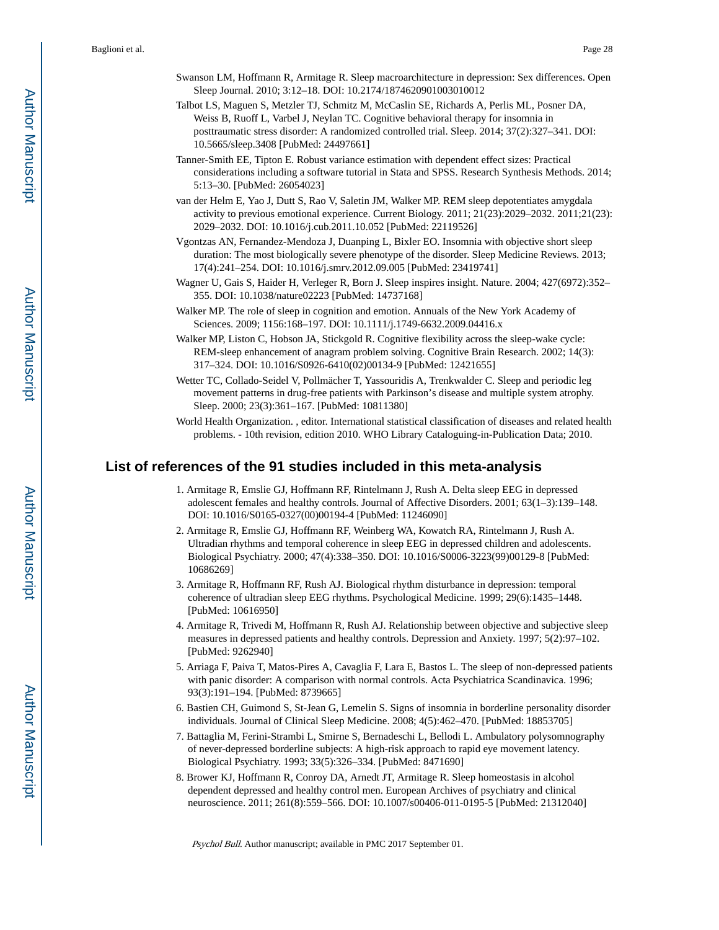- Swanson LM, Hoffmann R, Armitage R. Sleep macroarchitecture in depression: Sex differences. Open Sleep Journal. 2010; 3:12–18. DOI: 10.2174/1874620901003010012
- Talbot LS, Maguen S, Metzler TJ, Schmitz M, McCaslin SE, Richards A, Perlis ML, Posner DA, Weiss B, Ruoff L, Varbel J, Neylan TC. Cognitive behavioral therapy for insomnia in posttraumatic stress disorder: A randomized controlled trial. Sleep. 2014; 37(2):327–341. DOI: 10.5665/sleep.3408 [PubMed: 24497661]
- Tanner-Smith EE, Tipton E. Robust variance estimation with dependent effect sizes: Practical considerations including a software tutorial in Stata and SPSS. Research Synthesis Methods. 2014; 5:13–30. [PubMed: 26054023]
- van der Helm E, Yao J, Dutt S, Rao V, Saletin JM, Walker MP. REM sleep depotentiates amygdala activity to previous emotional experience. Current Biology. 2011; 21(23):2029–2032. 2011;21(23): 2029–2032. DOI: 10.1016/j.cub.2011.10.052 [PubMed: 22119526]
- Vgontzas AN, Fernandez-Mendoza J, Duanping L, Bixler EO. Insomnia with objective short sleep duration: The most biologically severe phenotype of the disorder. Sleep Medicine Reviews. 2013; 17(4):241–254. DOI: 10.1016/j.smrv.2012.09.005 [PubMed: 23419741]
- Wagner U, Gais S, Haider H, Verleger R, Born J. Sleep inspires insight. Nature. 2004; 427(6972):352– 355. DOI: 10.1038/nature02223 [PubMed: 14737168]
- Walker MP. The role of sleep in cognition and emotion. Annuals of the New York Academy of Sciences. 2009; 1156:168–197. DOI: 10.1111/j.1749-6632.2009.04416.x
- Walker MP, Liston C, Hobson JA, Stickgold R. Cognitive flexibility across the sleep-wake cycle: REM-sleep enhancement of anagram problem solving. Cognitive Brain Research. 2002; 14(3): 317–324. DOI: 10.1016/S0926-6410(02)00134-9 [PubMed: 12421655]
- Wetter TC, Collado-Seidel V, Pollmächer T, Yassouridis A, Trenkwalder C. Sleep and periodic leg movement patterns in drug-free patients with Parkinson's disease and multiple system atrophy. Sleep. 2000; 23(3):361–167. [PubMed: 10811380]
- World Health Organization. , editor. International statistical classification of diseases and related health problems. - 10th revision, edition 2010. WHO Library Cataloguing-in-Publication Data; 2010.

## **List of references of the 91 studies included in this meta-analysis**

- 1. Armitage R, Emslie GJ, Hoffmann RF, Rintelmann J, Rush A. Delta sleep EEG in depressed adolescent females and healthy controls. Journal of Affective Disorders. 2001; 63(1–3):139–148. DOI: 10.1016/S0165-0327(00)00194-4 [PubMed: 11246090]
- 2. Armitage R, Emslie GJ, Hoffmann RF, Weinberg WA, Kowatch RA, Rintelmann J, Rush A. Ultradian rhythms and temporal coherence in sleep EEG in depressed children and adolescents. Biological Psychiatry. 2000; 47(4):338–350. DOI: 10.1016/S0006-3223(99)00129-8 [PubMed: 10686269]
- 3. Armitage R, Hoffmann RF, Rush AJ. Biological rhythm disturbance in depression: temporal coherence of ultradian sleep EEG rhythms. Psychological Medicine. 1999; 29(6):1435–1448. [PubMed: 10616950]
- 4. Armitage R, Trivedi M, Hoffmann R, Rush AJ. Relationship between objective and subjective sleep measures in depressed patients and healthy controls. Depression and Anxiety. 1997; 5(2):97–102. [PubMed: 9262940]
- 5. Arriaga F, Paiva T, Matos-Pires A, Cavaglia F, Lara E, Bastos L. The sleep of non-depressed patients with panic disorder: A comparison with normal controls. Acta Psychiatrica Scandinavica. 1996; 93(3):191–194. [PubMed: 8739665]
- 6. Bastien CH, Guimond S, St-Jean G, Lemelin S. Signs of insomnia in borderline personality disorder individuals. Journal of Clinical Sleep Medicine. 2008; 4(5):462–470. [PubMed: 18853705]
- 7. Battaglia M, Ferini-Strambi L, Smirne S, Bernadeschi L, Bellodi L. Ambulatory polysomnography of never-depressed borderline subjects: A high-risk approach to rapid eye movement latency. Biological Psychiatry. 1993; 33(5):326–334. [PubMed: 8471690]
- 8. Brower KJ, Hoffmann R, Conroy DA, Arnedt JT, Armitage R. Sleep homeostasis in alcohol dependent depressed and healthy control men. European Archives of psychiatry and clinical neuroscience. 2011; 261(8):559–566. DOI: 10.1007/s00406-011-0195-5 [PubMed: 21312040]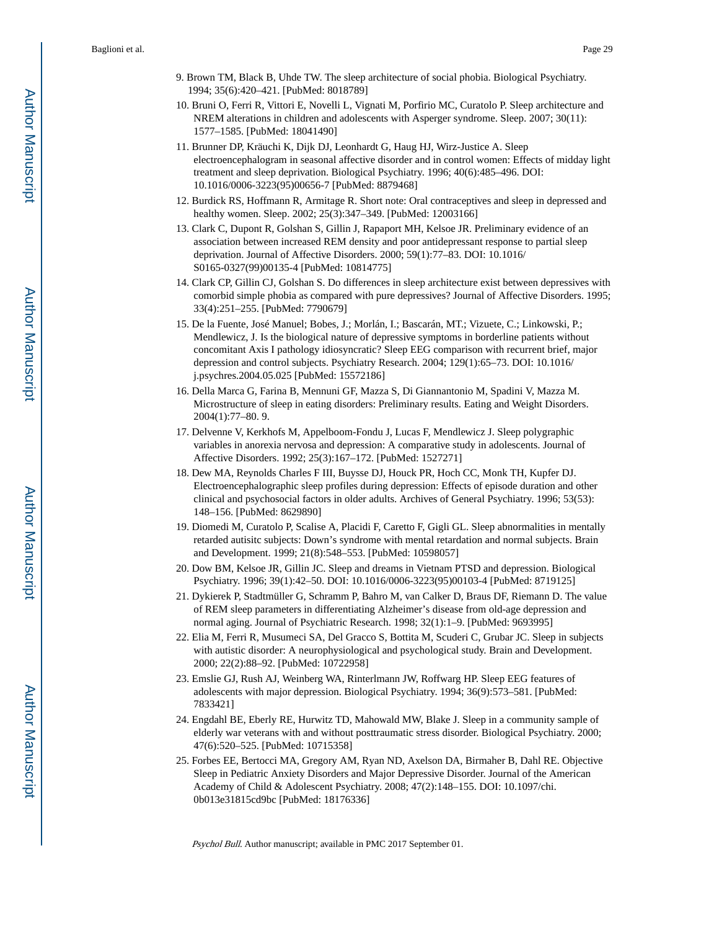- 9. Brown TM, Black B, Uhde TW. The sleep architecture of social phobia. Biological Psychiatry. 1994; 35(6):420–421. [PubMed: 8018789]
- 10. Bruni O, Ferri R, Vittori E, Novelli L, Vignati M, Porfirio MC, Curatolo P. Sleep architecture and NREM alterations in children and adolescents with Asperger syndrome. Sleep. 2007; 30(11): 1577–1585. [PubMed: 18041490]
- 11. Brunner DP, Kräuchi K, Dijk DJ, Leonhardt G, Haug HJ, Wirz-Justice A. Sleep electroencephalogram in seasonal affective disorder and in control women: Effects of midday light treatment and sleep deprivation. Biological Psychiatry. 1996; 40(6):485–496. DOI: 10.1016/0006-3223(95)00656-7 [PubMed: 8879468]
- 12. Burdick RS, Hoffmann R, Armitage R. Short note: Oral contraceptives and sleep in depressed and healthy women. Sleep. 2002; 25(3):347–349. [PubMed: 12003166]
- 13. Clark C, Dupont R, Golshan S, Gillin J, Rapaport MH, Kelsoe JR. Preliminary evidence of an association between increased REM density and poor antidepressant response to partial sleep deprivation. Journal of Affective Disorders. 2000; 59(1):77–83. DOI: 10.1016/ S0165-0327(99)00135-4 [PubMed: 10814775]
- 14. Clark CP, Gillin CJ, Golshan S. Do differences in sleep architecture exist between depressives with comorbid simple phobia as compared with pure depressives? Journal of Affective Disorders. 1995; 33(4):251–255. [PubMed: 7790679]
- 15. De la Fuente, José Manuel; Bobes, J.; Morlán, I.; Bascarán, MT.; Vizuete, C.; Linkowski, P.; Mendlewicz, J. Is the biological nature of depressive symptoms in borderline patients without concomitant Axis I pathology idiosyncratic? Sleep EEG comparison with recurrent brief, major depression and control subjects. Psychiatry Research. 2004; 129(1):65–73. DOI: 10.1016/ j.psychres.2004.05.025 [PubMed: 15572186]
- 16. Della Marca G, Farina B, Mennuni GF, Mazza S, Di Giannantonio M, Spadini V, Mazza M. Microstructure of sleep in eating disorders: Preliminary results. Eating and Weight Disorders. 2004(1):77–80. 9.
- 17. Delvenne V, Kerkhofs M, Appelboom-Fondu J, Lucas F, Mendlewicz J. Sleep polygraphic variables in anorexia nervosa and depression: A comparative study in adolescents. Journal of Affective Disorders. 1992; 25(3):167–172. [PubMed: 1527271]
- 18. Dew MA, Reynolds Charles F III, Buysse DJ, Houck PR, Hoch CC, Monk TH, Kupfer DJ. Electroencephalographic sleep profiles during depression: Effects of episode duration and other clinical and psychosocial factors in older adults. Archives of General Psychiatry. 1996; 53(53): 148–156. [PubMed: 8629890]
- 19. Diomedi M, Curatolo P, Scalise A, Placidi F, Caretto F, Gigli GL. Sleep abnormalities in mentally retarded autisitc subjects: Down's syndrome with mental retardation and normal subjects. Brain and Development. 1999; 21(8):548–553. [PubMed: 10598057]
- 20. Dow BM, Kelsoe JR, Gillin JC. Sleep and dreams in Vietnam PTSD and depression. Biological Psychiatry. 1996; 39(1):42–50. DOI: 10.1016/0006-3223(95)00103-4 [PubMed: 8719125]
- 21. Dykierek P, Stadtmüller G, Schramm P, Bahro M, van Calker D, Braus DF, Riemann D. The value of REM sleep parameters in differentiating Alzheimer's disease from old-age depression and normal aging. Journal of Psychiatric Research. 1998; 32(1):1–9. [PubMed: 9693995]
- 22. Elia M, Ferri R, Musumeci SA, Del Gracco S, Bottita M, Scuderi C, Grubar JC. Sleep in subjects with autistic disorder: A neurophysiological and psychological study. Brain and Development. 2000; 22(2):88–92. [PubMed: 10722958]
- 23. Emslie GJ, Rush AJ, Weinberg WA, Rinterlmann JW, Roffwarg HP. Sleep EEG features of adolescents with major depression. Biological Psychiatry. 1994; 36(9):573–581. [PubMed: 7833421]
- 24. Engdahl BE, Eberly RE, Hurwitz TD, Mahowald MW, Blake J. Sleep in a community sample of elderly war veterans with and without posttraumatic stress disorder. Biological Psychiatry. 2000; 47(6):520–525. [PubMed: 10715358]
- 25. Forbes EE, Bertocci MA, Gregory AM, Ryan ND, Axelson DA, Birmaher B, Dahl RE. Objective Sleep in Pediatric Anxiety Disorders and Major Depressive Disorder. Journal of the American Academy of Child & Adolescent Psychiatry. 2008; 47(2):148–155. DOI: 10.1097/chi. 0b013e31815cd9bc [PubMed: 18176336]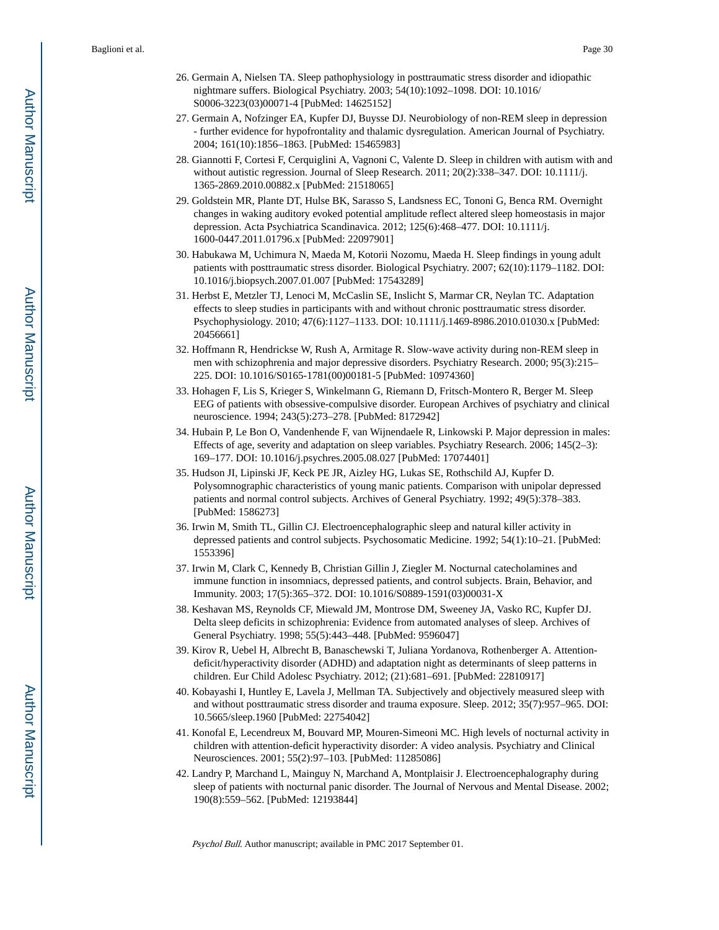- 26. Germain A, Nielsen TA. Sleep pathophysiology in posttraumatic stress disorder and idiopathic nightmare suffers. Biological Psychiatry. 2003; 54(10):1092–1098. DOI: 10.1016/ S0006-3223(03)00071-4 [PubMed: 14625152]
- 27. Germain A, Nofzinger EA, Kupfer DJ, Buysse DJ. Neurobiology of non-REM sleep in depression - further evidence for hypofrontality and thalamic dysregulation. American Journal of Psychiatry. 2004; 161(10):1856–1863. [PubMed: 15465983]
- 28. Giannotti F, Cortesi F, Cerquiglini A, Vagnoni C, Valente D. Sleep in children with autism with and without autistic regression. Journal of Sleep Research. 2011; 20(2):338–347. DOI: 10.1111/j. 1365-2869.2010.00882.x [PubMed: 21518065]
- 29. Goldstein MR, Plante DT, Hulse BK, Sarasso S, Landsness EC, Tononi G, Benca RM. Overnight changes in waking auditory evoked potential amplitude reflect altered sleep homeostasis in major depression. Acta Psychiatrica Scandinavica. 2012; 125(6):468–477. DOI: 10.1111/j. 1600-0447.2011.01796.x [PubMed: 22097901]
- 30. Habukawa M, Uchimura N, Maeda M, Kotorii Nozomu, Maeda H. Sleep findings in young adult patients with posttraumatic stress disorder. Biological Psychiatry. 2007; 62(10):1179–1182. DOI: 10.1016/j.biopsych.2007.01.007 [PubMed: 17543289]
- 31. Herbst E, Metzler TJ, Lenoci M, McCaslin SE, Inslicht S, Marmar CR, Neylan TC. Adaptation effects to sleep studies in participants with and without chronic posttraumatic stress disorder. Psychophysiology. 2010; 47(6):1127–1133. DOI: 10.1111/j.1469-8986.2010.01030.x [PubMed: 20456661]
- 32. Hoffmann R, Hendrickse W, Rush A, Armitage R. Slow-wave activity during non-REM sleep in men with schizophrenia and major depressive disorders. Psychiatry Research. 2000; 95(3):215– 225. DOI: 10.1016/S0165-1781(00)00181-5 [PubMed: 10974360]
- 33. Hohagen F, Lis S, Krieger S, Winkelmann G, Riemann D, Fritsch-Montero R, Berger M. Sleep EEG of patients with obsessive-compulsive disorder. European Archives of psychiatry and clinical neuroscience. 1994; 243(5):273–278. [PubMed: 8172942]
- 34. Hubain P, Le Bon O, Vandenhende F, van Wijnendaele R, Linkowski P. Major depression in males: Effects of age, severity and adaptation on sleep variables. Psychiatry Research. 2006; 145(2–3): 169–177. DOI: 10.1016/j.psychres.2005.08.027 [PubMed: 17074401]
- 35. Hudson JI, Lipinski JF, Keck PE JR, Aizley HG, Lukas SE, Rothschild AJ, Kupfer D. Polysomnographic characteristics of young manic patients. Comparison with unipolar depressed patients and normal control subjects. Archives of General Psychiatry. 1992; 49(5):378–383. [PubMed: 1586273]
- 36. Irwin M, Smith TL, Gillin CJ. Electroencephalographic sleep and natural killer activity in depressed patients and control subjects. Psychosomatic Medicine. 1992; 54(1):10–21. [PubMed: 1553396]
- 37. Irwin M, Clark C, Kennedy B, Christian Gillin J, Ziegler M. Nocturnal catecholamines and immune function in insomniacs, depressed patients, and control subjects. Brain, Behavior, and Immunity. 2003; 17(5):365–372. DOI: 10.1016/S0889-1591(03)00031-X
- 38. Keshavan MS, Reynolds CF, Miewald JM, Montrose DM, Sweeney JA, Vasko RC, Kupfer DJ. Delta sleep deficits in schizophrenia: Evidence from automated analyses of sleep. Archives of General Psychiatry. 1998; 55(5):443–448. [PubMed: 9596047]
- 39. Kirov R, Uebel H, Albrecht B, Banaschewski T, Juliana Yordanova, Rothenberger A. Attentiondeficit/hyperactivity disorder (ADHD) and adaptation night as determinants of sleep patterns in children. Eur Child Adolesc Psychiatry. 2012; (21):681–691. [PubMed: 22810917]
- 40. Kobayashi I, Huntley E, Lavela J, Mellman TA. Subjectively and objectively measured sleep with and without posttraumatic stress disorder and trauma exposure. Sleep. 2012; 35(7):957–965. DOI: 10.5665/sleep.1960 [PubMed: 22754042]
- 41. Konofal E, Lecendreux M, Bouvard MP, Mouren-Simeoni MC. High levels of nocturnal activity in children with attention-deficit hyperactivity disorder: A video analysis. Psychiatry and Clinical Neurosciences. 2001; 55(2):97–103. [PubMed: 11285086]
- 42. Landry P, Marchand L, Mainguy N, Marchand A, Montplaisir J. Electroencephalography during sleep of patients with nocturnal panic disorder. The Journal of Nervous and Mental Disease. 2002; 190(8):559–562. [PubMed: 12193844]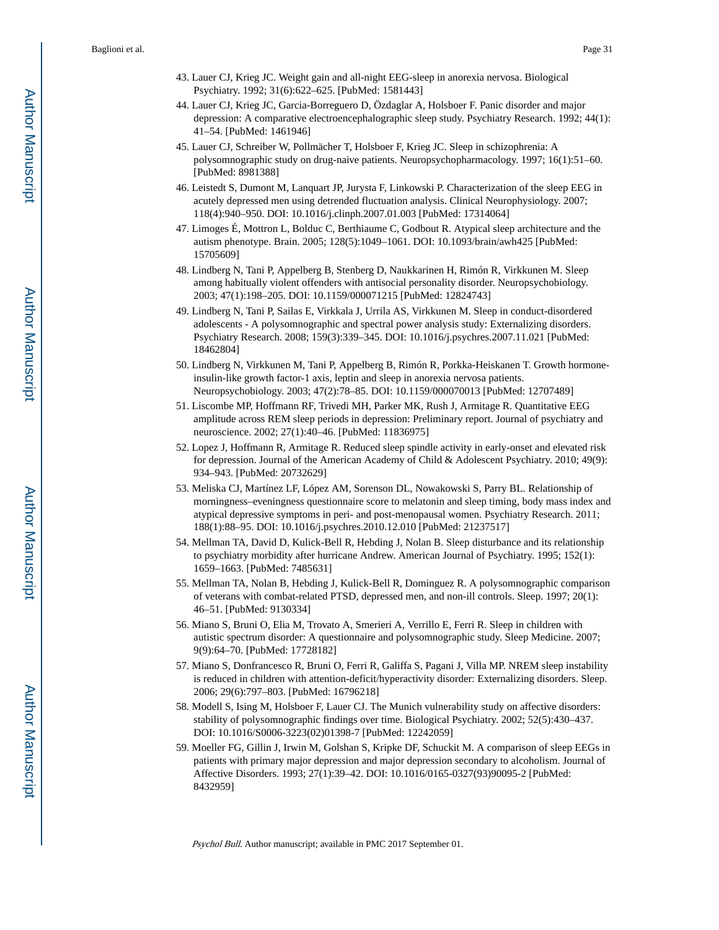- 43. Lauer CJ, Krieg JC. Weight gain and all-night EEG-sleep in anorexia nervosa. Biological Psychiatry. 1992; 31(6):622–625. [PubMed: 1581443]
- 44. Lauer CJ, Krieg JC, Garcia-Borreguero D, Özdaglar A, Holsboer F. Panic disorder and major depression: A comparative electroencephalographic sleep study. Psychiatry Research. 1992; 44(1): 41–54. [PubMed: 1461946]
- 45. Lauer CJ, Schreiber W, Pollmächer T, Holsboer F, Krieg JC. Sleep in schizophrenia: A polysomnographic study on drug-naive patients. Neuropsychopharmacology. 1997; 16(1):51–60. [PubMed: 8981388]
- 46. Leistedt S, Dumont M, Lanquart JP, Jurysta F, Linkowski P. Characterization of the sleep EEG in acutely depressed men using detrended fluctuation analysis. Clinical Neurophysiology. 2007; 118(4):940–950. DOI: 10.1016/j.clinph.2007.01.003 [PubMed: 17314064]
- 47. Limoges É, Mottron L, Bolduc C, Berthiaume C, Godbout R. Atypical sleep architecture and the autism phenotype. Brain. 2005; 128(5):1049–1061. DOI: 10.1093/brain/awh425 [PubMed: 15705609]
- 48. Lindberg N, Tani P, Appelberg B, Stenberg D, Naukkarinen H, Rimón R, Virkkunen M. Sleep among habitually violent offenders with antisocial personality disorder. Neuropsychobiology. 2003; 47(1):198–205. DOI: 10.1159/000071215 [PubMed: 12824743]
- 49. Lindberg N, Tani P, Sailas E, Virkkala J, Urrila AS, Virkkunen M. Sleep in conduct-disordered adolescents - A polysomnographic and spectral power analysis study: Externalizing disorders. Psychiatry Research. 2008; 159(3):339–345. DOI: 10.1016/j.psychres.2007.11.021 [PubMed: 18462804]
- 50. Lindberg N, Virkkunen M, Tani P, Appelberg B, Rimón R, Porkka-Heiskanen T. Growth hormoneinsulin-like growth factor-1 axis, leptin and sleep in anorexia nervosa patients. Neuropsychobiology. 2003; 47(2):78–85. DOI: 10.1159/000070013 [PubMed: 12707489]
- 51. Liscombe MP, Hoffmann RF, Trivedi MH, Parker MK, Rush J, Armitage R. Quantitative EEG amplitude across REM sleep periods in depression: Preliminary report. Journal of psychiatry and neuroscience. 2002; 27(1):40–46. [PubMed: 11836975]
- 52. Lopez J, Hoffmann R, Armitage R. Reduced sleep spindle activity in early-onset and elevated risk for depression. Journal of the American Academy of Child & Adolescent Psychiatry. 2010; 49(9): 934–943. [PubMed: 20732629]
- 53. Meliska CJ, Martínez LF, López AM, Sorenson DL, Nowakowski S, Parry BL. Relationship of morningness–eveningness questionnaire score to melatonin and sleep timing, body mass index and atypical depressive symptoms in peri- and post-menopausal women. Psychiatry Research. 2011; 188(1):88–95. DOI: 10.1016/j.psychres.2010.12.010 [PubMed: 21237517]
- 54. Mellman TA, David D, Kulick-Bell R, Hebding J, Nolan B. Sleep disturbance and its relationship to psychiatry morbidity after hurricane Andrew. American Journal of Psychiatry. 1995; 152(1): 1659–1663. [PubMed: 7485631]
- 55. Mellman TA, Nolan B, Hebding J, Kulick-Bell R, Dominguez R. A polysomnographic comparison of veterans with combat-related PTSD, depressed men, and non-ill controls. Sleep. 1997; 20(1): 46–51. [PubMed: 9130334]
- 56. Miano S, Bruni O, Elia M, Trovato A, Smerieri A, Verrillo E, Ferri R. Sleep in children with autistic spectrum disorder: A questionnaire and polysomnographic study. Sleep Medicine. 2007; 9(9):64–70. [PubMed: 17728182]
- 57. Miano S, Donfrancesco R, Bruni O, Ferri R, Galiffa S, Pagani J, Villa MP. NREM sleep instability is reduced in children with attention-deficit/hyperactivity disorder: Externalizing disorders. Sleep. 2006; 29(6):797–803. [PubMed: 16796218]
- 58. Modell S, Ising M, Holsboer F, Lauer CJ. The Munich vulnerability study on affective disorders: stability of polysomnographic findings over time. Biological Psychiatry. 2002; 52(5):430–437. DOI: 10.1016/S0006-3223(02)01398-7 [PubMed: 12242059]
- 59. Moeller FG, Gillin J, Irwin M, Golshan S, Kripke DF, Schuckit M. A comparison of sleep EEGs in patients with primary major depression and major depression secondary to alcoholism. Journal of Affective Disorders. 1993; 27(1):39–42. DOI: 10.1016/0165-0327(93)90095-2 [PubMed: 8432959]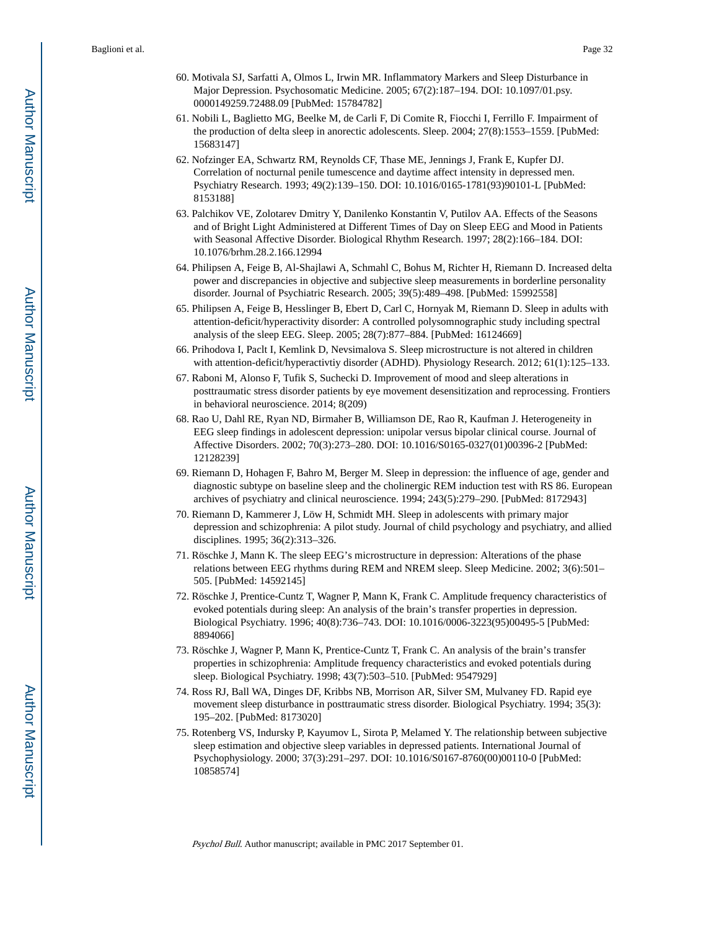- 60. Motivala SJ, Sarfatti A, Olmos L, Irwin MR. Inflammatory Markers and Sleep Disturbance in Major Depression. Psychosomatic Medicine. 2005; 67(2):187–194. DOI: 10.1097/01.psy. 0000149259.72488.09 [PubMed: 15784782]
- 61. Nobili L, Baglietto MG, Beelke M, de Carli F, Di Comite R, Fiocchi I, Ferrillo F. Impairment of the production of delta sleep in anorectic adolescents. Sleep. 2004; 27(8):1553–1559. [PubMed: 15683147]
- 62. Nofzinger EA, Schwartz RM, Reynolds CF, Thase ME, Jennings J, Frank E, Kupfer DJ. Correlation of nocturnal penile tumescence and daytime affect intensity in depressed men. Psychiatry Research. 1993; 49(2):139–150. DOI: 10.1016/0165-1781(93)90101-L [PubMed: 8153188]
- 63. Palchikov VE, Zolotarev Dmitry Y, Danilenko Konstantin V, Putilov AA. Effects of the Seasons and of Bright Light Administered at Different Times of Day on Sleep EEG and Mood in Patients with Seasonal Affective Disorder. Biological Rhythm Research. 1997; 28(2):166–184. DOI: 10.1076/brhm.28.2.166.12994
- 64. Philipsen A, Feige B, Al-Shajlawi A, Schmahl C, Bohus M, Richter H, Riemann D. Increased delta power and discrepancies in objective and subjective sleep measurements in borderline personality disorder. Journal of Psychiatric Research. 2005; 39(5):489–498. [PubMed: 15992558]
- 65. Philipsen A, Feige B, Hesslinger B, Ebert D, Carl C, Hornyak M, Riemann D. Sleep in adults with attention-deficit/hyperactivity disorder: A controlled polysomnographic study including spectral analysis of the sleep EEG. Sleep. 2005; 28(7):877–884. [PubMed: 16124669]
- 66. Prihodova I, Paclt I, Kemlink D, Nevsimalova S. Sleep microstructure is not altered in children with attention-deficit/hyperactivtiy disorder (ADHD). Physiology Research. 2012; 61(1):125–133.
- 67. Raboni M, Alonso F, Tufik S, Suchecki D. Improvement of mood and sleep alterations in posttraumatic stress disorder patients by eye movement desensitization and reprocessing. Frontiers in behavioral neuroscience. 2014; 8(209)
- 68. Rao U, Dahl RE, Ryan ND, Birmaher B, Williamson DE, Rao R, Kaufman J. Heterogeneity in EEG sleep findings in adolescent depression: unipolar versus bipolar clinical course. Journal of Affective Disorders. 2002; 70(3):273–280. DOI: 10.1016/S0165-0327(01)00396-2 [PubMed: 12128239]
- 69. Riemann D, Hohagen F, Bahro M, Berger M. Sleep in depression: the influence of age, gender and diagnostic subtype on baseline sleep and the cholinergic REM induction test with RS 86. European archives of psychiatry and clinical neuroscience. 1994; 243(5):279–290. [PubMed: 8172943]
- 70. Riemann D, Kammerer J, Löw H, Schmidt MH. Sleep in adolescents with primary major depression and schizophrenia: A pilot study. Journal of child psychology and psychiatry, and allied disciplines. 1995; 36(2):313–326.
- 71. Röschke J, Mann K. The sleep EEG's microstructure in depression: Alterations of the phase relations between EEG rhythms during REM and NREM sleep. Sleep Medicine. 2002; 3(6):501– 505. [PubMed: 14592145]
- 72. Röschke J, Prentice-Cuntz T, Wagner P, Mann K, Frank C. Amplitude frequency characteristics of evoked potentials during sleep: An analysis of the brain's transfer properties in depression. Biological Psychiatry. 1996; 40(8):736–743. DOI: 10.1016/0006-3223(95)00495-5 [PubMed: 8894066]
- 73. Röschke J, Wagner P, Mann K, Prentice-Cuntz T, Frank C. An analysis of the brain's transfer properties in schizophrenia: Amplitude frequency characteristics and evoked potentials during sleep. Biological Psychiatry. 1998; 43(7):503–510. [PubMed: 9547929]
- 74. Ross RJ, Ball WA, Dinges DF, Kribbs NB, Morrison AR, Silver SM, Mulvaney FD. Rapid eye movement sleep disturbance in posttraumatic stress disorder. Biological Psychiatry. 1994; 35(3): 195–202. [PubMed: 8173020]
- 75. Rotenberg VS, Indursky P, Kayumov L, Sirota P, Melamed Y. The relationship between subjective sleep estimation and objective sleep variables in depressed patients. International Journal of Psychophysiology. 2000; 37(3):291–297. DOI: 10.1016/S0167-8760(00)00110-0 [PubMed: 10858574]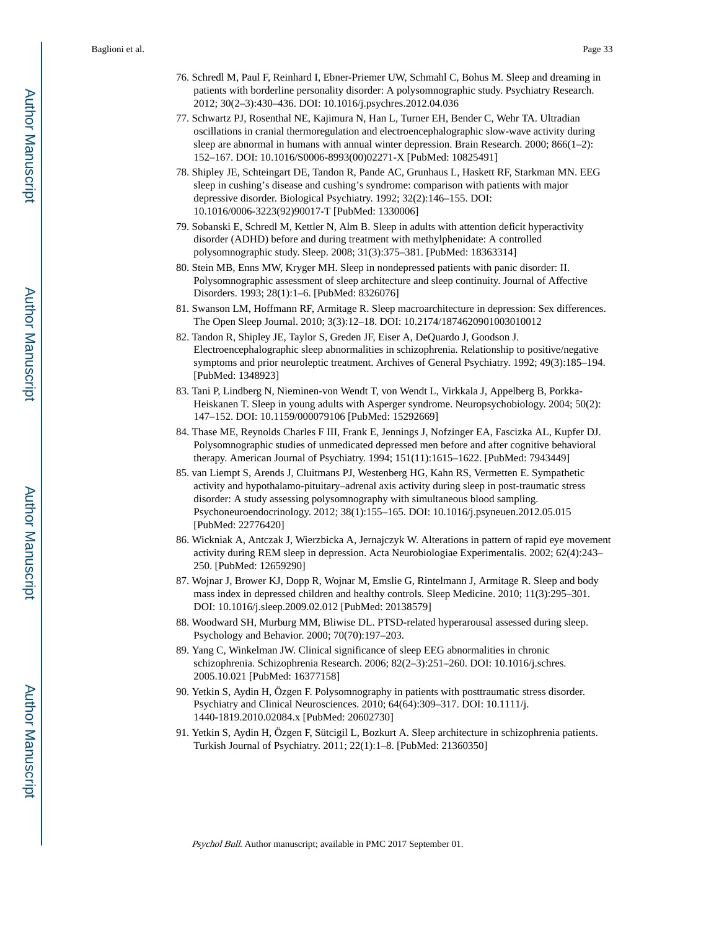- 76. Schredl M, Paul F, Reinhard I, Ebner-Priemer UW, Schmahl C, Bohus M. Sleep and dreaming in patients with borderline personality disorder: A polysomnographic study. Psychiatry Research. 2012; 30(2–3):430–436. DOI: 10.1016/j.psychres.2012.04.036
- 77. Schwartz PJ, Rosenthal NE, Kajimura N, Han L, Turner EH, Bender C, Wehr TA. Ultradian oscillations in cranial thermoregulation and electroencephalographic slow-wave activity during sleep are abnormal in humans with annual winter depression. Brain Research. 2000; 866(1–2): 152–167. DOI: 10.1016/S0006-8993(00)02271-X [PubMed: 10825491]
- 78. Shipley JE, Schteingart DE, Tandon R, Pande AC, Grunhaus L, Haskett RF, Starkman MN. EEG sleep in cushing's disease and cushing's syndrome: comparison with patients with major depressive disorder. Biological Psychiatry. 1992; 32(2):146–155. DOI: 10.1016/0006-3223(92)90017-T [PubMed: 1330006]
- 79. Sobanski E, Schredl M, Kettler N, Alm B. Sleep in adults with attention deficit hyperactivity disorder (ADHD) before and during treatment with methylphenidate: A controlled polysomnographic study. Sleep. 2008; 31(3):375–381. [PubMed: 18363314]
- 80. Stein MB, Enns MW, Kryger MH. Sleep in nondepressed patients with panic disorder: II. Polysomnographic assessment of sleep architecture and sleep continuity. Journal of Affective Disorders. 1993; 28(1):1–6. [PubMed: 8326076]
- 81. Swanson LM, Hoffmann RF, Armitage R. Sleep macroarchitecture in depression: Sex differences. The Open Sleep Journal. 2010; 3(3):12–18. DOI: 10.2174/1874620901003010012
- 82. Tandon R, Shipley JE, Taylor S, Greden JF, Eiser A, DeQuardo J, Goodson J. Electroencephalographic sleep abnormalities in schizophrenia. Relationship to positive/negative symptoms and prior neuroleptic treatment. Archives of General Psychiatry. 1992; 49(3):185–194. [PubMed: 1348923]
- 83. Tani P, Lindberg N, Nieminen-von Wendt T, von Wendt L, Virkkala J, Appelberg B, Porkka-Heiskanen T. Sleep in young adults with Asperger syndrome. Neuropsychobiology. 2004; 50(2): 147–152. DOI: 10.1159/000079106 [PubMed: 15292669]
- 84. Thase ME, Reynolds Charles F III, Frank E, Jennings J, Nofzinger EA, Fascizka AL, Kupfer DJ. Polysomnographic studies of unmedicated depressed men before and after cognitive behavioral therapy. American Journal of Psychiatry. 1994; 151(11):1615–1622. [PubMed: 7943449]
- 85. van Liempt S, Arends J, Cluitmans PJ, Westenberg HG, Kahn RS, Vermetten E. Sympathetic activity and hypothalamo-pituitary–adrenal axis activity during sleep in post-traumatic stress disorder: A study assessing polysomnography with simultaneous blood sampling. Psychoneuroendocrinology. 2012; 38(1):155–165. DOI: 10.1016/j.psyneuen.2012.05.015 [PubMed: 22776420]
- 86. Wickniak A, Antczak J, Wierzbicka A, Jernajczyk W. Alterations in pattern of rapid eye movement activity during REM sleep in depression. Acta Neurobiologiae Experimentalis. 2002; 62(4):243– 250. [PubMed: 12659290]
- 87. Wojnar J, Brower KJ, Dopp R, Wojnar M, Emslie G, Rintelmann J, Armitage R. Sleep and body mass index in depressed children and healthy controls. Sleep Medicine. 2010; 11(3):295–301. DOI: 10.1016/j.sleep.2009.02.012 [PubMed: 20138579]
- 88. Woodward SH, Murburg MM, Bliwise DL. PTSD-related hyperarousal assessed during sleep. Psychology and Behavior. 2000; 70(70):197–203.
- 89. Yang C, Winkelman JW. Clinical significance of sleep EEG abnormalities in chronic schizophrenia. Schizophrenia Research. 2006; 82(2–3):251–260. DOI: 10.1016/j.schres. 2005.10.021 [PubMed: 16377158]
- 90. Yetkin S, Aydin H, Özgen F. Polysomnography in patients with posttraumatic stress disorder. Psychiatry and Clinical Neurosciences. 2010; 64(64):309–317. DOI: 10.1111/j. 1440-1819.2010.02084.x [PubMed: 20602730]
- 91. Yetkin S, Aydin H, Özgen F, Sütcigil L, Bozkurt A. Sleep architecture in schizophrenia patients. Turkish Journal of Psychiatry. 2011; 22(1):1–8. [PubMed: 21360350]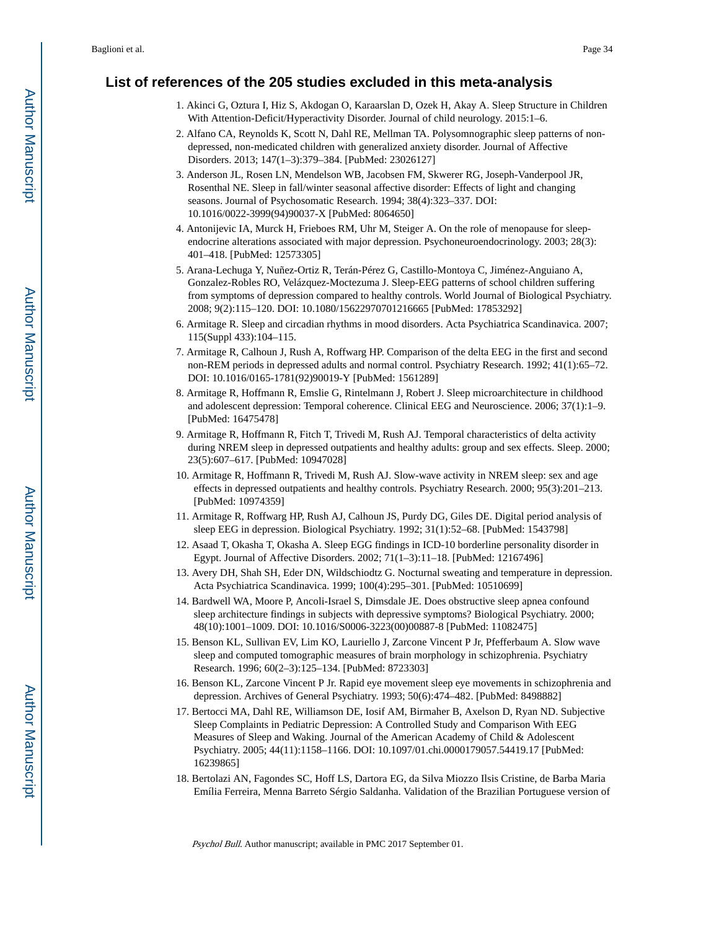## **List of references of the 205 studies excluded in this meta-analysis**

- 1. Akinci G, Oztura I, Hiz S, Akdogan O, Karaarslan D, Ozek H, Akay A. Sleep Structure in Children With Attention-Deficit/Hyperactivity Disorder. Journal of child neurology. 2015:1–6.
- 2. Alfano CA, Reynolds K, Scott N, Dahl RE, Mellman TA. Polysomnographic sleep patterns of nondepressed, non-medicated children with generalized anxiety disorder. Journal of Affective Disorders. 2013; 147(1–3):379–384. [PubMed: 23026127]
- 3. Anderson JL, Rosen LN, Mendelson WB, Jacobsen FM, Skwerer RG, Joseph-Vanderpool JR, Rosenthal NE. Sleep in fall/winter seasonal affective disorder: Effects of light and changing seasons. Journal of Psychosomatic Research. 1994; 38(4):323–337. DOI: 10.1016/0022-3999(94)90037-X [PubMed: 8064650]
- 4. Antonijevic IA, Murck H, Frieboes RM, Uhr M, Steiger A. On the role of menopause for sleependocrine alterations associated with major depression. Psychoneuroendocrinology. 2003; 28(3): 401–418. [PubMed: 12573305]
- 5. Arana-Lechuga Y, Nuñez-Ortiz R, Terán-Pérez G, Castillo-Montoya C, Jiménez-Anguiano A, Gonzalez-Robles RO, Velázquez-Moctezuma J. Sleep-EEG patterns of school children suffering from symptoms of depression compared to healthy controls. World Journal of Biological Psychiatry. 2008; 9(2):115–120. DOI: 10.1080/15622970701216665 [PubMed: 17853292]
- 6. Armitage R. Sleep and circadian rhythms in mood disorders. Acta Psychiatrica Scandinavica. 2007; 115(Suppl 433):104–115.
- 7. Armitage R, Calhoun J, Rush A, Roffwarg HP. Comparison of the delta EEG in the first and second non-REM periods in depressed adults and normal control. Psychiatry Research. 1992; 41(1):65–72. DOI: 10.1016/0165-1781(92)90019-Y [PubMed: 1561289]
- 8. Armitage R, Hoffmann R, Emslie G, Rintelmann J, Robert J. Sleep microarchitecture in childhood and adolescent depression: Temporal coherence. Clinical EEG and Neuroscience. 2006; 37(1):1–9. [PubMed: 16475478]
- 9. Armitage R, Hoffmann R, Fitch T, Trivedi M, Rush AJ. Temporal characteristics of delta activity during NREM sleep in depressed outpatients and healthy adults: group and sex effects. Sleep. 2000; 23(5):607–617. [PubMed: 10947028]
- 10. Armitage R, Hoffmann R, Trivedi M, Rush AJ. Slow-wave activity in NREM sleep: sex and age effects in depressed outpatients and healthy controls. Psychiatry Research. 2000; 95(3):201–213. [PubMed: 10974359]
- 11. Armitage R, Roffwarg HP, Rush AJ, Calhoun JS, Purdy DG, Giles DE. Digital period analysis of sleep EEG in depression. Biological Psychiatry. 1992; 31(1):52–68. [PubMed: 1543798]
- 12. Asaad T, Okasha T, Okasha A. Sleep EGG findings in ICD-10 borderline personality disorder in Egypt. Journal of Affective Disorders. 2002; 71(1–3):11–18. [PubMed: 12167496]
- 13. Avery DH, Shah SH, Eder DN, Wildschiodtz G. Nocturnal sweating and temperature in depression. Acta Psychiatrica Scandinavica. 1999; 100(4):295–301. [PubMed: 10510699]
- 14. Bardwell WA, Moore P, Ancoli-Israel S, Dimsdale JE. Does obstructive sleep apnea confound sleep architecture findings in subjects with depressive symptoms? Biological Psychiatry. 2000; 48(10):1001–1009. DOI: 10.1016/S0006-3223(00)00887-8 [PubMed: 11082475]
- 15. Benson KL, Sullivan EV, Lim KO, Lauriello J, Zarcone Vincent P Jr, Pfefferbaum A. Slow wave sleep and computed tomographic measures of brain morphology in schizophrenia. Psychiatry Research. 1996; 60(2–3):125–134. [PubMed: 8723303]
- 16. Benson KL, Zarcone Vincent P Jr. Rapid eye movement sleep eye movements in schizophrenia and depression. Archives of General Psychiatry. 1993; 50(6):474–482. [PubMed: 8498882]
- 17. Bertocci MA, Dahl RE, Williamson DE, Iosif AM, Birmaher B, Axelson D, Ryan ND. Subjective Sleep Complaints in Pediatric Depression: A Controlled Study and Comparison With EEG Measures of Sleep and Waking. Journal of the American Academy of Child & Adolescent Psychiatry. 2005; 44(11):1158–1166. DOI: 10.1097/01.chi.0000179057.54419.17 [PubMed: 16239865]
- 18. Bertolazi AN, Fagondes SC, Hoff LS, Dartora EG, da Silva Miozzo Ilsis Cristine, de Barba Maria Emília Ferreira, Menna Barreto Sérgio Saldanha. Validation of the Brazilian Portuguese version of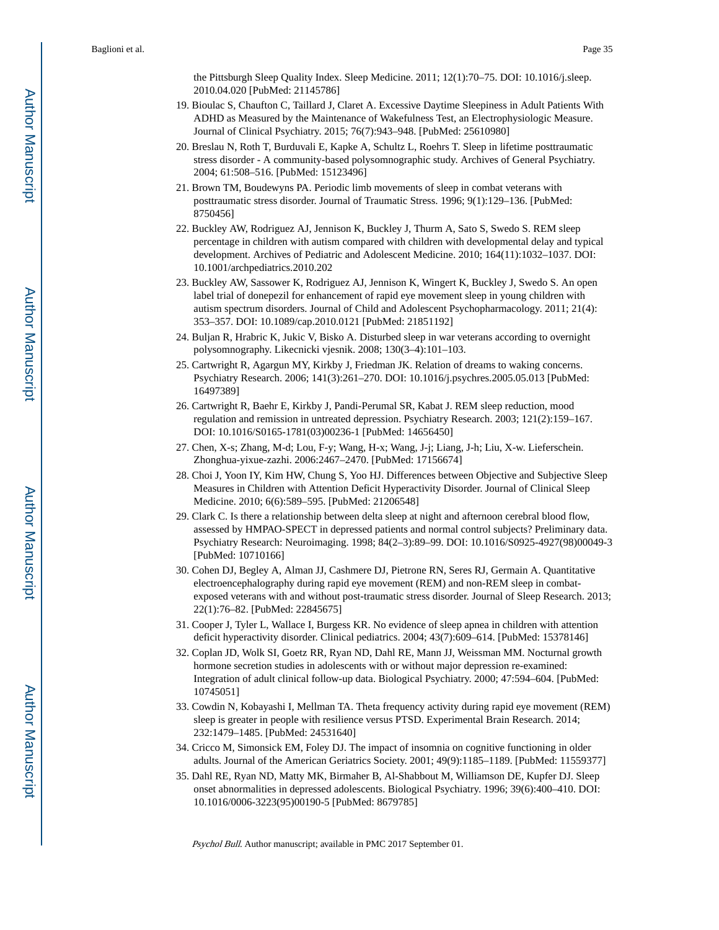the Pittsburgh Sleep Quality Index. Sleep Medicine. 2011; 12(1):70–75. DOI: 10.1016/j.sleep. 2010.04.020 [PubMed: 21145786]

- 19. Bioulac S, Chaufton C, Taillard J, Claret A. Excessive Daytime Sleepiness in Adult Patients With ADHD as Measured by the Maintenance of Wakefulness Test, an Electrophysiologic Measure. Journal of Clinical Psychiatry. 2015; 76(7):943–948. [PubMed: 25610980]
- 20. Breslau N, Roth T, Burduvali E, Kapke A, Schultz L, Roehrs T. Sleep in lifetime posttraumatic stress disorder - A community-based polysomnographic study. Archives of General Psychiatry. 2004; 61:508–516. [PubMed: 15123496]
- 21. Brown TM, Boudewyns PA. Periodic limb movements of sleep in combat veterans with posttraumatic stress disorder. Journal of Traumatic Stress. 1996; 9(1):129–136. [PubMed: 8750456]
- 22. Buckley AW, Rodriguez AJ, Jennison K, Buckley J, Thurm A, Sato S, Swedo S. REM sleep percentage in children with autism compared with children with developmental delay and typical development. Archives of Pediatric and Adolescent Medicine. 2010; 164(11):1032–1037. DOI: 10.1001/archpediatrics.2010.202
- 23. Buckley AW, Sassower K, Rodriguez AJ, Jennison K, Wingert K, Buckley J, Swedo S. An open label trial of donepezil for enhancement of rapid eye movement sleep in young children with autism spectrum disorders. Journal of Child and Adolescent Psychopharmacology. 2011; 21(4): 353–357. DOI: 10.1089/cap.2010.0121 [PubMed: 21851192]
- 24. Buljan R, Hrabric K, Jukic V, Bisko A. Disturbed sleep in war veterans according to overnight polysomnography. Likecnicki vjesnik. 2008; 130(3–4):101–103.
- 25. Cartwright R, Agargun MY, Kirkby J, Friedman JK. Relation of dreams to waking concerns. Psychiatry Research. 2006; 141(3):261–270. DOI: 10.1016/j.psychres.2005.05.013 [PubMed: 16497389]
- 26. Cartwright R, Baehr E, Kirkby J, Pandi-Perumal SR, Kabat J. REM sleep reduction, mood regulation and remission in untreated depression. Psychiatry Research. 2003; 121(2):159–167. DOI: 10.1016/S0165-1781(03)00236-1 [PubMed: 14656450]
- 27. Chen, X-s; Zhang, M-d; Lou, F-y; Wang, H-x; Wang, J-j; Liang, J-h; Liu, X-w. Lieferschein. Zhonghua-yixue-zazhi. 2006:2467–2470. [PubMed: 17156674]
- 28. Choi J, Yoon IY, Kim HW, Chung S, Yoo HJ. Differences between Objective and Subjective Sleep Measures in Children with Attention Deficit Hyperactivity Disorder. Journal of Clinical Sleep Medicine. 2010; 6(6):589–595. [PubMed: 21206548]
- 29. Clark C. Is there a relationship between delta sleep at night and afternoon cerebral blood flow, assessed by HMPAO-SPECT in depressed patients and normal control subjects? Preliminary data. Psychiatry Research: Neuroimaging. 1998; 84(2–3):89–99. DOI: 10.1016/S0925-4927(98)00049-3 [PubMed: 10710166]
- 30. Cohen DJ, Begley A, Alman JJ, Cashmere DJ, Pietrone RN, Seres RJ, Germain A. Quantitative electroencephalography during rapid eye movement (REM) and non-REM sleep in combatexposed veterans with and without post-traumatic stress disorder. Journal of Sleep Research. 2013; 22(1):76–82. [PubMed: 22845675]
- 31. Cooper J, Tyler L, Wallace I, Burgess KR. No evidence of sleep apnea in children with attention deficit hyperactivity disorder. Clinical pediatrics. 2004; 43(7):609–614. [PubMed: 15378146]
- 32. Coplan JD, Wolk SI, Goetz RR, Ryan ND, Dahl RE, Mann JJ, Weissman MM. Nocturnal growth hormone secretion studies in adolescents with or without major depression re-examined: Integration of adult clinical follow-up data. Biological Psychiatry. 2000; 47:594–604. [PubMed: 10745051]
- 33. Cowdin N, Kobayashi I, Mellman TA. Theta frequency activity during rapid eye movement (REM) sleep is greater in people with resilience versus PTSD. Experimental Brain Research. 2014; 232:1479–1485. [PubMed: 24531640]
- 34. Cricco M, Simonsick EM, Foley DJ. The impact of insomnia on cognitive functioning in older adults. Journal of the American Geriatrics Society. 2001; 49(9):1185–1189. [PubMed: 11559377]
- 35. Dahl RE, Ryan ND, Matty MK, Birmaher B, Al-Shabbout M, Williamson DE, Kupfer DJ. Sleep onset abnormalities in depressed adolescents. Biological Psychiatry. 1996; 39(6):400–410. DOI: 10.1016/0006-3223(95)00190-5 [PubMed: 8679785]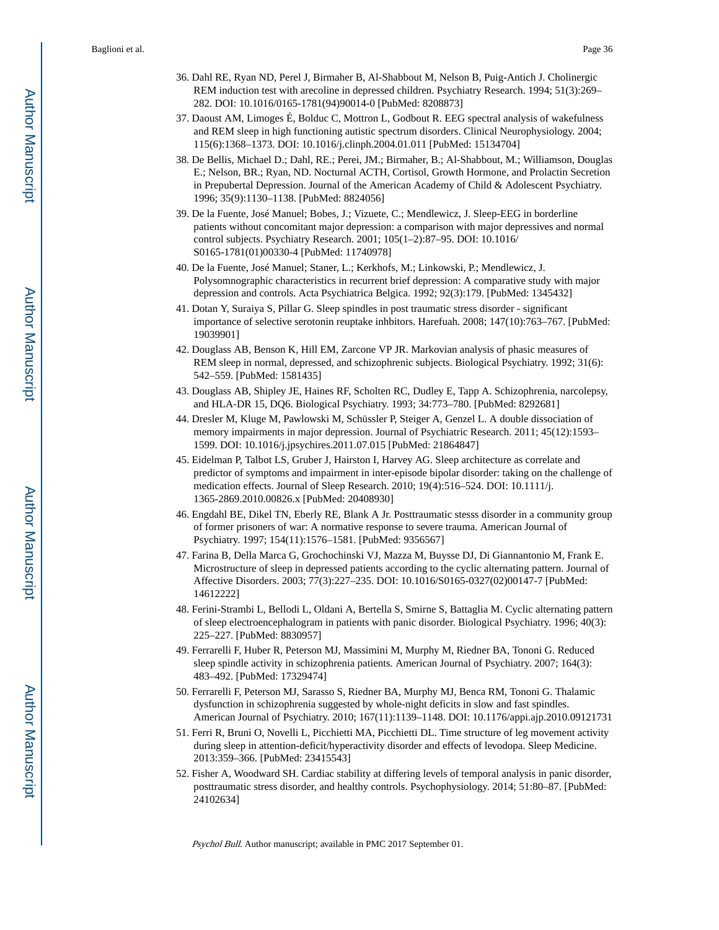- 36. Dahl RE, Ryan ND, Perel J, Birmaher B, Al-Shabbout M, Nelson B, Puig-Antich J. Cholinergic REM induction test with arecoline in depressed children. Psychiatry Research. 1994; 51(3):269– 282. DOI: 10.1016/0165-1781(94)90014-0 [PubMed: 8208873]
- 37. Daoust AM, Limoges É, Bolduc C, Mottron L, Godbout R. EEG spectral analysis of wakefulness and REM sleep in high functioning autistic spectrum disorders. Clinical Neurophysiology. 2004; 115(6):1368–1373. DOI: 10.1016/j.clinph.2004.01.011 [PubMed: 15134704]
- 38. De Bellis, Michael D.; Dahl, RE.; Perei, JM.; Birmaher, B.; Al-Shabbout, M.; Williamson, Douglas E.; Nelson, BR.; Ryan, ND. Nocturnal ACTH, Cortisol, Growth Hormone, and Prolactin Secretion in Prepubertal Depression. Journal of the American Academy of Child & Adolescent Psychiatry. 1996; 35(9):1130–1138. [PubMed: 8824056]
- 39. De la Fuente, José Manuel; Bobes, J.; Vizuete, C.; Mendlewicz, J. Sleep-EEG in borderline patients without concomitant major depression: a comparison with major depressives and normal control subjects. Psychiatry Research. 2001; 105(1–2):87–95. DOI: 10.1016/ S0165-1781(01)00330-4 [PubMed: 11740978]
- 40. De la Fuente, José Manuel; Staner, L.; Kerkhofs, M.; Linkowski, P.; Mendlewicz, J. Polysomnographic characteristics in recurrent brief depression: A comparative study with major depression and controls. Acta Psychiatrica Belgica. 1992; 92(3):179. [PubMed: 1345432]
- 41. Dotan Y, Suraiya S, Pillar G. Sleep spindles in post traumatic stress disorder significant importance of selective serotonin reuptake inhbitors. Harefuah. 2008; 147(10):763–767. [PubMed: 19039901]
- 42. Douglass AB, Benson K, Hill EM, Zarcone VP JR. Markovian analysis of phasic measures of REM sleep in normal, depressed, and schizophrenic subjects. Biological Psychiatry. 1992; 31(6): 542–559. [PubMed: 1581435]
- 43. Douglass AB, Shipley JE, Haines RF, Scholten RC, Dudley E, Tapp A. Schizophrenia, narcolepsy, and HLA-DR 15, DQ6. Biological Psychiatry. 1993; 34:773–780. [PubMed: 8292681]
- 44. Dresler M, Kluge M, Pawlowski M, Schüssler P, Steiger A, Genzel L. A double dissociation of memory impairments in major depression. Journal of Psychiatric Research. 2011; 45(12):1593– 1599. DOI: 10.1016/j.jpsychires.2011.07.015 [PubMed: 21864847]
- 45. Eidelman P, Talbot LS, Gruber J, Hairston I, Harvey AG. Sleep architecture as correlate and predictor of symptoms and impairment in inter-episode bipolar disorder: taking on the challenge of medication effects. Journal of Sleep Research. 2010; 19(4):516–524. DOI: 10.1111/j. 1365-2869.2010.00826.x [PubMed: 20408930]
- 46. Engdahl BE, Dikel TN, Eberly RE, Blank A Jr. Posttraumatic stesss disorder in a community group of former prisoners of war: A normative response to severe trauma. American Journal of Psychiatry. 1997; 154(11):1576–1581. [PubMed: 9356567]
- 47. Farina B, Della Marca G, Grochochinski VJ, Mazza M, Buysse DJ, Di Giannantonio M, Frank E. Microstructure of sleep in depressed patients according to the cyclic alternating pattern. Journal of Affective Disorders. 2003; 77(3):227–235. DOI: 10.1016/S0165-0327(02)00147-7 [PubMed: 14612222]
- 48. Ferini-Strambi L, Bellodi L, Oldani A, Bertella S, Smirne S, Battaglia M. Cyclic alternating pattern of sleep electroencephalogram in patients with panic disorder. Biological Psychiatry. 1996; 40(3): 225–227. [PubMed: 8830957]
- 49. Ferrarelli F, Huber R, Peterson MJ, Massimini M, Murphy M, Riedner BA, Tononi G. Reduced sleep spindle activity in schizophrenia patients. American Journal of Psychiatry. 2007; 164(3): 483–492. [PubMed: 17329474]
- 50. Ferrarelli F, Peterson MJ, Sarasso S, Riedner BA, Murphy MJ, Benca RM, Tononi G. Thalamic dysfunction in schizophrenia suggested by whole-night deficits in slow and fast spindles. American Journal of Psychiatry. 2010; 167(11):1139–1148. DOI: 10.1176/appi.ajp.2010.09121731
- 51. Ferri R, Bruni O, Novelli L, Picchietti MA, Picchietti DL. Time structure of leg movement activity during sleep in attention-deficit/hyperactivity disorder and effects of levodopa. Sleep Medicine. 2013:359–366. [PubMed: 23415543]
- 52. Fisher A, Woodward SH. Cardiac stability at differing levels of temporal analysis in panic disorder, posttraumatic stress disorder, and healthy controls. Psychophysiology. 2014; 51:80–87. [PubMed: 24102634]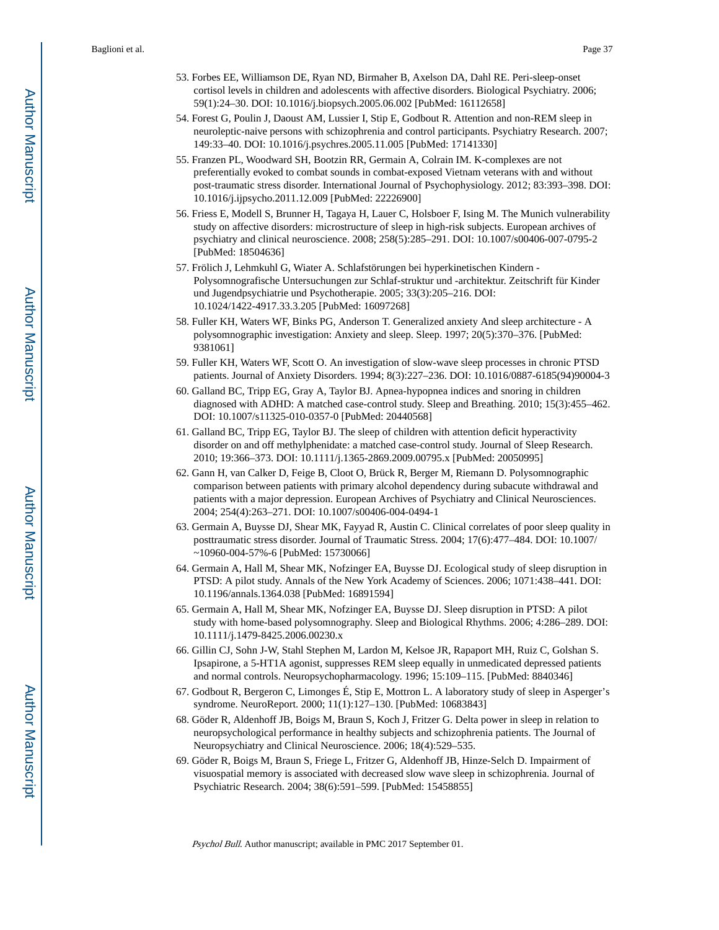- 53. Forbes EE, Williamson DE, Ryan ND, Birmaher B, Axelson DA, Dahl RE. Peri-sleep-onset cortisol levels in children and adolescents with affective disorders. Biological Psychiatry. 2006; 59(1):24–30. DOI: 10.1016/j.biopsych.2005.06.002 [PubMed: 16112658]
- 54. Forest G, Poulin J, Daoust AM, Lussier I, Stip E, Godbout R. Attention and non-REM sleep in neuroleptic-naive persons with schizophrenia and control participants. Psychiatry Research. 2007; 149:33–40. DOI: 10.1016/j.psychres.2005.11.005 [PubMed: 17141330]
- 55. Franzen PL, Woodward SH, Bootzin RR, Germain A, Colrain IM. K-complexes are not preferentially evoked to combat sounds in combat-exposed Vietnam veterans with and without post-traumatic stress disorder. International Journal of Psychophysiology. 2012; 83:393–398. DOI: 10.1016/j.ijpsycho.2011.12.009 [PubMed: 22226900]
- 56. Friess E, Modell S, Brunner H, Tagaya H, Lauer C, Holsboer F, Ising M. The Munich vulnerability study on affective disorders: microstructure of sleep in high-risk subjects. European archives of psychiatry and clinical neuroscience. 2008; 258(5):285–291. DOI: 10.1007/s00406-007-0795-2 [PubMed: 18504636]
- 57. Frölich J, Lehmkuhl G, Wiater A. Schlafstörungen bei hyperkinetischen Kindern Polysomnografische Untersuchungen zur Schlaf-struktur und -architektur. Zeitschrift für Kinder und Jugendpsychiatrie und Psychotherapie. 2005; 33(3):205–216. DOI: 10.1024/1422-4917.33.3.205 [PubMed: 16097268]
- 58. Fuller KH, Waters WF, Binks PG, Anderson T. Generalized anxiety And sleep architecture A polysomnographic investigation: Anxiety and sleep. Sleep. 1997; 20(5):370–376. [PubMed: 9381061]
- 59. Fuller KH, Waters WF, Scott O. An investigation of slow-wave sleep processes in chronic PTSD patients. Journal of Anxiety Disorders. 1994; 8(3):227–236. DOI: 10.1016/0887-6185(94)90004-3
- 60. Galland BC, Tripp EG, Gray A, Taylor BJ. Apnea-hypopnea indices and snoring in children diagnosed with ADHD: A matched case-control study. Sleep and Breathing. 2010; 15(3):455–462. DOI: 10.1007/s11325-010-0357-0 [PubMed: 20440568]
- 61. Galland BC, Tripp EG, Taylor BJ. The sleep of children with attention deficit hyperactivity disorder on and off methylphenidate: a matched case-control study. Journal of Sleep Research. 2010; 19:366–373. DOI: 10.1111/j.1365-2869.2009.00795.x [PubMed: 20050995]
- 62. Gann H, van Calker D, Feige B, Cloot O, Brück R, Berger M, Riemann D. Polysomnographic comparison between patients with primary alcohol dependency during subacute withdrawal and patients with a major depression. European Archives of Psychiatry and Clinical Neurosciences. 2004; 254(4):263–271. DOI: 10.1007/s00406-004-0494-1
- 63. Germain A, Buysse DJ, Shear MK, Fayyad R, Austin C. Clinical correlates of poor sleep quality in posttraumatic stress disorder. Journal of Traumatic Stress. 2004; 17(6):477–484. DOI: 10.1007/ ~10960-004-57%-6 [PubMed: 15730066]
- 64. Germain A, Hall M, Shear MK, Nofzinger EA, Buysse DJ. Ecological study of sleep disruption in PTSD: A pilot study. Annals of the New York Academy of Sciences. 2006; 1071:438–441. DOI: 10.1196/annals.1364.038 [PubMed: 16891594]
- 65. Germain A, Hall M, Shear MK, Nofzinger EA, Buysse DJ. Sleep disruption in PTSD: A pilot study with home-based polysomnography. Sleep and Biological Rhythms. 2006; 4:286–289. DOI: 10.1111/j.1479-8425.2006.00230.x
- 66. Gillin CJ, Sohn J-W, Stahl Stephen M, Lardon M, Kelsoe JR, Rapaport MH, Ruiz C, Golshan S. Ipsapirone, a 5-HT1A agonist, suppresses REM sleep equally in unmedicated depressed patients and normal controls. Neuropsychopharmacology. 1996; 15:109–115. [PubMed: 8840346]
- 67. Godbout R, Bergeron C, Limonges É, Stip E, Mottron L. A laboratory study of sleep in Asperger's syndrome. NeuroReport. 2000; 11(1):127–130. [PubMed: 10683843]
- 68. Göder R, Aldenhoff JB, Boigs M, Braun S, Koch J, Fritzer G. Delta power in sleep in relation to neuropsychological performance in healthy subjects and schizophrenia patients. The Journal of Neuropsychiatry and Clinical Neuroscience. 2006; 18(4):529–535.
- 69. Göder R, Boigs M, Braun S, Friege L, Fritzer G, Aldenhoff JB, Hinze-Selch D. Impairment of visuospatial memory is associated with decreased slow wave sleep in schizophrenia. Journal of Psychiatric Research. 2004; 38(6):591–599. [PubMed: 15458855]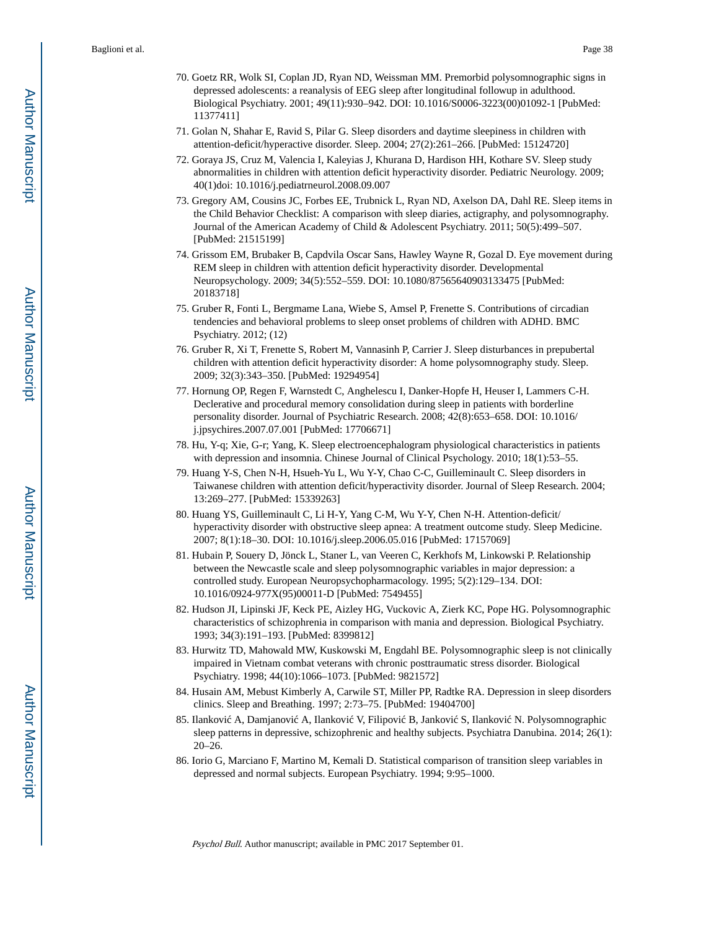- 70. Goetz RR, Wolk SI, Coplan JD, Ryan ND, Weissman MM. Premorbid polysomnographic signs in depressed adolescents: a reanalysis of EEG sleep after longitudinal followup in adulthood. Biological Psychiatry. 2001; 49(11):930–942. DOI: 10.1016/S0006-3223(00)01092-1 [PubMed: 11377411]
- 71. Golan N, Shahar E, Ravid S, Pilar G. Sleep disorders and daytime sleepiness in children with attention-deficit/hyperactive disorder. Sleep. 2004; 27(2):261–266. [PubMed: 15124720]
- 72. Goraya JS, Cruz M, Valencia I, Kaleyias J, Khurana D, Hardison HH, Kothare SV. Sleep study abnormalities in children with attention deficit hyperactivity disorder. Pediatric Neurology. 2009; 40(1)doi: 10.1016/j.pediatrneurol.2008.09.007
- 73. Gregory AM, Cousins JC, Forbes EE, Trubnick L, Ryan ND, Axelson DA, Dahl RE. Sleep items in the Child Behavior Checklist: A comparison with sleep diaries, actigraphy, and polysomnography. Journal of the American Academy of Child & Adolescent Psychiatry. 2011; 50(5):499–507. [PubMed: 21515199]
- 74. Grissom EM, Brubaker B, Capdvila Oscar Sans, Hawley Wayne R, Gozal D. Eye movement during REM sleep in children with attention deficit hyperactivity disorder. Developmental Neuropsychology. 2009; 34(5):552–559. DOI: 10.1080/87565640903133475 [PubMed: 20183718]
- 75. Gruber R, Fonti L, Bergmame Lana, Wiebe S, Amsel P, Frenette S. Contributions of circadian tendencies and behavioral problems to sleep onset problems of children with ADHD. BMC Psychiatry. 2012; (12)
- 76. Gruber R, Xi T, Frenette S, Robert M, Vannasinh P, Carrier J. Sleep disturbances in prepubertal children with attention deficit hyperactivity disorder: A home polysomnography study. Sleep. 2009; 32(3):343–350. [PubMed: 19294954]
- 77. Hornung OP, Regen F, Warnstedt C, Anghelescu I, Danker-Hopfe H, Heuser I, Lammers C-H. Declerative and procedural memory consolidation during sleep in patients with borderline personality disorder. Journal of Psychiatric Research. 2008; 42(8):653–658. DOI: 10.1016/ j.jpsychires.2007.07.001 [PubMed: 17706671]
- 78. Hu, Y-q; Xie, G-r; Yang, K. Sleep electroencephalogram physiological characteristics in patients with depression and insomnia. Chinese Journal of Clinical Psychology. 2010; 18(1):53–55.
- 79. Huang Y-S, Chen N-H, Hsueh-Yu L, Wu Y-Y, Chao C-C, Guilleminault C. Sleep disorders in Taiwanese children with attention deficit/hyperactivity disorder. Journal of Sleep Research. 2004; 13:269–277. [PubMed: 15339263]
- 80. Huang YS, Guilleminault C, Li H-Y, Yang C-M, Wu Y-Y, Chen N-H. Attention-deficit/ hyperactivity disorder with obstructive sleep apnea: A treatment outcome study. Sleep Medicine. 2007; 8(1):18–30. DOI: 10.1016/j.sleep.2006.05.016 [PubMed: 17157069]
- 81. Hubain P, Souery D, Jönck L, Staner L, van Veeren C, Kerkhofs M, Linkowski P. Relationship between the Newcastle scale and sleep polysomnographic variables in major depression: a controlled study. European Neuropsychopharmacology. 1995; 5(2):129–134. DOI: 10.1016/0924-977X(95)00011-D [PubMed: 7549455]
- 82. Hudson JI, Lipinski JF, Keck PE, Aizley HG, Vuckovic A, Zierk KC, Pope HG. Polysomnographic characteristics of schizophrenia in comparison with mania and depression. Biological Psychiatry. 1993; 34(3):191–193. [PubMed: 8399812]
- 83. Hurwitz TD, Mahowald MW, Kuskowski M, Engdahl BE. Polysomnographic sleep is not clinically impaired in Vietnam combat veterans with chronic posttraumatic stress disorder. Biological Psychiatry. 1998; 44(10):1066–1073. [PubMed: 9821572]
- 84. Husain AM, Mebust Kimberly A, Carwile ST, Miller PP, Radtke RA. Depression in sleep disorders clinics. Sleep and Breathing. 1997; 2:73–75. [PubMed: 19404700]
- 85. Ilankovi A, Damjanovi A, Ilankovi V, Filipovi B, Jankovi S, Ilankovi N. Polysomnographic sleep patterns in depressive, schizophrenic and healthy subjects. Psychiatra Danubina. 2014; 26(1): 20–26.
- 86. Iorio G, Marciano F, Martino M, Kemali D. Statistical comparison of transition sleep variables in depressed and normal subjects. European Psychiatry. 1994; 9:95–1000.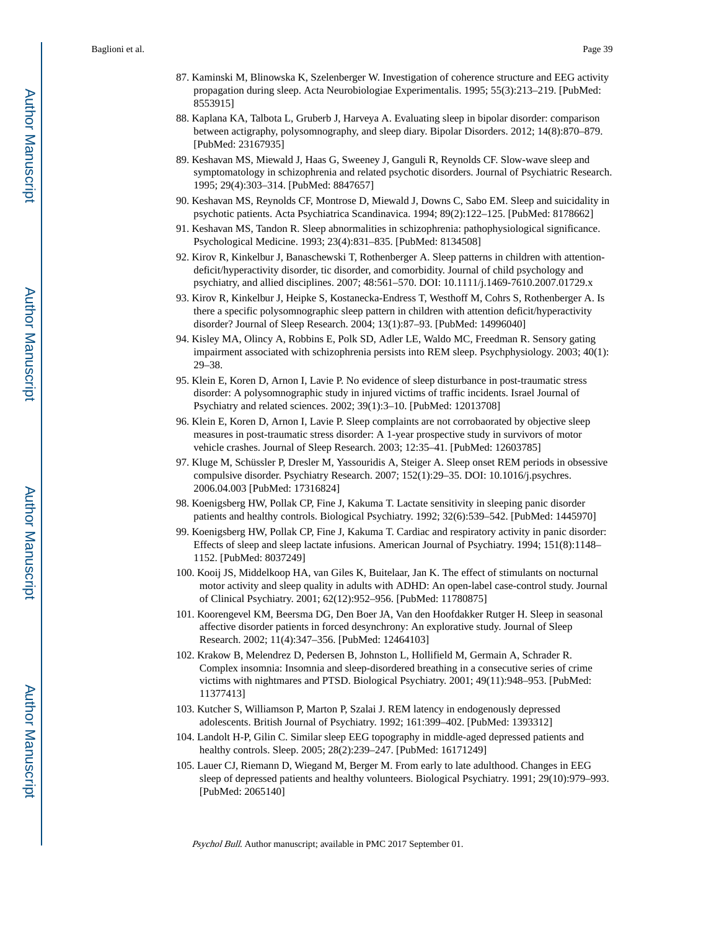- 87. Kaminski M, Blinowska K, Szelenberger W. Investigation of coherence structure and EEG activity propagation during sleep. Acta Neurobiologiae Experimentalis. 1995; 55(3):213–219. [PubMed: 8553915]
- 88. Kaplana KA, Talbota L, Gruberb J, Harveya A. Evaluating sleep in bipolar disorder: comparison between actigraphy, polysomnography, and sleep diary. Bipolar Disorders. 2012; 14(8):870–879. [PubMed: 23167935]
- 89. Keshavan MS, Miewald J, Haas G, Sweeney J, Ganguli R, Reynolds CF. Slow-wave sleep and symptomatology in schizophrenia and related psychotic disorders. Journal of Psychiatric Research. 1995; 29(4):303–314. [PubMed: 8847657]
- 90. Keshavan MS, Reynolds CF, Montrose D, Miewald J, Downs C, Sabo EM. Sleep and suicidality in psychotic patients. Acta Psychiatrica Scandinavica. 1994; 89(2):122–125. [PubMed: 8178662]
- 91. Keshavan MS, Tandon R. Sleep abnormalities in schizophrenia: pathophysiological significance. Psychological Medicine. 1993; 23(4):831–835. [PubMed: 8134508]
- 92. Kirov R, Kinkelbur J, Banaschewski T, Rothenberger A. Sleep patterns in children with attentiondeficit/hyperactivity disorder, tic disorder, and comorbidity. Journal of child psychology and psychiatry, and allied disciplines. 2007; 48:561–570. DOI: 10.1111/j.1469-7610.2007.01729.x
- 93. Kirov R, Kinkelbur J, Heipke S, Kostanecka-Endress T, Westhoff M, Cohrs S, Rothenberger A. Is there a specific polysomnographic sleep pattern in children with attention deficit/hyperactivity disorder? Journal of Sleep Research. 2004; 13(1):87–93. [PubMed: 14996040]
- 94. Kisley MA, Olincy A, Robbins E, Polk SD, Adler LE, Waldo MC, Freedman R. Sensory gating impairment associated with schizophrenia persists into REM sleep. Psychphysiology. 2003; 40(1): 29–38.
- 95. Klein E, Koren D, Arnon I, Lavie P. No evidence of sleep disturbance in post-traumatic stress disorder: A polysomnographic study in injured victims of traffic incidents. Israel Journal of Psychiatry and related sciences. 2002; 39(1):3–10. [PubMed: 12013708]
- 96. Klein E, Koren D, Arnon I, Lavie P. Sleep complaints are not corrobaorated by objective sleep measures in post-traumatic stress disorder: A 1-year prospective study in survivors of motor vehicle crashes. Journal of Sleep Research. 2003; 12:35–41. [PubMed: 12603785]
- 97. Kluge M, Schüssler P, Dresler M, Yassouridis A, Steiger A. Sleep onset REM periods in obsessive compulsive disorder. Psychiatry Research. 2007; 152(1):29–35. DOI: 10.1016/j.psychres. 2006.04.003 [PubMed: 17316824]
- 98. Koenigsberg HW, Pollak CP, Fine J, Kakuma T. Lactate sensitivity in sleeping panic disorder patients and healthy controls. Biological Psychiatry. 1992; 32(6):539–542. [PubMed: 1445970]
- 99. Koenigsberg HW, Pollak CP, Fine J, Kakuma T. Cardiac and respiratory activity in panic disorder: Effects of sleep and sleep lactate infusions. American Journal of Psychiatry. 1994; 151(8):1148– 1152. [PubMed: 8037249]
- 100. Kooij JS, Middelkoop HA, van Giles K, Buitelaar, Jan K. The effect of stimulants on nocturnal motor activity and sleep quality in adults with ADHD: An open-label case-control study. Journal of Clinical Psychiatry. 2001; 62(12):952–956. [PubMed: 11780875]
- 101. Koorengevel KM, Beersma DG, Den Boer JA, Van den Hoofdakker Rutger H. Sleep in seasonal affective disorder patients in forced desynchrony: An explorative study. Journal of Sleep Research. 2002; 11(4):347–356. [PubMed: 12464103]
- 102. Krakow B, Melendrez D, Pedersen B, Johnston L, Hollifield M, Germain A, Schrader R. Complex insomnia: Insomnia and sleep-disordered breathing in a consecutive series of crime victims with nightmares and PTSD. Biological Psychiatry. 2001; 49(11):948–953. [PubMed: 11377413]
- 103. Kutcher S, Williamson P, Marton P, Szalai J. REM latency in endogenously depressed adolescents. British Journal of Psychiatry. 1992; 161:399–402. [PubMed: 1393312]
- 104. Landolt H-P, Gilin C. Similar sleep EEG topography in middle-aged depressed patients and healthy controls. Sleep. 2005; 28(2):239–247. [PubMed: 16171249]
- 105. Lauer CJ, Riemann D, Wiegand M, Berger M. From early to late adulthood. Changes in EEG sleep of depressed patients and healthy volunteers. Biological Psychiatry. 1991; 29(10):979–993. [PubMed: 2065140]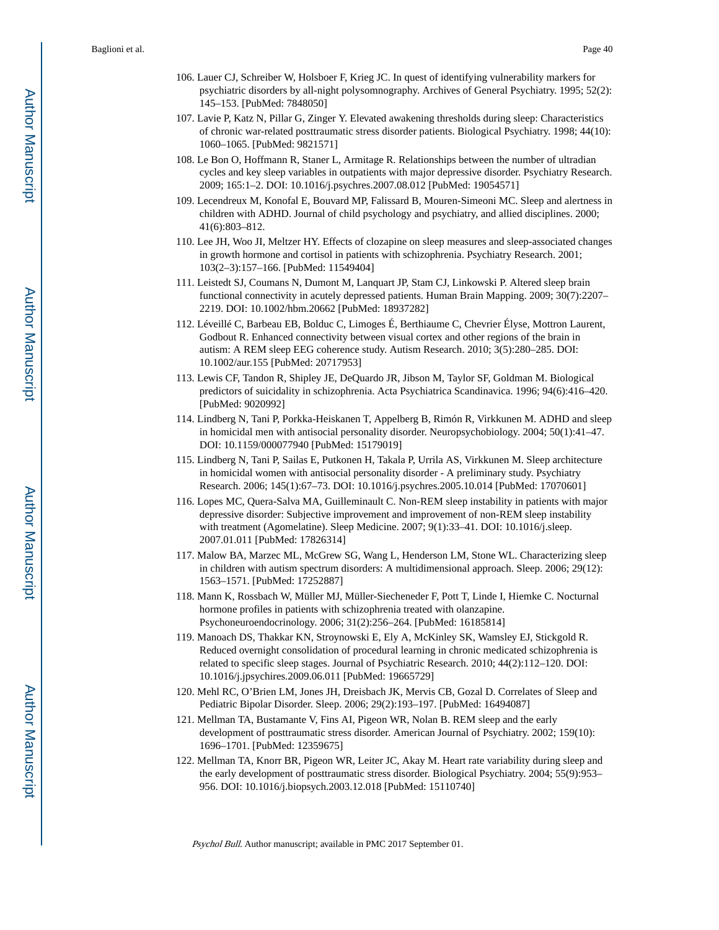- 106. Lauer CJ, Schreiber W, Holsboer F, Krieg JC. In quest of identifying vulnerability markers for psychiatric disorders by all-night polysomnography. Archives of General Psychiatry. 1995; 52(2): 145–153. [PubMed: 7848050]
- 107. Lavie P, Katz N, Pillar G, Zinger Y. Elevated awakening thresholds during sleep: Characteristics of chronic war-related posttraumatic stress disorder patients. Biological Psychiatry. 1998; 44(10): 1060–1065. [PubMed: 9821571]
- 108. Le Bon O, Hoffmann R, Staner L, Armitage R. Relationships between the number of ultradian cycles and key sleep variables in outpatients with major depressive disorder. Psychiatry Research. 2009; 165:1–2. DOI: 10.1016/j.psychres.2007.08.012 [PubMed: 19054571]
- 109. Lecendreux M, Konofal E, Bouvard MP, Falissard B, Mouren-Simeoni MC. Sleep and alertness in children with ADHD. Journal of child psychology and psychiatry, and allied disciplines. 2000; 41(6):803–812.
- 110. Lee JH, Woo JI, Meltzer HY. Effects of clozapine on sleep measures and sleep-associated changes in growth hormone and cortisol in patients with schizophrenia. Psychiatry Research. 2001; 103(2–3):157–166. [PubMed: 11549404]
- 111. Leistedt SJ, Coumans N, Dumont M, Lanquart JP, Stam CJ, Linkowski P. Altered sleep brain functional connectivity in acutely depressed patients. Human Brain Mapping. 2009; 30(7):2207– 2219. DOI: 10.1002/hbm.20662 [PubMed: 18937282]
- 112. Léveillé C, Barbeau EB, Bolduc C, Limoges É, Berthiaume C, Chevrier Élyse, Mottron Laurent, Godbout R. Enhanced connectivity between visual cortex and other regions of the brain in autism: A REM sleep EEG coherence study. Autism Research. 2010; 3(5):280–285. DOI: 10.1002/aur.155 [PubMed: 20717953]
- 113. Lewis CF, Tandon R, Shipley JE, DeQuardo JR, Jibson M, Taylor SF, Goldman M. Biological predictors of suicidality in schizophrenia. Acta Psychiatrica Scandinavica. 1996; 94(6):416–420. [PubMed: 9020992]
- 114. Lindberg N, Tani P, Porkka-Heiskanen T, Appelberg B, Rimón R, Virkkunen M. ADHD and sleep in homicidal men with antisocial personality disorder. Neuropsychobiology. 2004; 50(1):41–47. DOI: 10.1159/000077940 [PubMed: 15179019]
- 115. Lindberg N, Tani P, Sailas E, Putkonen H, Takala P, Urrila AS, Virkkunen M. Sleep architecture in homicidal women with antisocial personality disorder - A preliminary study. Psychiatry Research. 2006; 145(1):67–73. DOI: 10.1016/j.psychres.2005.10.014 [PubMed: 17070601]
- 116. Lopes MC, Quera-Salva MA, Guilleminault C. Non-REM sleep instability in patients with major depressive disorder: Subjective improvement and improvement of non-REM sleep instability with treatment (Agomelatine). Sleep Medicine. 2007; 9(1):33–41. DOI: 10.1016/j.sleep. 2007.01.011 [PubMed: 17826314]
- 117. Malow BA, Marzec ML, McGrew SG, Wang L, Henderson LM, Stone WL. Characterizing sleep in children with autism spectrum disorders: A multidimensional approach. Sleep. 2006; 29(12): 1563–1571. [PubMed: 17252887]
- 118. Mann K, Rossbach W, Müller MJ, Müller-Siecheneder F, Pott T, Linde I, Hiemke C. Nocturnal hormone profiles in patients with schizophrenia treated with olanzapine. Psychoneuroendocrinology. 2006; 31(2):256–264. [PubMed: 16185814]
- 119. Manoach DS, Thakkar KN, Stroynowski E, Ely A, McKinley SK, Wamsley EJ, Stickgold R. Reduced overnight consolidation of procedural learning in chronic medicated schizophrenia is related to specific sleep stages. Journal of Psychiatric Research. 2010; 44(2):112–120. DOI: 10.1016/j.jpsychires.2009.06.011 [PubMed: 19665729]
- 120. Mehl RC, O'Brien LM, Jones JH, Dreisbach JK, Mervis CB, Gozal D. Correlates of Sleep and Pediatric Bipolar Disorder. Sleep. 2006; 29(2):193–197. [PubMed: 16494087]
- 121. Mellman TA, Bustamante V, Fins AI, Pigeon WR, Nolan B. REM sleep and the early development of posttraumatic stress disorder. American Journal of Psychiatry. 2002; 159(10): 1696–1701. [PubMed: 12359675]
- 122. Mellman TA, Knorr BR, Pigeon WR, Leiter JC, Akay M. Heart rate variability during sleep and the early development of posttraumatic stress disorder. Biological Psychiatry. 2004; 55(9):953– 956. DOI: 10.1016/j.biopsych.2003.12.018 [PubMed: 15110740]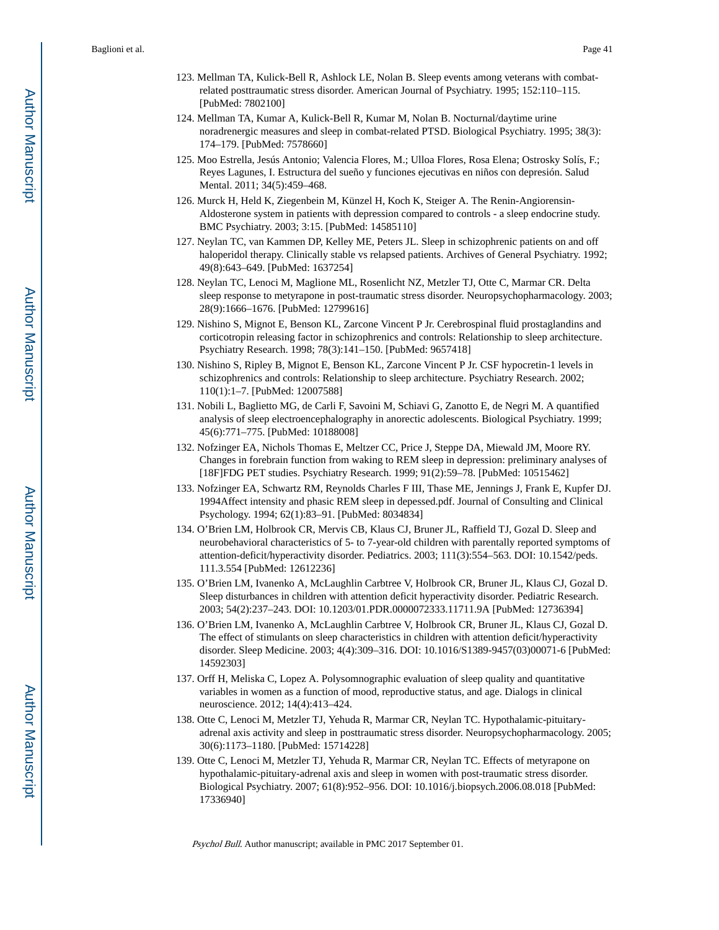- 123. Mellman TA, Kulick-Bell R, Ashlock LE, Nolan B. Sleep events among veterans with combatrelated posttraumatic stress disorder. American Journal of Psychiatry. 1995; 152:110–115. [PubMed: 7802100]
- 124. Mellman TA, Kumar A, Kulick-Bell R, Kumar M, Nolan B. Nocturnal/daytime urine noradrenergic measures and sleep in combat-related PTSD. Biological Psychiatry. 1995; 38(3): 174–179. [PubMed: 7578660]
- 125. Moo Estrella, Jesús Antonio; Valencia Flores, M.; Ulloa Flores, Rosa Elena; Ostrosky Solís, F.; Reyes Lagunes, I. Estructura del sueño y funciones ejecutivas en niños con depresión. Salud Mental. 2011; 34(5):459–468.
- 126. Murck H, Held K, Ziegenbein M, Künzel H, Koch K, Steiger A. The Renin-Angiorensin-Aldosterone system in patients with depression compared to controls - a sleep endocrine study. BMC Psychiatry. 2003; 3:15. [PubMed: 14585110]
- 127. Neylan TC, van Kammen DP, Kelley ME, Peters JL. Sleep in schizophrenic patients on and off haloperidol therapy. Clinically stable vs relapsed patients. Archives of General Psychiatry. 1992; 49(8):643–649. [PubMed: 1637254]
- 128. Neylan TC, Lenoci M, Maglione ML, Rosenlicht NZ, Metzler TJ, Otte C, Marmar CR. Delta sleep response to metyrapone in post-traumatic stress disorder. Neuropsychopharmacology. 2003; 28(9):1666–1676. [PubMed: 12799616]
- 129. Nishino S, Mignot E, Benson KL, Zarcone Vincent P Jr. Cerebrospinal fluid prostaglandins and corticotropin releasing factor in schizophrenics and controls: Relationship to sleep architecture. Psychiatry Research. 1998; 78(3):141–150. [PubMed: 9657418]
- 130. Nishino S, Ripley B, Mignot E, Benson KL, Zarcone Vincent P Jr. CSF hypocretin-1 levels in schizophrenics and controls: Relationship to sleep architecture. Psychiatry Research. 2002; 110(1):1–7. [PubMed: 12007588]
- 131. Nobili L, Baglietto MG, de Carli F, Savoini M, Schiavi G, Zanotto E, de Negri M. A quantified analysis of sleep electroencephalography in anorectic adolescents. Biological Psychiatry. 1999; 45(6):771–775. [PubMed: 10188008]
- 132. Nofzinger EA, Nichols Thomas E, Meltzer CC, Price J, Steppe DA, Miewald JM, Moore RY. Changes in forebrain function from waking to REM sleep in depression: preliminary analyses of [18F]FDG PET studies. Psychiatry Research. 1999; 91(2):59–78. [PubMed: 10515462]
- 133. Nofzinger EA, Schwartz RM, Reynolds Charles F III, Thase ME, Jennings J, Frank E, Kupfer DJ. 1994Affect intensity and phasic REM sleep in depessed.pdf. Journal of Consulting and Clinical Psychology. 1994; 62(1):83–91. [PubMed: 8034834]
- 134. O'Brien LM, Holbrook CR, Mervis CB, Klaus CJ, Bruner JL, Raffield TJ, Gozal D. Sleep and neurobehavioral characteristics of 5- to 7-year-old children with parentally reported symptoms of attention-deficit/hyperactivity disorder. Pediatrics. 2003; 111(3):554–563. DOI: 10.1542/peds. 111.3.554 [PubMed: 12612236]
- 135. O'Brien LM, Ivanenko A, McLaughlin Carbtree V, Holbrook CR, Bruner JL, Klaus CJ, Gozal D. Sleep disturbances in children with attention deficit hyperactivity disorder. Pediatric Research. 2003; 54(2):237–243. DOI: 10.1203/01.PDR.0000072333.11711.9A [PubMed: 12736394]
- 136. O'Brien LM, Ivanenko A, McLaughlin Carbtree V, Holbrook CR, Bruner JL, Klaus CJ, Gozal D. The effect of stimulants on sleep characteristics in children with attention deficit/hyperactivity disorder. Sleep Medicine. 2003; 4(4):309–316. DOI: 10.1016/S1389-9457(03)00071-6 [PubMed: 14592303]
- 137. Orff H, Meliska C, Lopez A. Polysomnographic evaluation of sleep quality and quantitative variables in women as a function of mood, reproductive status, and age. Dialogs in clinical neuroscience. 2012; 14(4):413–424.
- 138. Otte C, Lenoci M, Metzler TJ, Yehuda R, Marmar CR, Neylan TC. Hypothalamic-pituitaryadrenal axis activity and sleep in posttraumatic stress disorder. Neuropsychopharmacology. 2005; 30(6):1173–1180. [PubMed: 15714228]
- 139. Otte C, Lenoci M, Metzler TJ, Yehuda R, Marmar CR, Neylan TC. Effects of metyrapone on hypothalamic-pituitary-adrenal axis and sleep in women with post-traumatic stress disorder. Biological Psychiatry. 2007; 61(8):952–956. DOI: 10.1016/j.biopsych.2006.08.018 [PubMed: 17336940]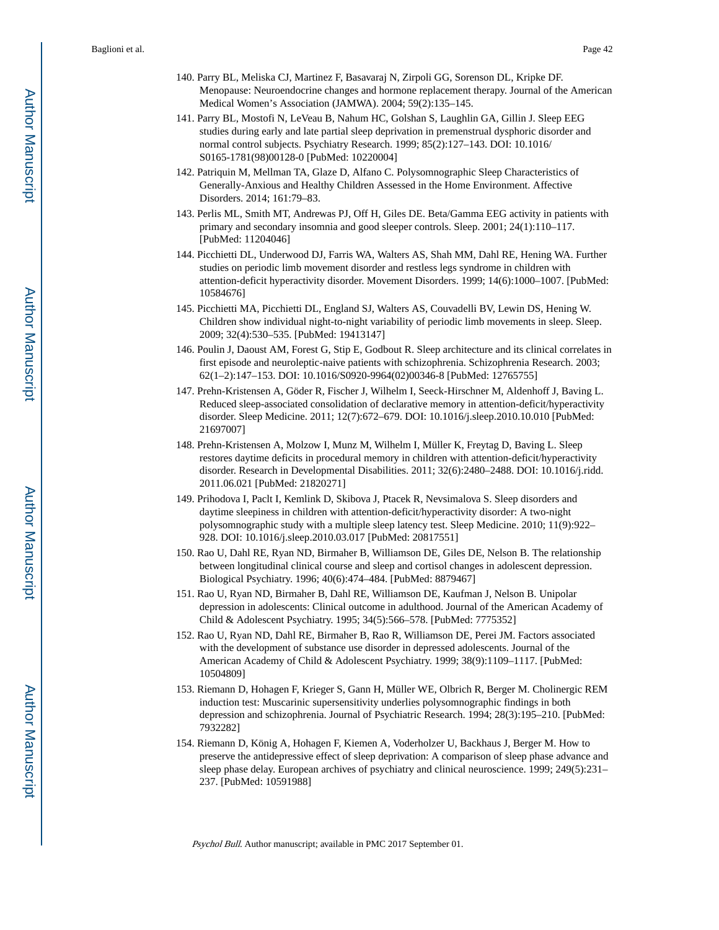- 140. Parry BL, Meliska CJ, Martinez F, Basavaraj N, Zirpoli GG, Sorenson DL, Kripke DF. Menopause: Neuroendocrine changes and hormone replacement therapy. Journal of the American Medical Women's Association (JAMWA). 2004; 59(2):135–145.
- 141. Parry BL, Mostofi N, LeVeau B, Nahum HC, Golshan S, Laughlin GA, Gillin J. Sleep EEG studies during early and late partial sleep deprivation in premenstrual dysphoric disorder and normal control subjects. Psychiatry Research. 1999; 85(2):127–143. DOI: 10.1016/ S0165-1781(98)00128-0 [PubMed: 10220004]
- 142. Patriquin M, Mellman TA, Glaze D, Alfano C. Polysomnographic Sleep Characteristics of Generally-Anxious and Healthy Children Assessed in the Home Environment. Affective Disorders. 2014; 161:79–83.
- 143. Perlis ML, Smith MT, Andrewas PJ, Off H, Giles DE. Beta/Gamma EEG activity in patients with primary and secondary insomnia and good sleeper controls. Sleep. 2001; 24(1):110–117. [PubMed: 11204046]
- 144. Picchietti DL, Underwood DJ, Farris WA, Walters AS, Shah MM, Dahl RE, Hening WA. Further studies on periodic limb movement disorder and restless legs syndrome in children with attention-deficit hyperactivity disorder. Movement Disorders. 1999; 14(6):1000–1007. [PubMed: 10584676]
- 145. Picchietti MA, Picchietti DL, England SJ, Walters AS, Couvadelli BV, Lewin DS, Hening W. Children show individual night-to-night variability of periodic limb movements in sleep. Sleep. 2009; 32(4):530–535. [PubMed: 19413147]
- 146. Poulin J, Daoust AM, Forest G, Stip E, Godbout R. Sleep architecture and its clinical correlates in first episode and neuroleptic-naive patients with schizophrenia. Schizophrenia Research. 2003; 62(1–2):147–153. DOI: 10.1016/S0920-9964(02)00346-8 [PubMed: 12765755]
- 147. Prehn-Kristensen A, Göder R, Fischer J, Wilhelm I, Seeck-Hirschner M, Aldenhoff J, Baving L. Reduced sleep-associated consolidation of declarative memory in attention-deficit/hyperactivity disorder. Sleep Medicine. 2011; 12(7):672–679. DOI: 10.1016/j.sleep.2010.10.010 [PubMed: 21697007]
- 148. Prehn-Kristensen A, Molzow I, Munz M, Wilhelm I, Müller K, Freytag D, Baving L. Sleep restores daytime deficits in procedural memory in children with attention-deficit/hyperactivity disorder. Research in Developmental Disabilities. 2011; 32(6):2480–2488. DOI: 10.1016/j.ridd. 2011.06.021 [PubMed: 21820271]
- 149. Prihodova I, Paclt I, Kemlink D, Skibova J, Ptacek R, Nevsimalova S. Sleep disorders and daytime sleepiness in children with attention-deficit/hyperactivity disorder: A two-night polysomnographic study with a multiple sleep latency test. Sleep Medicine. 2010; 11(9):922– 928. DOI: 10.1016/j.sleep.2010.03.017 [PubMed: 20817551]
- 150. Rao U, Dahl RE, Ryan ND, Birmaher B, Williamson DE, Giles DE, Nelson B. The relationship between longitudinal clinical course and sleep and cortisol changes in adolescent depression. Biological Psychiatry. 1996; 40(6):474–484. [PubMed: 8879467]
- 151. Rao U, Ryan ND, Birmaher B, Dahl RE, Williamson DE, Kaufman J, Nelson B. Unipolar depression in adolescents: Clinical outcome in adulthood. Journal of the American Academy of Child & Adolescent Psychiatry. 1995; 34(5):566–578. [PubMed: 7775352]
- 152. Rao U, Ryan ND, Dahl RE, Birmaher B, Rao R, Williamson DE, Perei JM. Factors associated with the development of substance use disorder in depressed adolescents. Journal of the American Academy of Child & Adolescent Psychiatry. 1999; 38(9):1109–1117. [PubMed: 10504809]
- 153. Riemann D, Hohagen F, Krieger S, Gann H, Müller WE, Olbrich R, Berger M. Cholinergic REM induction test: Muscarinic supersensitivity underlies polysomnographic findings in both depression and schizophrenia. Journal of Psychiatric Research. 1994; 28(3):195–210. [PubMed: 7932282]
- 154. Riemann D, König A, Hohagen F, Kiemen A, Voderholzer U, Backhaus J, Berger M. How to preserve the antidepressive effect of sleep deprivation: A comparison of sleep phase advance and sleep phase delay. European archives of psychiatry and clinical neuroscience. 1999; 249(5):231– 237. [PubMed: 10591988]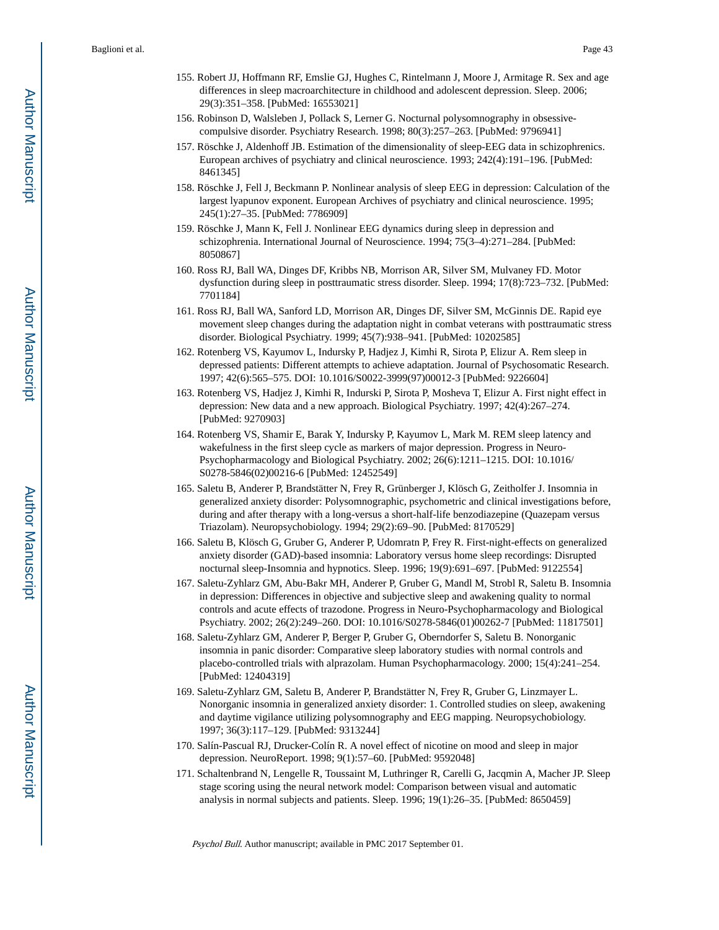- 155. Robert JJ, Hoffmann RF, Emslie GJ, Hughes C, Rintelmann J, Moore J, Armitage R. Sex and age differences in sleep macroarchitecture in childhood and adolescent depression. Sleep. 2006; 29(3):351–358. [PubMed: 16553021]
- 156. Robinson D, Walsleben J, Pollack S, Lerner G. Nocturnal polysomnography in obsessivecompulsive disorder. Psychiatry Research. 1998; 80(3):257–263. [PubMed: 9796941]
- 157. Röschke J, Aldenhoff JB. Estimation of the dimensionality of sleep-EEG data in schizophrenics. European archives of psychiatry and clinical neuroscience. 1993; 242(4):191–196. [PubMed: 8461345]
- 158. Röschke J, Fell J, Beckmann P. Nonlinear analysis of sleep EEG in depression: Calculation of the largest lyapunov exponent. European Archives of psychiatry and clinical neuroscience. 1995; 245(1):27–35. [PubMed: 7786909]
- 159. Röschke J, Mann K, Fell J. Nonlinear EEG dynamics during sleep in depression and schizophrenia. International Journal of Neuroscience. 1994; 75(3–4):271–284. [PubMed: 8050867]
- 160. Ross RJ, Ball WA, Dinges DF, Kribbs NB, Morrison AR, Silver SM, Mulvaney FD. Motor dysfunction during sleep in posttraumatic stress disorder. Sleep. 1994; 17(8):723–732. [PubMed: 7701184]
- 161. Ross RJ, Ball WA, Sanford LD, Morrison AR, Dinges DF, Silver SM, McGinnis DE. Rapid eye movement sleep changes during the adaptation night in combat veterans with posttraumatic stress disorder. Biological Psychiatry. 1999; 45(7):938–941. [PubMed: 10202585]
- 162. Rotenberg VS, Kayumov L, Indursky P, Hadjez J, Kimhi R, Sirota P, Elizur A. Rem sleep in depressed patients: Different attempts to achieve adaptation. Journal of Psychosomatic Research. 1997; 42(6):565–575. DOI: 10.1016/S0022-3999(97)00012-3 [PubMed: 9226604]
- 163. Rotenberg VS, Hadjez J, Kimhi R, Indurski P, Sirota P, Mosheva T, Elizur A. First night effect in depression: New data and a new approach. Biological Psychiatry. 1997; 42(4):267–274. [PubMed: 9270903]
- 164. Rotenberg VS, Shamir E, Barak Y, Indursky P, Kayumov L, Mark M. REM sleep latency and wakefulness in the first sleep cycle as markers of major depression. Progress in Neuro-Psychopharmacology and Biological Psychiatry. 2002; 26(6):1211–1215. DOI: 10.1016/ S0278-5846(02)00216-6 [PubMed: 12452549]
- 165. Saletu B, Anderer P, Brandstätter N, Frey R, Grünberger J, Klösch G, Zeitholfer J. Insomnia in generalized anxiety disorder: Polysomnographic, psychometric and clinical investigations before, during and after therapy with a long-versus a short-half-life benzodiazepine (Quazepam versus Triazolam). Neuropsychobiology. 1994; 29(2):69–90. [PubMed: 8170529]
- 166. Saletu B, Klösch G, Gruber G, Anderer P, Udomratn P, Frey R. First-night-effects on generalized anxiety disorder (GAD)-based insomnia: Laboratory versus home sleep recordings: Disrupted nocturnal sleep-Insomnia and hypnotics. Sleep. 1996; 19(9):691–697. [PubMed: 9122554]
- 167. Saletu-Zyhlarz GM, Abu-Bakr MH, Anderer P, Gruber G, Mandl M, Strobl R, Saletu B. Insomnia in depression: Differences in objective and subjective sleep and awakening quality to normal controls and acute effects of trazodone. Progress in Neuro-Psychopharmacology and Biological Psychiatry. 2002; 26(2):249–260. DOI: 10.1016/S0278-5846(01)00262-7 [PubMed: 11817501]
- 168. Saletu-Zyhlarz GM, Anderer P, Berger P, Gruber G, Oberndorfer S, Saletu B. Nonorganic insomnia in panic disorder: Comparative sleep laboratory studies with normal controls and placebo-controlled trials with alprazolam. Human Psychopharmacology. 2000; 15(4):241–254. [PubMed: 12404319]
- 169. Saletu-Zyhlarz GM, Saletu B, Anderer P, Brandstätter N, Frey R, Gruber G, Linzmayer L. Nonorganic insomnia in generalized anxiety disorder: 1. Controlled studies on sleep, awakening and daytime vigilance utilizing polysomnography and EEG mapping. Neuropsychobiology. 1997; 36(3):117–129. [PubMed: 9313244]
- 170. Salín-Pascual RJ, Drucker-Colín R. A novel effect of nicotine on mood and sleep in major depression. NeuroReport. 1998; 9(1):57–60. [PubMed: 9592048]
- 171. Schaltenbrand N, Lengelle R, Toussaint M, Luthringer R, Carelli G, Jacqmin A, Macher JP. Sleep stage scoring using the neural network model: Comparison between visual and automatic analysis in normal subjects and patients. Sleep. 1996; 19(1):26–35. [PubMed: 8650459]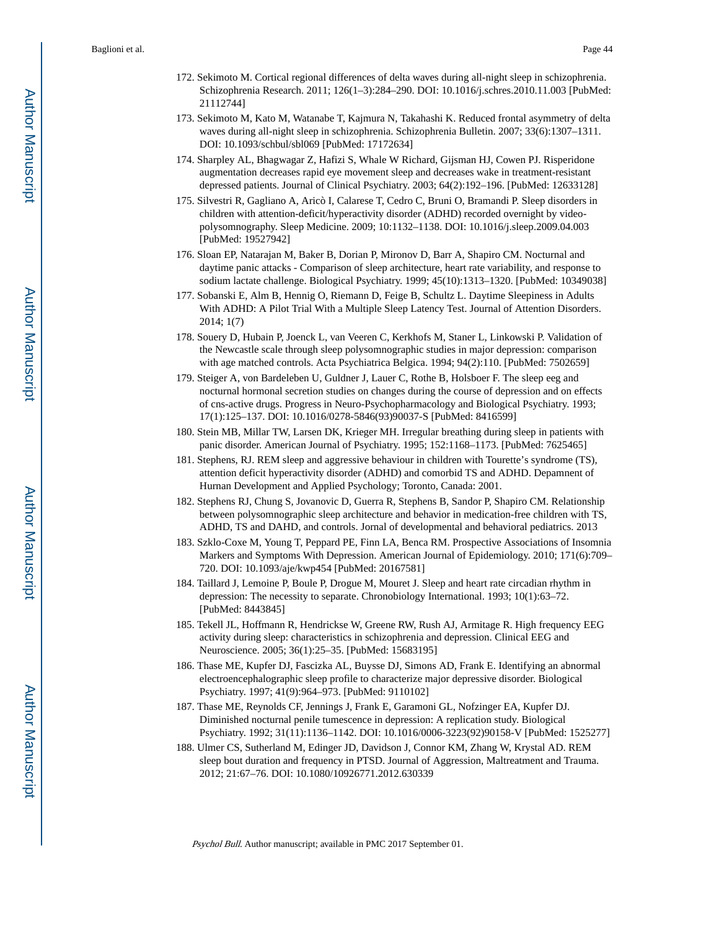- 172. Sekimoto M. Cortical regional differences of delta waves during all-night sleep in schizophrenia. Schizophrenia Research. 2011; 126(1–3):284–290. DOI: 10.1016/j.schres.2010.11.003 [PubMed: 21112744]
- 173. Sekimoto M, Kato M, Watanabe T, Kajmura N, Takahashi K. Reduced frontal asymmetry of delta waves during all-night sleep in schizophrenia. Schizophrenia Bulletin. 2007; 33(6):1307–1311. DOI: 10.1093/schbul/sbl069 [PubMed: 17172634]
- 174. Sharpley AL, Bhagwagar Z, Hafizi S, Whale W Richard, Gijsman HJ, Cowen PJ. Risperidone augmentation decreases rapid eye movement sleep and decreases wake in treatment-resistant depressed patients. Journal of Clinical Psychiatry. 2003; 64(2):192–196. [PubMed: 12633128]
- 175. Silvestri R, Gagliano A, Aricò I, Calarese T, Cedro C, Bruni O, Bramandi P. Sleep disorders in children with attention-deficit/hyperactivity disorder (ADHD) recorded overnight by videopolysomnography. Sleep Medicine. 2009; 10:1132–1138. DOI: 10.1016/j.sleep.2009.04.003 [PubMed: 19527942]
- 176. Sloan EP, Natarajan M, Baker B, Dorian P, Mironov D, Barr A, Shapiro CM. Nocturnal and daytime panic attacks - Comparison of sleep architecture, heart rate variability, and response to sodium lactate challenge. Biological Psychiatry. 1999; 45(10):1313–1320. [PubMed: 10349038]
- 177. Sobanski E, Alm B, Hennig O, Riemann D, Feige B, Schultz L. Daytime Sleepiness in Adults With ADHD: A Pilot Trial With a Multiple Sleep Latency Test. Journal of Attention Disorders. 2014; 1(7)
- 178. Souery D, Hubain P, Joenck L, van Veeren C, Kerkhofs M, Staner L, Linkowski P. Validation of the Newcastle scale through sleep polysomnographic studies in major depression: comparison with age matched controls. Acta Psychiatrica Belgica. 1994; 94(2):110. [PubMed: 7502659]
- 179. Steiger A, von Bardeleben U, Guldner J, Lauer C, Rothe B, Holsboer F. The sleep eeg and nocturnal hormonal secretion studies on changes during the course of depression and on effects of cns-active drugs. Progress in Neuro-Psychopharmacology and Biological Psychiatry. 1993; 17(1):125–137. DOI: 10.1016/0278-5846(93)90037-S [PubMed: 8416599]
- 180. Stein MB, Millar TW, Larsen DK, Krieger MH. Irregular breathing during sleep in patients with panic disorder. American Journal of Psychiatry. 1995; 152:1168–1173. [PubMed: 7625465]
- 181. Stephens, RJ. REM sleep and aggressive behaviour in children with Tourette's syndrome (TS), attention deficit hyperactivity disorder (ADHD) and comorbid TS and ADHD. Depamnent of Hurnan Development and Applied Psychology; Toronto, Canada: 2001.
- 182. Stephens RJ, Chung S, Jovanovic D, Guerra R, Stephens B, Sandor P, Shapiro CM. Relationship between polysomnographic sleep architecture and behavior in medication-free children with TS, ADHD, TS and DAHD, and controls. Jornal of developmental and behavioral pediatrics. 2013
- 183. Szklo-Coxe M, Young T, Peppard PE, Finn LA, Benca RM. Prospective Associations of Insomnia Markers and Symptoms With Depression. American Journal of Epidemiology. 2010; 171(6):709– 720. DOI: 10.1093/aje/kwp454 [PubMed: 20167581]
- 184. Taillard J, Lemoine P, Boule P, Drogue M, Mouret J. Sleep and heart rate circadian rhythm in depression: The necessity to separate. Chronobiology International. 1993; 10(1):63–72. [PubMed: 8443845]
- 185. Tekell JL, Hoffmann R, Hendrickse W, Greene RW, Rush AJ, Armitage R. High frequency EEG activity during sleep: characteristics in schizophrenia and depression. Clinical EEG and Neuroscience. 2005; 36(1):25–35. [PubMed: 15683195]
- 186. Thase ME, Kupfer DJ, Fascizka AL, Buysse DJ, Simons AD, Frank E. Identifying an abnormal electroencephalographic sleep profile to characterize major depressive disorder. Biological Psychiatry. 1997; 41(9):964–973. [PubMed: 9110102]
- 187. Thase ME, Reynolds CF, Jennings J, Frank E, Garamoni GL, Nofzinger EA, Kupfer DJ. Diminished nocturnal penile tumescence in depression: A replication study. Biological Psychiatry. 1992; 31(11):1136–1142. DOI: 10.1016/0006-3223(92)90158-V [PubMed: 1525277]
- 188. Ulmer CS, Sutherland M, Edinger JD, Davidson J, Connor KM, Zhang W, Krystal AD. REM sleep bout duration and frequency in PTSD. Journal of Aggression, Maltreatment and Trauma. 2012; 21:67–76. DOI: 10.1080/10926771.2012.630339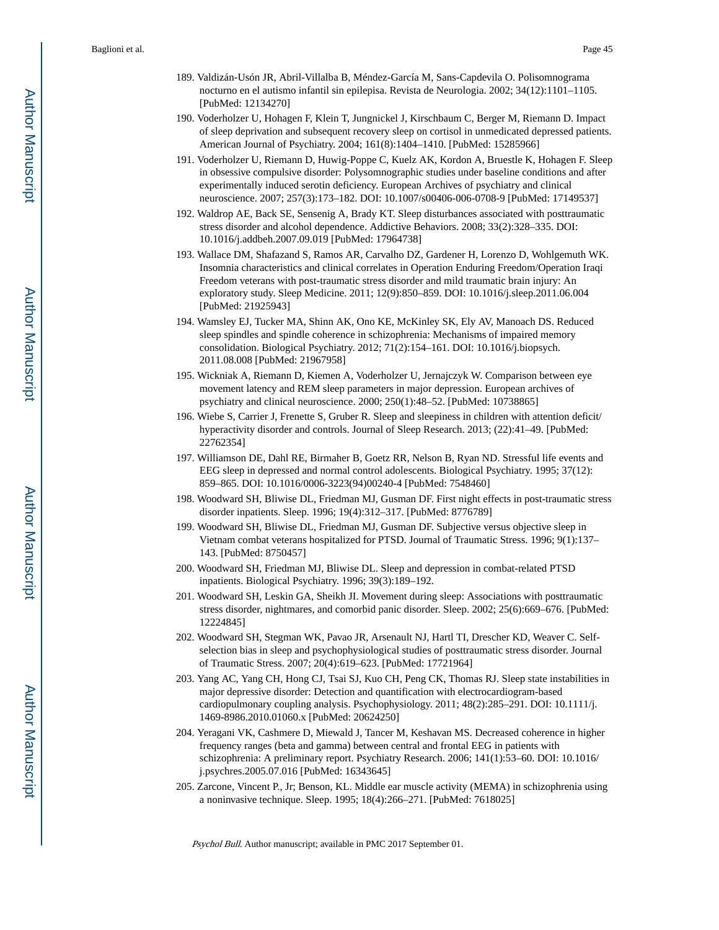- 189. Valdizán-Usón JR, Abril-Villalba B, Méndez-García M, Sans-Capdevila O. Polisomnograma nocturno en el autismo infantil sin epilepisa. Revista de Neurologia. 2002; 34(12):1101–1105. [PubMed: 12134270]
- 190. Voderholzer U, Hohagen F, Klein T, Jungnickel J, Kirschbaum C, Berger M, Riemann D. Impact of sleep deprivation and subsequent recovery sleep on cortisol in unmedicated depressed patients. American Journal of Psychiatry. 2004; 161(8):1404–1410. [PubMed: 15285966]
- 191. Voderholzer U, Riemann D, Huwig-Poppe C, Kuelz AK, Kordon A, Bruestle K, Hohagen F. Sleep in obsessive compulsive disorder: Polysomnographic studies under baseline conditions and after experimentally induced serotin deficiency. European Archives of psychiatry and clinical neuroscience. 2007; 257(3):173–182. DOI: 10.1007/s00406-006-0708-9 [PubMed: 17149537]
- 192. Waldrop AE, Back SE, Sensenig A, Brady KT. Sleep disturbances associated with posttraumatic stress disorder and alcohol dependence. Addictive Behaviors. 2008; 33(2):328–335. DOI: 10.1016/j.addbeh.2007.09.019 [PubMed: 17964738]
- 193. Wallace DM, Shafazand S, Ramos AR, Carvalho DZ, Gardener H, Lorenzo D, Wohlgemuth WK. Insomnia characteristics and clinical correlates in Operation Enduring Freedom/Operation Iraqi Freedom veterans with post-traumatic stress disorder and mild traumatic brain injury: An exploratory study. Sleep Medicine. 2011; 12(9):850–859. DOI: 10.1016/j.sleep.2011.06.004 [PubMed: 21925943]
- 194. Wamsley EJ, Tucker MA, Shinn AK, Ono KE, McKinley SK, Ely AV, Manoach DS. Reduced sleep spindles and spindle coherence in schizophrenia: Mechanisms of impaired memory consolidation. Biological Psychiatry. 2012; 71(2):154–161. DOI: 10.1016/j.biopsych. 2011.08.008 [PubMed: 21967958]
- 195. Wickniak A, Riemann D, Kiemen A, Voderholzer U, Jernajczyk W. Comparison between eye movement latency and REM sleep parameters in major depression. European archives of psychiatry and clinical neuroscience. 2000; 250(1):48–52. [PubMed: 10738865]
- 196. Wiebe S, Carrier J, Frenette S, Gruber R. Sleep and sleepiness in children with attention deficit/ hyperactivity disorder and controls. Journal of Sleep Research. 2013; (22):41–49. [PubMed: 22762354]
- 197. Williamson DE, Dahl RE, Birmaher B, Goetz RR, Nelson B, Ryan ND. Stressful life events and EEG sleep in depressed and normal control adolescents. Biological Psychiatry. 1995; 37(12): 859–865. DOI: 10.1016/0006-3223(94)00240-4 [PubMed: 7548460]
- 198. Woodward SH, Bliwise DL, Friedman MJ, Gusman DF. First night effects in post-traumatic stress disorder inpatients. Sleep. 1996; 19(4):312–317. [PubMed: 8776789]
- 199. Woodward SH, Bliwise DL, Friedman MJ, Gusman DF. Subjective versus objective sleep in Vietnam combat veterans hospitalized for PTSD. Journal of Traumatic Stress. 1996; 9(1):137– 143. [PubMed: 8750457]
- 200. Woodward SH, Friedman MJ, Bliwise DL. Sleep and depression in combat-related PTSD inpatients. Biological Psychiatry. 1996; 39(3):189–192.
- 201. Woodward SH, Leskin GA, Sheikh JI. Movement during sleep: Associations with posttraumatic stress disorder, nightmares, and comorbid panic disorder. Sleep. 2002; 25(6):669–676. [PubMed: 12224845]
- 202. Woodward SH, Stegman WK, Pavao JR, Arsenault NJ, Hartl TI, Drescher KD, Weaver C. Selfselection bias in sleep and psychophysiological studies of posttraumatic stress disorder. Journal of Traumatic Stress. 2007; 20(4):619–623. [PubMed: 17721964]
- 203. Yang AC, Yang CH, Hong CJ, Tsai SJ, Kuo CH, Peng CK, Thomas RJ. Sleep state instabilities in major depressive disorder: Detection and quantification with electrocardiogram-based cardiopulmonary coupling analysis. Psychophysiology. 2011; 48(2):285–291. DOI: 10.1111/j. 1469-8986.2010.01060.x [PubMed: 20624250]
- 204. Yeragani VK, Cashmere D, Miewald J, Tancer M, Keshavan MS. Decreased coherence in higher frequency ranges (beta and gamma) between central and frontal EEG in patients with schizophrenia: A preliminary report. Psychiatry Research. 2006; 141(1):53–60. DOI: 10.1016/ j.psychres.2005.07.016 [PubMed: 16343645]
- 205. Zarcone, Vincent P., Jr; Benson, KL. Middle ear muscle activity (MEMA) in schizophrenia using a noninvasive technique. Sleep. 1995; 18(4):266–271. [PubMed: 7618025]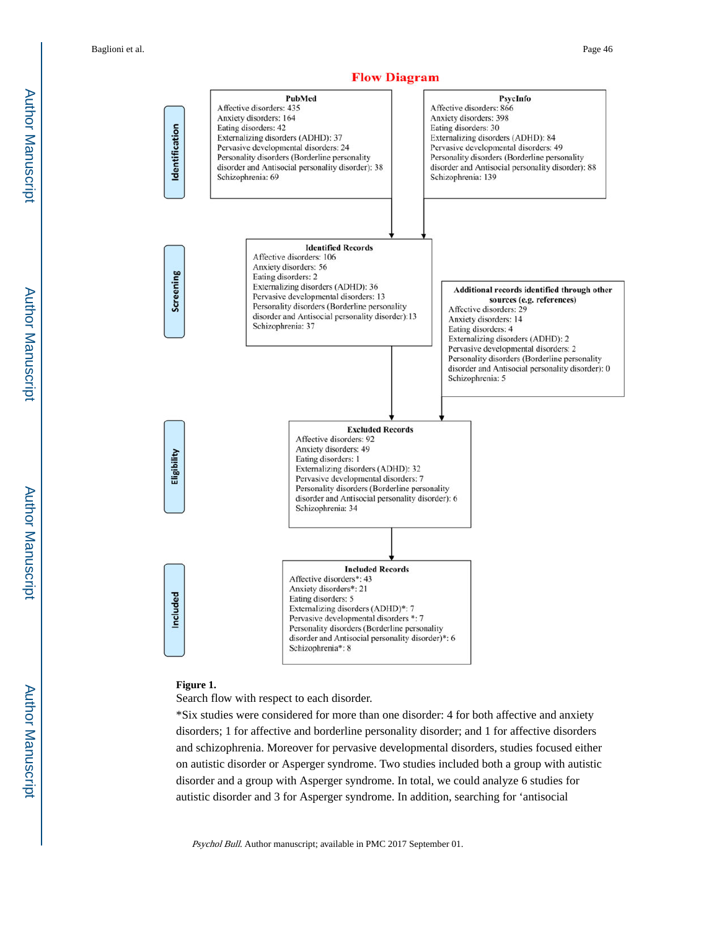Author Manuscript Author Manuscript



## **Figure 1.**

Search flow with respect to each disorder.

\*Six studies were considered for more than one disorder: 4 for both affective and anxiety disorders; 1 for affective and borderline personality disorder; and 1 for affective disorders and schizophrenia. Moreover for pervasive developmental disorders, studies focused either on autistic disorder or Asperger syndrome. Two studies included both a group with autistic disorder and a group with Asperger syndrome. In total, we could analyze 6 studies for autistic disorder and 3 for Asperger syndrome. In addition, searching for 'antisocial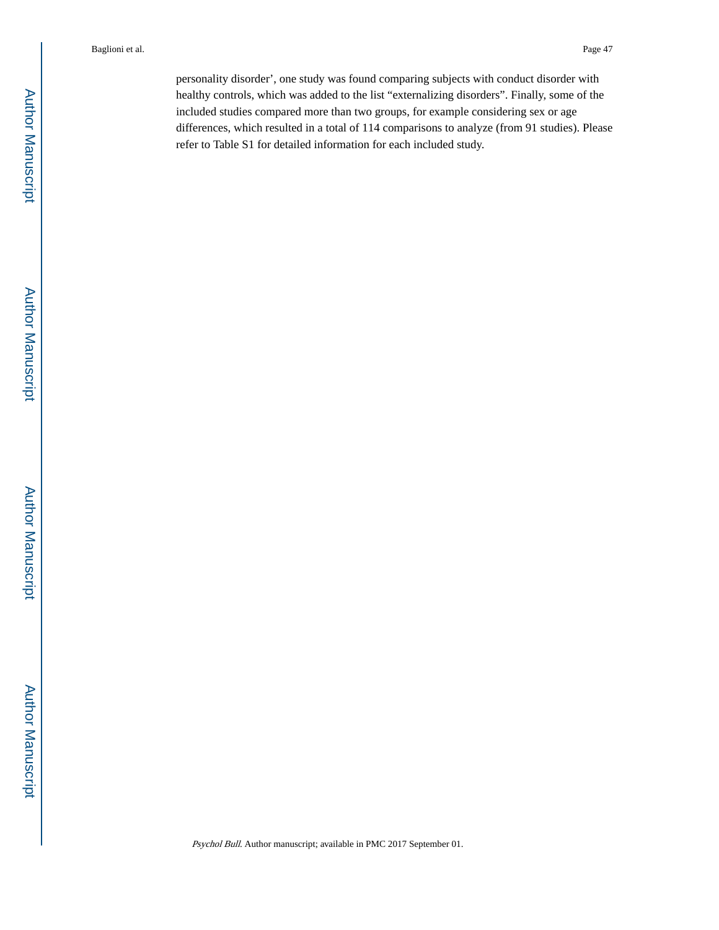personality disorder', one study was found comparing subjects with conduct disorder with healthy controls, which was added to the list "externalizing disorders". Finally, some of the included studies compared more than two groups, for example considering sex or age differences, which resulted in a total of 114 comparisons to analyze (from 91 studies). Please refer to Table S1 for detailed information for each included study.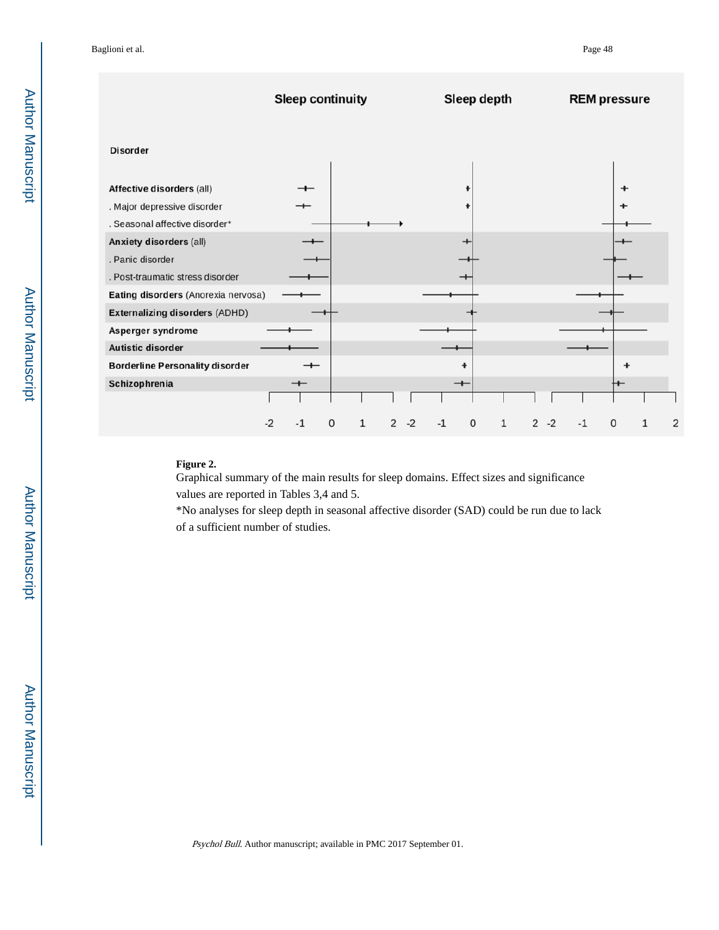|                                                                                            | <b>Sleep continuity</b>  |        |           |      | Sleep depth |                        |      | <b>REM pressure</b> |   |   |
|--------------------------------------------------------------------------------------------|--------------------------|--------|-----------|------|-------------|------------------------|------|---------------------|---|---|
| <b>Disorder</b>                                                                            |                          |        |           |      |             |                        |      |                     |   |   |
| Affective disorders (all)<br>. Major depressive disorder<br>. Seasonal affective disorder* |                          |        |           |      |             |                        |      | $\div$              |   |   |
| Anxiety disorders (all)<br>. Panic disorder<br>. Post-traumatic stress disorder            |                          |        |           |      |             |                        |      |                     |   |   |
| Eating disorders (Anorexia nervosa)                                                        |                          |        |           |      |             |                        |      |                     |   |   |
| <b>Externalizing disorders (ADHD)</b>                                                      |                          |        |           |      |             |                        |      |                     |   |   |
| Asperger syndrome                                                                          |                          |        |           |      |             |                        |      |                     |   |   |
| Autistic disorder                                                                          |                          |        |           |      |             |                        |      |                     |   |   |
| <b>Borderline Personality disorder</b>                                                     | $\overline{\phantom{0}}$ |        |           |      |             |                        |      |                     |   |   |
| Schizophrenia                                                                              | $^{+}$                   |        |           | $+$  |             |                        |      |                     |   |   |
|                                                                                            | $-2$<br>$-1$             | 0<br>1 | $-2$<br>2 | $-1$ | 0<br>1      | $\overline{2}$<br>$-2$ | $-1$ | 0                   | 1 | 2 |

## **Figure 2.**

Graphical summary of the main results for sleep domains. Effect sizes and significance values are reported in Tables 3,4 and 5.

\*No analyses for sleep depth in seasonal affective disorder (SAD) could be run due to lack of a sufficient number of studies.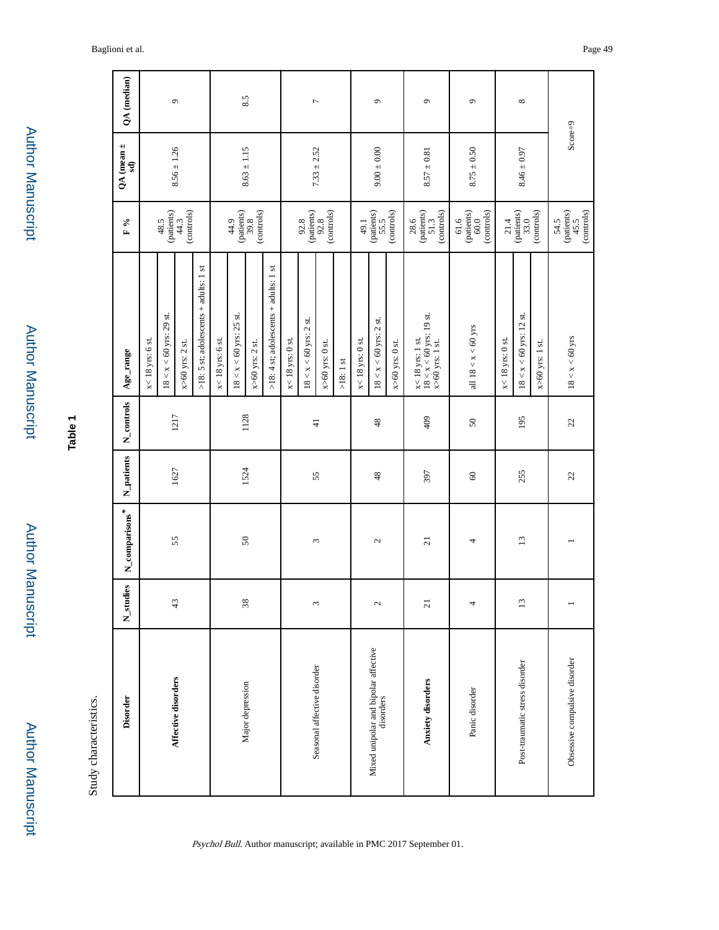| í |
|---|
|   |
|   |
|   |
| í |
| ï |
|   |

Author Manuscript

Author Manuscript

| ۹<br>Φ |  |
|--------|--|
|        |  |
|        |  |
|        |  |

Study characteristics. Study characteristics.

| <b>Disorder</b>                                   | N_studies                 | $N$ _comparisons <sup>*</sup> | N_patients          | N_controls     | Age_range                                                               | $\sim$<br>$\mathbf{r}$                                                                                    | QA (mean $\pm$<br>$\mathbf{a}$ | QA (median)        |
|---------------------------------------------------|---------------------------|-------------------------------|---------------------|----------------|-------------------------------------------------------------------------|-----------------------------------------------------------------------------------------------------------|--------------------------------|--------------------|
|                                                   |                           |                               |                     |                | x< 18 yrs: 6 st.                                                        |                                                                                                           |                                |                    |
| Affective disorders                               | $\frac{4}{3}$             |                               |                     | 1217           | $18 < x < 60$ yrs: 29 st.                                               | (patients)<br>48.5                                                                                        |                                | $\circ$            |
|                                                   |                           | 55                            | 1627                |                | $x>60$ yrs: 2 st.                                                       | (controls)<br>44.3                                                                                        | $8.56 \pm 1.26$                |                    |
|                                                   |                           |                               |                     |                | $>18$ : 5 st; adolescents + adults: 1 st                                |                                                                                                           |                                |                    |
|                                                   |                           |                               |                     |                | x< 18 yrs: 6 st.                                                        |                                                                                                           |                                |                    |
|                                                   |                           |                               |                     |                | $18 < x < 60$ yrs: 25 st.                                               | 44.9                                                                                                      |                                |                    |
| Major depression                                  | $\widetilde{\mathcal{E}}$ | $50\,$                        | 1524                | 1128           | $x>60$ yrs: 2 st.                                                       | (controls)<br>$\begin{array}{c} \text{(patients)}\\ \text{39.8} \end{array}$                              | $8.63 \pm 1.15$                | 8.5                |
|                                                   |                           |                               |                     |                | >18: 4 st; adolescents + adults: 1 st                                   |                                                                                                           |                                |                    |
|                                                   |                           |                               |                     |                | x< 18 yrs: 0 st.                                                        |                                                                                                           |                                |                    |
|                                                   |                           |                               |                     |                | $18 < x < 60$ yrs: 2 st.                                                | 92.8                                                                                                      |                                |                    |
| Seasonal affective disorder                       | $\omega$                  | 3                             | 55                  | $\overline{4}$ | $x>60$ yrs: 0 st.                                                       | $\begin{array}{c} \text{(paths)}\\ \text{92.8}\\ \text{(controls)} \end{array}$                           | $7.33 \pm 2.52$                | $\overline{ }$     |
|                                                   |                           |                               |                     |                | $>18:1$ st                                                              |                                                                                                           |                                |                    |
|                                                   |                           |                               |                     |                | x< 18 yrs: 0 st.                                                        | 49.1                                                                                                      |                                |                    |
| Mixed unipolar and bipolar affective<br>disorders | $\mathfrak{g}$            | $\mathcal{L}$                 | 48                  | 48             | $18 < x < 60$ yrs: 2 st.                                                | (patients)<br>55.5                                                                                        | $9.00 \pm 0.00$                | $\sigma$           |
|                                                   |                           |                               |                     |                | $x>60$ yrs: 0 st.                                                       | (controls)                                                                                                |                                |                    |
| Anxiety disorders                                 | $\overline{c}$            | $\overline{z}$                | 397                 | 409            | $x < 18$ yrs: 1 st.<br>$18 < x < 60$ yrs: 19 st.<br>$x > 60$ yrs: 1 st. | $\begin{array}{c} 28.6 \\ \text{(paths)} \\ 51.3 \end{array}$<br>(controls)                               | $8.57 \pm 0.81$                | $\mathbf{\hat{c}}$ |
| Panic disorder                                    |                           | 4                             | $\pmb{\mathcal{S}}$ | $50\,$         | all $18 < x < 60$ yrs                                                   | $\frac{61.6}{(patients)}$<br>(controls)<br>$60.0$                                                         | $8.75 \pm 0.50$                | $\bullet$          |
|                                                   |                           |                               |                     |                | x< 18 yrs: 0 st.                                                        | 21.4                                                                                                      |                                |                    |
| Post-traumatic stress disorder                    | $\Xi$                     | 13                            | 255                 | 195            | st.<br>$18 < x < 60$ yrs: 12                                            | $\left( \text{pations}\right)$ $33.0$                                                                     | $8.46 \pm 0.97$                | ${}^{\circ}$       |
|                                                   |                           |                               |                     |                | $x>60$ yrs: 1 st.                                                       | (controls)                                                                                                |                                |                    |
| Obsessive compulsive disorder                     |                           |                               | 22                  | $\mathfrak{L}$ | $18 < x < 60$ yrs                                                       | $\begin{array}{c} 54.5 \\ \text{(pations)} \\ 45.5 \\ \text{(controls)} \\ \text{(controls)} \end{array}$ | $Score=9$                      |                    |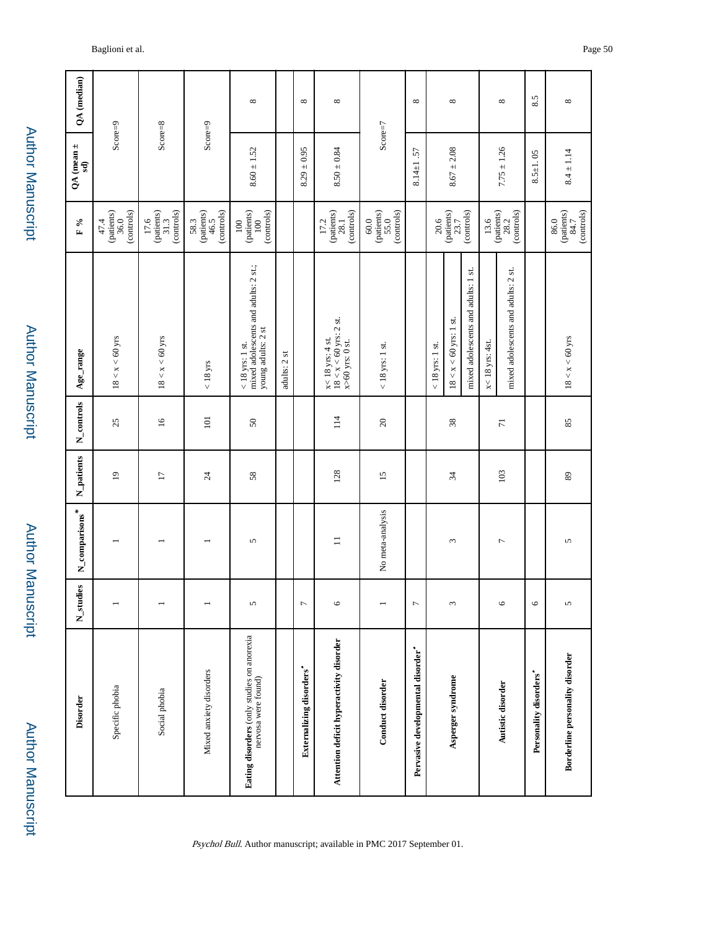| <b>Disorder</b>                                                   | es.<br>$N_{stat}$ | $N_{\_comparisons}^*$ | N_patients      | N_controls      | Age_range                                                                       | $\mathbb{F}$ %                                                                                             | QA (mean $\pm$<br>$\mathbf{S}$ | QA (median)   |
|-------------------------------------------------------------------|-------------------|-----------------------|-----------------|-----------------|---------------------------------------------------------------------------------|------------------------------------------------------------------------------------------------------------|--------------------------------|---------------|
| Specific phobia                                                   |                   |                       | $\overline{1}$  | 25              | $18 < x < 60$ yrs                                                               | (controls)<br>$\left( \text{pations} \right) \\ 36.0$<br>47.4                                              | $Score=9$                      |               |
| Social phobia                                                     |                   |                       | $\overline{17}$ | $\overline{16}$ | $18 < x < 60$ yrs                                                               | $\begin{array}{c} 17.6 \\ \text{(paths)} \\ 31.3 \end{array}$<br>(controls)                                | $Score=8$                      |               |
| Mixed anxiety disorders                                           |                   |                       | $\overline{24}$ | 101             | $< 18$ yrs                                                                      | (controls)<br>$\begin{array}{c} 58.3 \\ \text{(paths)} \\ 46.5 \end{array}$                                | $Score=9$                      |               |
| Eating disorders (only studies on anorexia<br>nervosa were found) | 5                 | 5                     | 58              | $50\,$          | mixed adolescents and adults: 2 st.;<br>young adults: 2 st<br>$<$ 18 yrs: 1 st. | $\begin{array}{c} \text{(paths)}\\ 100 \end{array}$<br>(controls)<br>100                                   | $8.60 \pm 1.52$                | ${}^{\infty}$ |
|                                                                   |                   |                       |                 |                 | adults: 2 st                                                                    |                                                                                                            |                                |               |
| Externalizing disorders'                                          | $\overline{ }$    |                       |                 |                 |                                                                                 |                                                                                                            | $8.29 \pm 0.95$                | ${}^{\infty}$ |
| Attention deficit hyperactivity disorder                          | $\circ$           | $\equiv$              | 128             | 114             | $x < 18$ yrs: 4 st.<br>$18 < x < 60$ yrs: 2 st.<br>$x > 60$ yrs: 0 st.          | (patients)<br>(controls)<br>17.2<br>28.1                                                                   | $8.50 \pm 0.84$                | ${}^{\circ}$  |
| <b>Conduct disorder</b>                                           |                   | No meta-analysis      | $\overline{15}$ | $20\,$          | $<$ 18 yrs: 1 st.                                                               | (controls)<br>(patients)<br>55.0<br>$60.0$                                                                 | $Score=7$                      |               |
| Pervasive developmental disorder"                                 | $\overline{ }$    |                       |                 |                 |                                                                                 |                                                                                                            | $8.14 \pm 1.57$                | $\infty$      |
|                                                                   |                   |                       |                 |                 | $<18$ yrs: $1$ st.                                                              | 20.6                                                                                                       |                                |               |
| Asperger syndrome                                                 | 3                 | 3                     | 34              | 38              | $18 < x < 60$ yrs: 1 st.                                                        | (patients)<br>$23.7\,$                                                                                     | $8.67 \pm 2.08$                | ${}^{\circ}$  |
|                                                                   |                   |                       |                 |                 | mixed adolescents and adults: 1 st.                                             | (controls)                                                                                                 |                                |               |
|                                                                   |                   |                       |                 |                 | $x < 18$ yrs: 4st.                                                              | 13.6                                                                                                       |                                |               |
| Autistic disorder                                                 | $\circ$           | $\overline{ }$        | 103             | $\overline{7}$  | mixed adolescents and adults: 2 st.                                             | $(pations)$<br>$28.2$<br>(controls)                                                                        | $7.75 \pm 1.26$                | ${}^{\circ}$  |
| Personality disorders'                                            | $\circ$           |                       |                 |                 |                                                                                 |                                                                                                            | $8.5 \pm 1.05$                 | 8.5           |
| Borderline personality disorder                                   | 5                 | 5                     | 89              | 85              | $18 < x < 60$ yrs                                                               | (controls)<br>$\left( \begin{smallmatrix} \text{pations} \\ \text{84.7} \end{smallmatrix} \right)$<br>86.0 | $8.4 \pm 1.14$                 | ${}^{\infty}$ |

Baglioni et al. Page 50

Author Manuscript

Author Manuscript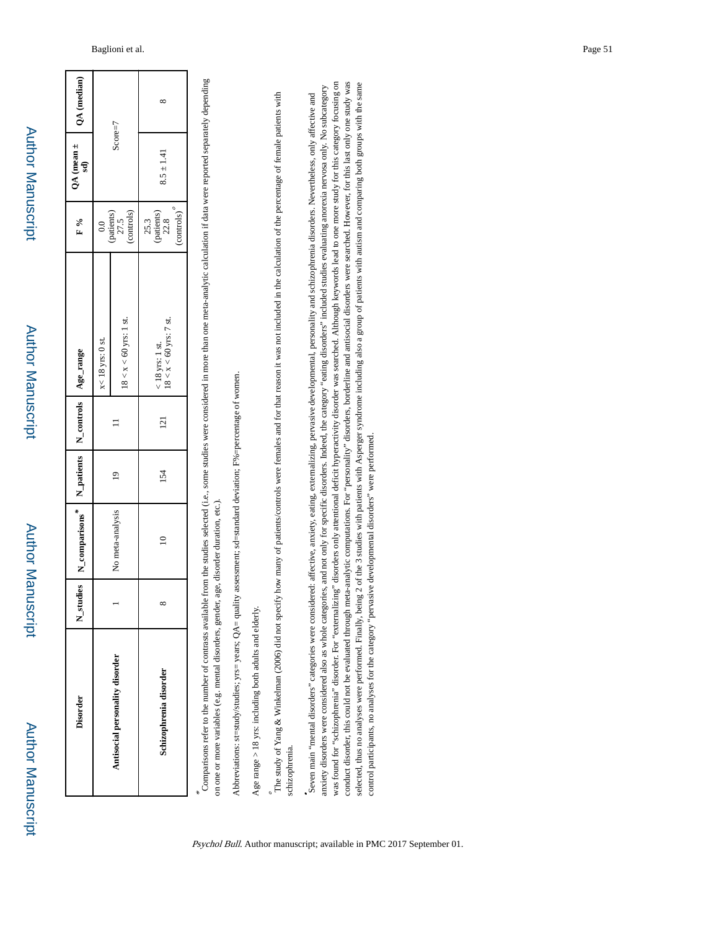| ı. |
|----|
|    |
|    |
|    |
|    |
|    |
|    |
|    |
|    |
| ı  |
|    |
|    |
|    |
|    |
|    |
|    |
|    |
|    |
|    |
|    |
|    |
| ï  |
|    |
|    |

| <b>Disorder</b>                 | N_stu    | dies   N_comparisons*   N_patients   N_controls   Age_range |               |                 |                                               | $_{\rm F}$ %                                                                        | $QA (mean \pm 1)$<br>sd) | QA (median) |
|---------------------------------|----------|-------------------------------------------------------------|---------------|-----------------|-----------------------------------------------|-------------------------------------------------------------------------------------|--------------------------|-------------|
|                                 |          |                                                             |               |                 | $x < 18$ yrs: 0 st.                           |                                                                                     |                          |             |
| Antisocial personality disorder |          | No meta-analysis                                            | $\frac{1}{2}$ |                 | $18 < x < 60$ yrs: 1 st.                      | $\begin{array}{c} 0.0 \\ \text{(paths)} \\ 27.5 \\ \text{(outrols)} \\ \end{array}$ | $Score=7$                |             |
| Schizophrenia disorder          | $\infty$ | $\approx$                                                   | 154           | $\overline{21}$ | $< 18$ yrs: 1 st.<br>$18 < x < 60$ yrs: 7 st. | $25.3$<br>(patients)<br>$22.8$                                                      | $8.5 \pm 1.41$           | ∞           |
|                                 |          |                                                             |               |                 |                                               | (controls)                                                                          |                          |             |

Comparisons refer to the number of contrasts available from the studies selected (i.e., some studies were considered in more than one meta-analytic calculation if data were reported separately depending Comparisons refer to the number of contrasts available from the studies selected (i.e., some studies were considered in more than one meta-analytic calculation if data were reported separately depending on one or more variables (e.g. mental disorders, gender, age, disorder duration, etc.). on one or more variables (e.g. mental disorders, gender, age, disorder duration, etc.).

Abbreviations: st=study/studies; yrs= years; QA= quality assessment; sd=standard deviation; F%=percentage of women. Abbreviations: st=study/studies; yrs= years;  $QA =$  quality assessment; sd=standard deviation;  $P\% =$ percentage of women

Age range  $>$  18 yrs: including both adults and elderly. Age range  $>$  18 yrs: including both adults and elderly.

\*

The study of Yang & Winkelman (2006) did not specify how many of patients/controls were females and for that reason it was not included in the calculation of the percentage of female patients with schizophrenia. schizophrenia.

was found for "schizophrenia" disorder. For "externalizing" disorders only attentional deficit hyperactivity disorder was searched. Although keywords lead to one more study for this category focusing on was found for "schizophrenia" disorder. For "externalizing" disorders only attentional deficit hyperactivity disorder was searched. Although keywords lead to one more study for this category focusing on conduct disorder, this could not be evaluated through meta-analytic computations. For "personality" disorders, borderline and antisocial disorders were searched. However, for this last only one study was conduct disorder, this could not be evaluated through meta-analytic computations. For "personality" disorders, borderline and antisocial disorders were searched. However, for this last only one study was selected, thus no analyses were performed. Finally, being 2 of the 3 studies with patients with Asperger syndrome including also a group of patients with autism and comparing both groups with the same selected, thus no analyses were performed. Finally, being 2 of the 3 studies with patients with Asperger syndrome including also a group of patients with autism and comparing both groups with the same anxiety disorders were considered also as whole categories, and not only for specific disorders. Indeed, the category "eating disorders" included studies evaluating anorexia nervosa only. No subcategory anxiety disorders were considered also as whole categories, and not only for specific disorders. Indeed, the category "eating disorders" included studies evaluating anorexia nervosa only. No subcategory Seven main "mental disorders" categories were considered: affective, anxiety, eating, externalizing, pervasive developmental, personality and schizophrenia disorders. Nevertheless, only affective and Seven main "mental disorders" categories were considered: affective, anxiety, eating, externalizing, pervasive developmental, personality and schizophrenia disorders. Nevertheless, only affective and control participants, no analyses for the category "pervasive developmental disorders" were performed. control participants, no analyses for the category "pervasive developmental disorders" were performed.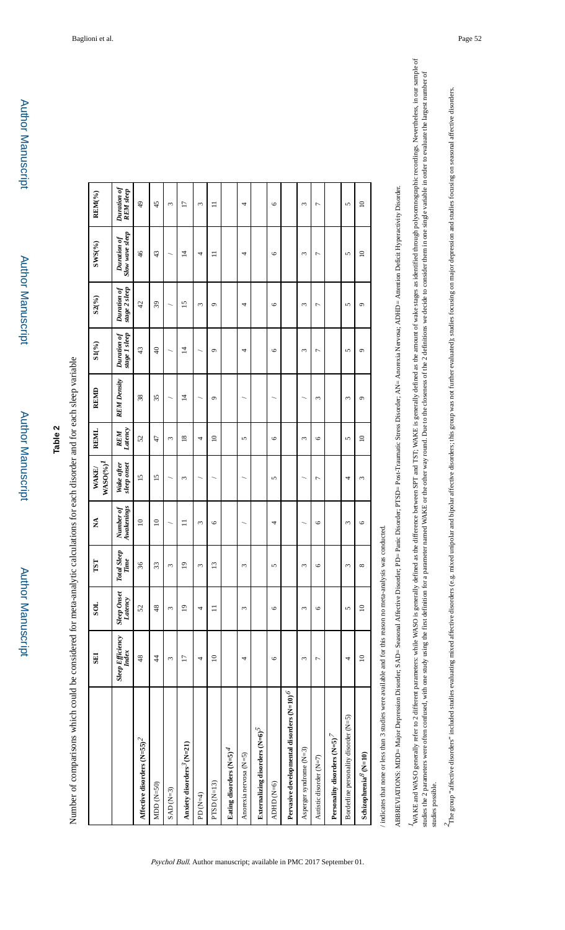Number of comparisons which could be considered for meta-analytic calculations for each disorder and for each sleep variable Number of comparisons which could be considered for meta-analytic calculations for each disorder and for each sleep variable

|                                               | <b>THS</b>                | <b>TOS</b>                    | TST                        | Ź                       | $W\!ASO(%)^I$<br>WAKE/    | REMI                  | <b>REMD</b>        | SL(%)                        | $S2(^{9}/_{0})$              | $\text{SWS}(9/6)$                     | REM(%)                          |
|-----------------------------------------------|---------------------------|-------------------------------|----------------------------|-------------------------|---------------------------|-----------------------|--------------------|------------------------------|------------------------------|---------------------------------------|---------------------------------|
|                                               | Sleep Efficiency<br>Index | <b>Sleep Onset</b><br>Latency | <b>Total Sleep</b><br>Time | Awakenings<br>Number of | Wake after<br>sleep onset | Latency<br><b>REM</b> | <b>REM Density</b> | Duration of<br>stage 1 sleep | stage 2 sleep<br>Duration of | <b>Slow wave sleep</b><br>Duration of | Duration of<br><b>REM</b> sleep |
| Affective disorders $({\rm N\text{=}55})^2$   | 48                        | 52                            | 36                         | $\approx$               | $\overline{15}$           | 52                    | 38                 | 43                           | 42                           | $\frac{4}{6}$                         | $\frac{1}{2}$                   |
| MDD $(N=50)$                                  | $\frac{4}{3}$             | 48                            | 33                         | $\overline{10}$         | $\overline{15}$           | 47                    | 35                 | $\Theta$                     | 39                           | 43                                    | 45                              |
| $SAD(N=3)$                                    | 3                         | 3                             | 3                          |                         |                           | 3                     |                    |                              |                              |                                       | 3                               |
| Anxiety disorders <sup>3</sup> (N=21)         | $\overline{1}$            | $\overline{0}$                | $\overline{9}$             | $\Xi$                   | 3                         | $\frac{8}{2}$         | 4                  | $\overline{4}$               | $\overline{15}$              | 4                                     | 17                              |
| PD (N=4)                                      | 4                         | 4                             | $\epsilon$                 | $\epsilon$              |                           | 4                     |                    |                              | 3                            | 4                                     | $\epsilon$                      |
| $PTSD$ ( $N=13$ )                             | $\supseteq$               | $\equiv$                      | $\overline{13}$            | $\circ$                 |                           | $\supseteq$           | $\circ$            | $\sigma$                     | $\sigma$                     | $\equiv$                              | $\equiv$                        |
| Eating disorders $(N=5)^4$                    |                           |                               |                            |                         |                           |                       |                    |                              |                              |                                       |                                 |
| Anorexia nervosa (N=5)                        | 4                         | ξ                             | 3                          |                         |                           | 5                     |                    | 4                            | 4                            | 4                                     | 4                               |
| Externalizing disorders $(N=6)^5$             |                           |                               |                            |                         |                           |                       |                    |                              |                              |                                       |                                 |
| ADHD (N=6)                                    | $\circ$                   | $\circ$                       | 5                          | 4                       | 5                         | $\circ$               |                    | $\circ$                      | $\circ$                      | $\circ$                               | $\circ$                         |
| Pervasive developmental disorders (N=10) $^6$ |                           |                               |                            |                         |                           |                       |                    |                              |                              |                                       |                                 |
| Asperger syndrome (N=3)                       | ω                         | ω                             | ω                          |                         |                           | ω                     |                    | ε                            | ε                            | ω                                     | ξ                               |
| Autistic disorder (N=7)                       | Γ                         | $\circ$                       | 6                          | $\circ$                 | 1                         | $\circ$               | 3                  | 7                            | 7                            | Γ                                     | Γ                               |
| Personality disorders $(N=5)^7$               |                           |                               |                            |                         |                           |                       |                    |                              |                              |                                       |                                 |
| Borderline personality disorder (N=5)         | 4                         | 5                             | 3                          | 3                       | 4                         | $\mathbf{r}$          | 3                  | 5                            | 5                            | 5                                     | 5                               |
| Schizophrenia<br>$^{\delta}$ (N=10)           | $\approx$                 | $\supseteq$                   | ${}^{\circ}$               | $\circ$                 | 3                         | $\approx$             | $\circ$            | $\circ$                      | $\sigma$                     | $\overline{a}$                        | $\approx$                       |
|                                               |                           |                               |                            |                         |                           |                       |                    |                              |                              |                                       |                                 |

Psychol Bull. Author manuscript; available in PMC 2017 September 01.

indicates that none or less than 3 studies were available and for this reason no meta-analysis was conducted. / indicates that none or less than 3 studies were available and for this reason no meta-analysis was conducted. ABBREVIATIONS: MDD=Major Depression Disorder; SAD= Seasonal Affective Disorder; PD= Panic Disorder; PTSD= Post-Traumatic Stress Disorder; AN= Anorexia Nervosa; ADHD= Attention Deficit Hyperactivity Disorder. ABBREVIATIONS: MDD= Major Depression Disorder; SAD= Seasonal Affective Disorder; PD= Panic Disorder; PTSD= Post-Traumatic Stress Disorder; AN= Anorexia Nervosa; ADHD= Attention Deficit Hyperactivity Disorder. WAKE and WASO generally refer to 2 different parameters: while WASO is generally defined as the difference between SPT and TST; WAKE is generally defined as the amount of wake stages as identified through polysomnographic WASO generally refer to 2 different parameters: while WASO is generally defined as the difference between SPT and TST; WAKE is generally defined as the amount of wake stages as identified through polysomnographic recording studies the 2 parameters were often confused, with one study using the first definition for a parameter named WAKE or the ober way round. Due to the closeness of the 2 definitions we decide to consider them in one single v studies the 2 parameters were often confused, with one study using the first definition for first definition for a parameter named WAKE or the colosences of the 2 definitions we decide to consider them in one single variab studies possible. studies possible.

 $^{2}$ The group "affective disorders" included studies evaluating mixed affective disordar and bipolar affective disorders; this group was not further evaluated); studies focusing on major depression and studies focusing o The group "affective disorders" included studies evaluating mixed affective disorders (e.g. mixed unipolar affective disorders; this group was not further evaluated); studies focusing on major depression and studies focusi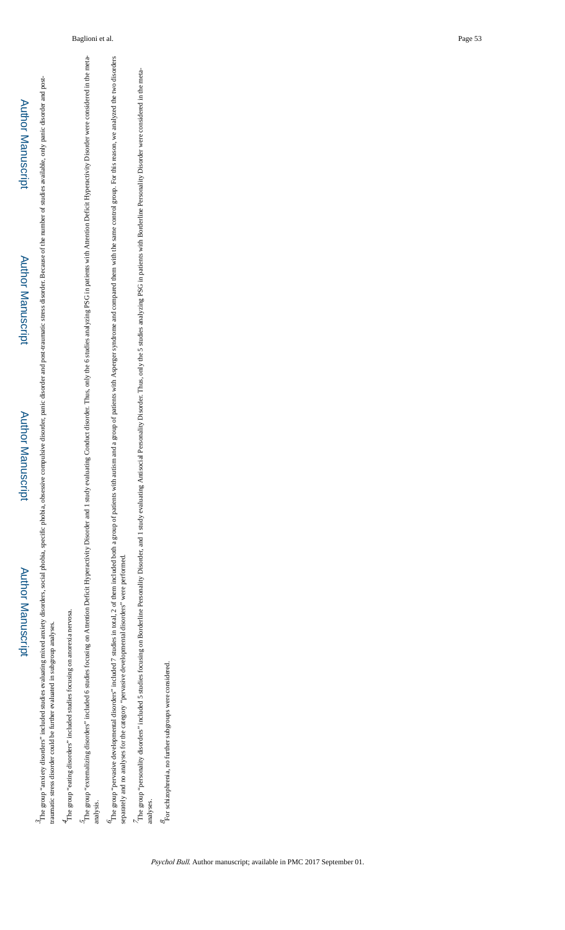The group "anxiety disorders" included studies evaluating mixed anxiety disorders, social phobia, obsessive compulsive disorder, panic disorder and post-traumatic stress disorder. Because of the number of studies available The group "anxiety disorders" included studies evaluating mixed anxiety disorders, social phobia, obsessive compulsive disorder, panic disorder and post-traumatic stress disorder. Because of the number of studies, envaluab traumatic stress disorder could be further evaluated in subgroup analyses. traumatic stress disorder could be further evaluated in subgroup analyses.

 $\stackrel{\text{d}}{+}$  The group "eating disorders" included studies focusing on an<br>orexia nervosa. The group "eating disorders" included studies focusing on anorexia nervosa.

The group "externalizing disorders" included 6 studies focusing on Attention Deficit Hyperactivity Disorder and 1 study evaluating Conduct disorder. Thus, only the 6 studies analyzing PSG in patients with Attention Deficit The group "externalizing disorders" included 6 studies focusing on Attention Deficit Hyperactivity Disorder and Deficit Hyperactivity Disorder and 1 study evaluating Conduct disorder. Thus, only the 6 studies analyzing PSG analysis.

The group "pervasive developmental disorders" included 7 studies in total, 2 of them included both a group of patients with autism and a group of patients with Asperger syndrome and compared them with the same control grou The group "pervasive developmental disorders" included 7 studies in total, 2 of them included both a group of patients with autism and a group of patients with Asperger syndrome and compared them with the same control gro separately and no analyses for the category "pervasive developmental disorders" were performed. separately and no analyses for the category "pervasive developmental disorders" were performed.

The group "personality disorders" included 5 studies focusing on Borderline Personality Disorial Personality Disorder. Thus, only the 5 studies analyzing PSG in patients with Borderline Personality Disorder were considered The group "included 5 studies focusing on Borderline Personality Disorder, and 1 study evaluating Antisocial Personality Disorder. Thus, only the 5 studies analyzing PSG in patients with Borderline Personality Disorder wer analyses.

 $\mathcal{S}_{\rm POI}$ schizophrenia, no further subgroups were considered. For schizophrenia, no further subgroups were considered.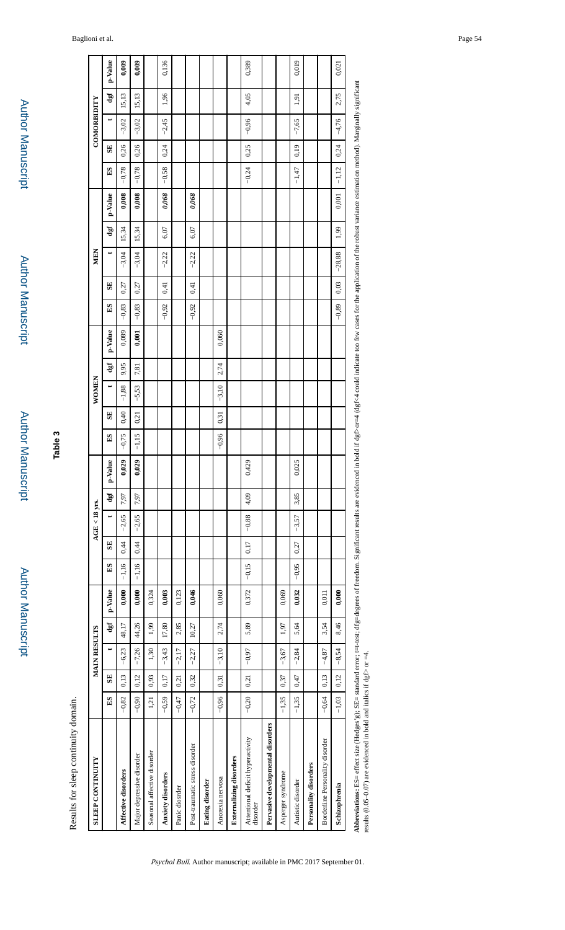| Results for sleep continuity domain.                                                                                                                                                                                      |         |              |                     |       |         |             |              |                 |      |            |              |              |         |      |         |              |      |            |       |         |         |              |             |       |         |
|---------------------------------------------------------------------------------------------------------------------------------------------------------------------------------------------------------------------------|---------|--------------|---------------------|-------|---------|-------------|--------------|-----------------|------|------------|--------------|--------------|---------|------|---------|--------------|------|------------|-------|---------|---------|--------------|-------------|-------|---------|
| <b>SLEEP CONTINUITY</b>                                                                                                                                                                                                   |         |              | <b>MAIN RESULTS</b> |       |         |             |              | $AGE < 18$ yrs. |      |            |              |              | WOMEN   |      |         |              |      | <b>MEN</b> |       |         |         |              | COMORBIDITY |       |         |
|                                                                                                                                                                                                                           | S       | $\mathbf{S}$ | ↔                   | dgf   | p-Value | $_{\rm ES}$ | $\mathbf{S}$ | ⇔               | dgf  | Ľ<br>p-Val | $\mathbf{E}$ | $\mathbf{S}$ |         | dgf  | p-Value | $\mathbf{E}$ | SE   |            | dgf   | p-Value | $_{ES}$ | $\mathbf{S}$ |             | dgf   | p-Value |
| Affective disorders                                                                                                                                                                                                       | $-0,82$ | 0,13         | $-6,23$             | 48,17 | 0,000   | $-1,16$     | 0,44         | $-2,65$         | 7,97 | 0,029      | $-0,75$      | 0,40         | $-1,88$ | 9,95 | 0,089   | $-0,83$      | 0,27 | $-3,04$    | 15,34 | 0,008   | $-0,78$ | 0,26         | $-3,02$     | 15,13 | 0,009   |
| Major depressive disorder                                                                                                                                                                                                 | $-0.90$ | 0,12         | $-7,26$             | 44,26 | 0,000   | $-1,16$     | 0,44         | $-2,65$         | 7,97 | 0,029      | $-1,15$      | 0,21         | $-5,53$ | 7,81 | 0,001   | $-0,83$      | 0,27 | $-3,04$    | 15,34 | 0,008   | $-0,78$ | 0,26         | $-3,02$     | 15,13 | 0,009   |
| Seasonal affective disorder                                                                                                                                                                                               | 1,21    | 0,93         | 1,30                | 1,99  | 0,324   |             |              |                 |      |            |              |              |         |      |         |              |      |            |       |         |         |              |             |       |         |
| Anxiety disorders                                                                                                                                                                                                         | $-0,59$ | 0,17         | $-3,43$             | 17,80 | 0,003   |             |              |                 |      |            |              |              |         |      |         | $-0,92$      | 0,41 | $-2,22$    | 6,07  | 0,068   | $-0,58$ | 0,24         | $-2,45$     | 1,96  | 0,136   |
| Panic diosrder                                                                                                                                                                                                            | $-0,47$ | 0,21         | $-2,17$             | 2,85  | 0,123   |             |              |                 |      |            |              |              |         |      |         |              |      |            |       |         |         |              |             |       |         |
| Post-traumatic stress disorder                                                                                                                                                                                            | $-0,72$ | 0,32         | $-2,27$             | 10,27 | 0,046   |             |              |                 |      |            |              |              |         |      |         | $-0,92$      | 0,41 | $-2,22$    | 6,07  | 0,068   |         |              |             |       |         |
| <b>Eating disorder</b>                                                                                                                                                                                                    |         |              |                     |       |         |             |              |                 |      |            |              |              |         |      |         |              |      |            |       |         |         |              |             |       |         |
| Anorexia nervosa                                                                                                                                                                                                          | $-0.96$ | 0,31         | $-3,10$             | 2,74  | 0,060   |             |              |                 |      |            | $-0,96$      | 0,31         | $-3,10$ | 2,74 | 0,060   |              |      |            |       |         |         |              |             |       |         |
| <b>Externalizing</b> disorders                                                                                                                                                                                            |         |              |                     |       |         |             |              |                 |      |            |              |              |         |      |         |              |      |            |       |         |         |              |             |       |         |
| Attentional deficit hyperactivity<br>disorder                                                                                                                                                                             | $-0,20$ | 0,21         | $-0.97$             | 5,89  | 0,372   | $-0,15$     | 0,17         | $-0,88$         | 4,09 | 0,429      |              |              |         |      |         |              |      |            |       |         | $-0,24$ | 0,25         | $-0.96$     | 4,05  | 0,389   |
| Pervasive developmental disorders                                                                                                                                                                                         |         |              |                     |       |         |             |              |                 |      |            |              |              |         |      |         |              |      |            |       |         |         |              |             |       |         |
| Asperger syndrome                                                                                                                                                                                                         | $-1,35$ | 0,37         | $-3,67$             | 1,97  | 0,069   |             |              |                 |      |            |              |              |         |      |         |              |      |            |       |         |         |              |             |       |         |
| Autistic disorder                                                                                                                                                                                                         | $-1,35$ | 0,47         | $-2,84$             | 5,64  | 0,032   | $-0,95$     | 0,27         | $-3,57$         | 3,85 | 0,025      |              |              |         |      |         |              |      |            |       |         | $-1,47$ | 0,19         | $-7,65$     | 1,91  | 0,019   |
| Personality disorders                                                                                                                                                                                                     |         |              |                     |       |         |             |              |                 |      |            |              |              |         |      |         |              |      |            |       |         |         |              |             |       |         |
| Borderline Personality disorder                                                                                                                                                                                           | $-0,64$ | 0,13         | $-4,87$             | 3,54  | 0,011   |             |              |                 |      |            |              |              |         |      |         |              |      |            |       |         |         |              |             |       |         |
| Schizophrenia                                                                                                                                                                                                             | $-1,03$ | 0,12         | $-8,54$             | 8,46  | 0,000   |             |              |                 |      |            |              |              |         |      |         | $-0,89$      | 0,03 | $-28,88$   | 1,99  | 0,001   | $-1,12$ | 0,24         | $-4,76$     | 2,75  | 0,021   |
| $\Delta$ the effect of $\Delta$ and arror t=treed decree of freedom. Significant results are evidenced in bold if def>d onld indicate the complexion of the robust angular variant perhaps $\Delta$ Marchally significant |         |              |                     |       |         |             |              |                 |      |            |              |              |         |      |         |              |      |            |       |         |         |              |             |       |         |

Abbreviations: ES= effect size (Hedges' g); SE= standard error; r=t-test; dfg=degrees of freedom. Significant results are evidenced in bold if dgf>q-defact too few cases for the application of the robust variance estimatio ≌ ğ Abbreviations: ES= effect size (Hedges' g); SE= standard error; t=t-test; dfg=<br>results (0.05–0.07) are evidenced in bold and italies if dgf> or =4. results (0.05–0.07) are evidenced in bold and italics if dgf> or  $=4$ .

**Table 3**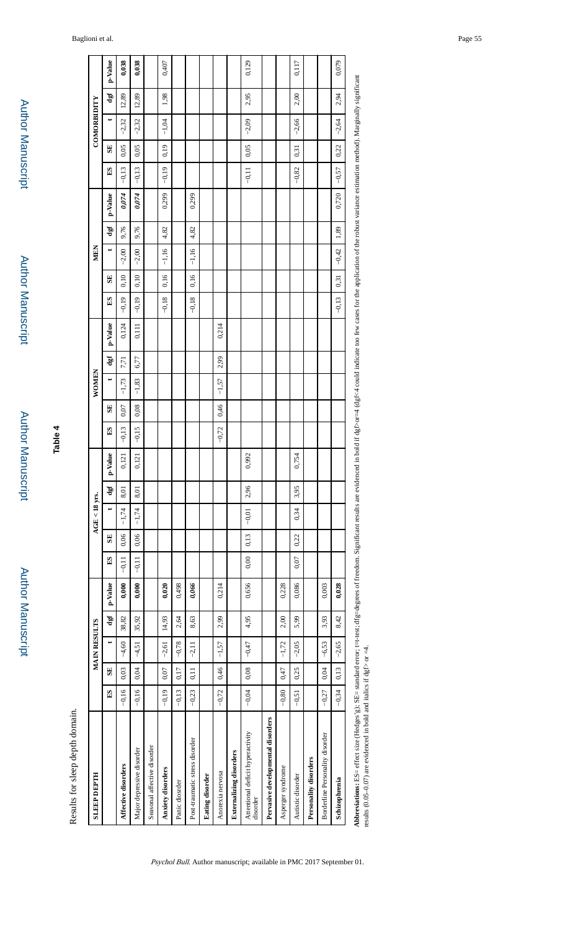| <b>SLEEP DEPTH</b>                                                                                                                                                                          |              |      | <b>MAIN RESULTS</b> |       |         |             |      | $AGE < 18$ yrs. |      |         |         |              | <b>WOMEN</b> |      |         |              |      | MEN     |      |           |         |              | COMORBIDITY |       |         |
|---------------------------------------------------------------------------------------------------------------------------------------------------------------------------------------------|--------------|------|---------------------|-------|---------|-------------|------|-----------------|------|---------|---------|--------------|--------------|------|---------|--------------|------|---------|------|-----------|---------|--------------|-------------|-------|---------|
|                                                                                                                                                                                             | $\mathbf{E}$ | SE   | ↔                   | dgf   | p-Value | $_{\rm ES}$ | SE   | ↔               | dgf  | p-Value | S       | $\mathbf{S}$ |              | dgf  | p-Value | $\mathbf{E}$ | SE   | ⇔       | dgf  | $p-Value$ | ES      | $\mathbf{S}$ |             | Jap   | p-Value |
| Affective disorders                                                                                                                                                                         | $-0,16$      | 0,03 | $-4,60$             | 38,82 | 0,000   | $-0,11$     | 0,06 | $-1,74$         | 8,01 | 0,121   | $-0,13$ | 0,07         | $-1,73$      | 7,71 | 0,124   | $-0,19$      | 0,10 | $-2,00$ | 9,76 | 0,074     | $-0,13$ | 0,05         | $-2,32$     | 12,89 | 0,038   |
| Major depressive disorder                                                                                                                                                                   | $-0,16$      | 0,04 | $-4,51$             | 35,92 | 0,000   | $-0,11$     | 0,06 | $-1,74$         | 8,01 | 0,121   | $-0.15$ | 0,08         | $-1,83$      | 6,77 | 0,111   | $-0,19$      | 0,10 | $-2,00$ | 9,76 | 0,074     | $-0,13$ | 0,05         | $-2,32$     | 12,89 | 0,038   |
| Seasonal affective disorder                                                                                                                                                                 |              |      |                     |       |         |             |      |                 |      |         |         |              |              |      |         |              |      |         |      |           |         |              |             |       |         |
| Anxiety disorders                                                                                                                                                                           | $-0,19$      | 0,07 | $-2,61$             | 14,93 | 0,020   |             |      |                 |      |         |         |              |              |      |         | $-0.18$      | 0,16 | $-1,16$ | 4,82 | 0,299     | $-0,19$ | 0,19         | $-1,04$     | 1,98  | 0,407   |
| Panic diosrder                                                                                                                                                                              | $-0,13$      | 0,17 | $-0,78$             | 2,64  | 0,498   |             |      |                 |      |         |         |              |              |      |         |              |      |         |      |           |         |              |             |       |         |
| Post-traumatic stress disorder                                                                                                                                                              | $-0,23$      | 0,11 | $-2,11$             | 8,63  | 0,066   |             |      |                 |      |         |         |              |              |      |         | $-0,18$      | 0,16 | $-1,16$ | 4,82 | 0,299     |         |              |             |       |         |
| <b>Eating disorder</b>                                                                                                                                                                      |              |      |                     |       |         |             |      |                 |      |         |         |              |              |      |         |              |      |         |      |           |         |              |             |       |         |
| Anorexia nervosa                                                                                                                                                                            | $-0,72$      | 0,46 | $-1,57$             | 2,99  | 0,214   |             |      |                 |      |         | $-0,72$ | 0,46         | $-1,57$      | 2,99 | 0,214   |              |      |         |      |           |         |              |             |       |         |
| <b>Externalizing</b> disorders                                                                                                                                                              |              |      |                     |       |         |             |      |                 |      |         |         |              |              |      |         |              |      |         |      |           |         |              |             |       |         |
| Attentional deficit hyperactivity<br>disorder                                                                                                                                               | $-0,04$      | 0,08 | $-0,47$             | 4,95  | 0,656   | 0,00        | 0,13 | $-0,01$         | 2,96 | 0,992   |         |              |              |      |         |              |      |         |      |           | $-0,11$ | 0,05         | $-2,09$     | 2,95  | 0,129   |
| Pervasive developmental disorders                                                                                                                                                           |              |      |                     |       |         |             |      |                 |      |         |         |              |              |      |         |              |      |         |      |           |         |              |             |       |         |
| Asperger syndrome                                                                                                                                                                           | $-0,80$      | 0,47 | $-1,72$             | 2,00  | 0,228   |             |      |                 |      |         |         |              |              |      |         |              |      |         |      |           |         |              |             |       |         |
| Autistic disorder                                                                                                                                                                           | $-0,51$      | 0,25 | $-2,05$             | 5,99  | 0,086   | 0,07        | 0,22 | 0,34            | 3,95 | 0,754   |         |              |              |      |         |              |      |         |      |           | $-0,82$ | 0,31         | $-2,66$     | 2,00  | 0,117   |
| Personality disorders                                                                                                                                                                       |              |      |                     |       |         |             |      |                 |      |         |         |              |              |      |         |              |      |         |      |           |         |              |             |       |         |
| Borderline Personality disorder                                                                                                                                                             | $-0,27$      | 0,04 | $-6,53$             | 3,93  | 0,003   |             |      |                 |      |         |         |              |              |      |         |              |      |         |      |           |         |              |             |       |         |
| Schizophrenia                                                                                                                                                                               | $-0,34$      | 0,13 | $-2,65$             | 8,42  | 0,028   |             |      |                 |      |         |         |              |              |      |         | $-0,13$      | 0,31 | $-0,42$ | 1,89 | 0,720     | $-0,57$ | 0,22         | $-2,64$     | 2,94  | 0,079   |
| horeviations: PS= effect size (Hedges' or Started are seen the started in the Section of detection in the form of the conjugation of the monitorial variation method Marcinally significant |              |      |                     |       |         |             |      |                 |      |         |         |              |              |      |         |              |      |         |      |           |         |              |             |       |         |

Abbreviations: ES= effect size (Hedges' g); SE= standard error; t=t-test; dfg=degrees of freedom. Significant results are evidenced in bold if dgf>or=d (id undicate too few cases for the application of the robust variance  $51,013 =$ Abbreviations: ES= effect size (Hedges'g); SE= standard error; t=tessilts (0.05–0.07) are evidenced in bold and italics if dgf> or =4. results (0.05–0.07) are evidenced in bold and italics if dgf> or  $=4$ .

**Author Manuscript** Author Manuscript

 Author Manuscript**Author Manuscript** 

**Table 4**

Results for sleep depth domain. Results for sleep depth domain.